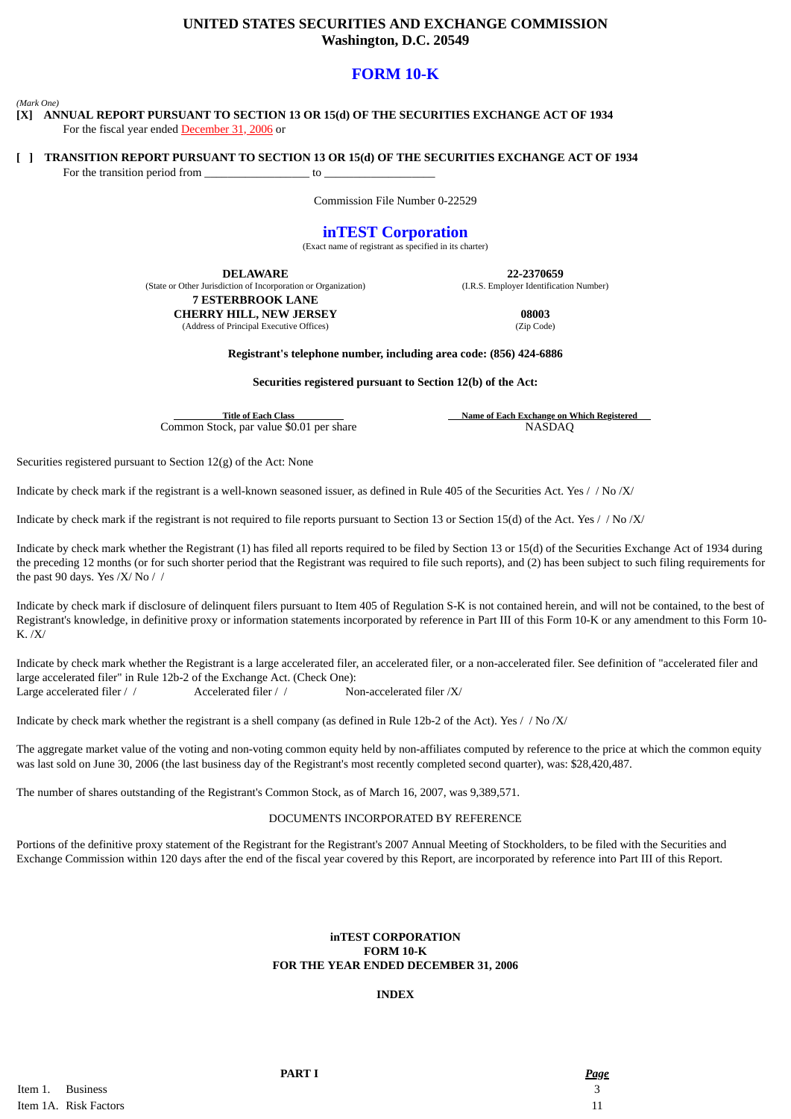## **UNITED STATES SECURITIES AND EXCHANGE COMMISSION Washington, D.C. 20549**

# **FORM 10-K**

*(Mark One)*

## **[X] ANNUAL REPORT PURSUANT TO SECTION 13 OR 15(d) OF THE SECURITIES EXCHANGE ACT OF 1934** For the fiscal year ended December 31, 2006 or

### **[ ] TRANSITION REPORT PURSUANT TO SECTION 13 OR 15(d) OF THE SECURITIES EXCHANGE ACT OF 1934** For the transition period from  $\qquad \qquad$  to  $\qquad \qquad$

Commission File Number 0-22529

## **inTEST Corporation**

(Exact name of registrant as specified in its charter)

**DELAWARE**

(State or Other Jurisdiction of Incorporation or Organization) **7 ESTERBROOK LANE**

**22-2370659** (I.R.S. Employer Identification Number)

> **08003** (Zip Code)

**CHERRY HILL, NEW JERSEY** (Address of Principal Executive Offices)

**Registrant's telephone number, including area code: (856) 424-6886**

**Securities registered pursuant to Section 12(b) of the Act:**

 **Title of Each Class**  Common Stock, par value \$0.01 per share  **Name of Each Exchange on Which Registered**  NASDAQ

Securities registered pursuant to Section 12(g) of the Act: None

Indicate by check mark if the registrant is a well-known seasoned issuer, as defined in Rule 405 of the Securities Act. Yes // No /X/

Indicate by check mark if the registrant is not required to file reports pursuant to Section 13 or Section 15(d) of the Act. Yes // No /X/

Indicate by check mark whether the Registrant (1) has filed all reports required to be filed by Section 13 or 15(d) of the Securities Exchange Act of 1934 during the preceding 12 months (or for such shorter period that the Registrant was required to file such reports), and (2) has been subject to such filing requirements for the past 90 days. Yes /X/ No //

Indicate by check mark if disclosure of delinquent filers pursuant to Item 405 of Regulation S-K is not contained herein, and will not be contained, to the best of Registrant's knowledge, in definitive proxy or information statements incorporated by reference in Part III of this Form 10-K or any amendment to this Form 10- K. /X/

Indicate by check mark whether the Registrant is a large accelerated filer, an accelerated filer, or a non-accelerated filer. See definition of "accelerated filer and large accelerated filer" in Rule 12b-2 of the Exchange Act. (Check One): Large accelerated filer / / Accelerated filer / / Non-accelerated filer / X/

Indicate by check mark whether the registrant is a shell company (as defined in Rule 12b-2 of the Act). Yes // No /X/

The aggregate market value of the voting and non-voting common equity held by non-affiliates computed by reference to the price at which the common equity was last sold on June 30, 2006 (the last business day of the Registrant's most recently completed second quarter), was: \$28,420,487.

The number of shares outstanding of the Registrant's Common Stock, as of March 16, 2007, was 9,389,571.

#### DOCUMENTS INCORPORATED BY REFERENCE

Portions of the definitive proxy statement of the Registrant for the Registrant's 2007 Annual Meeting of Stockholders, to be filed with the Securities and Exchange Commission within 120 days after the end of the fiscal year covered by this Report, are incorporated by reference into Part III of this Report.

## **inTEST CORPORATION FORM 10-K FOR THE YEAR ENDED DECEMBER 31, 2006**

**INDEX**

**PART I** *Page*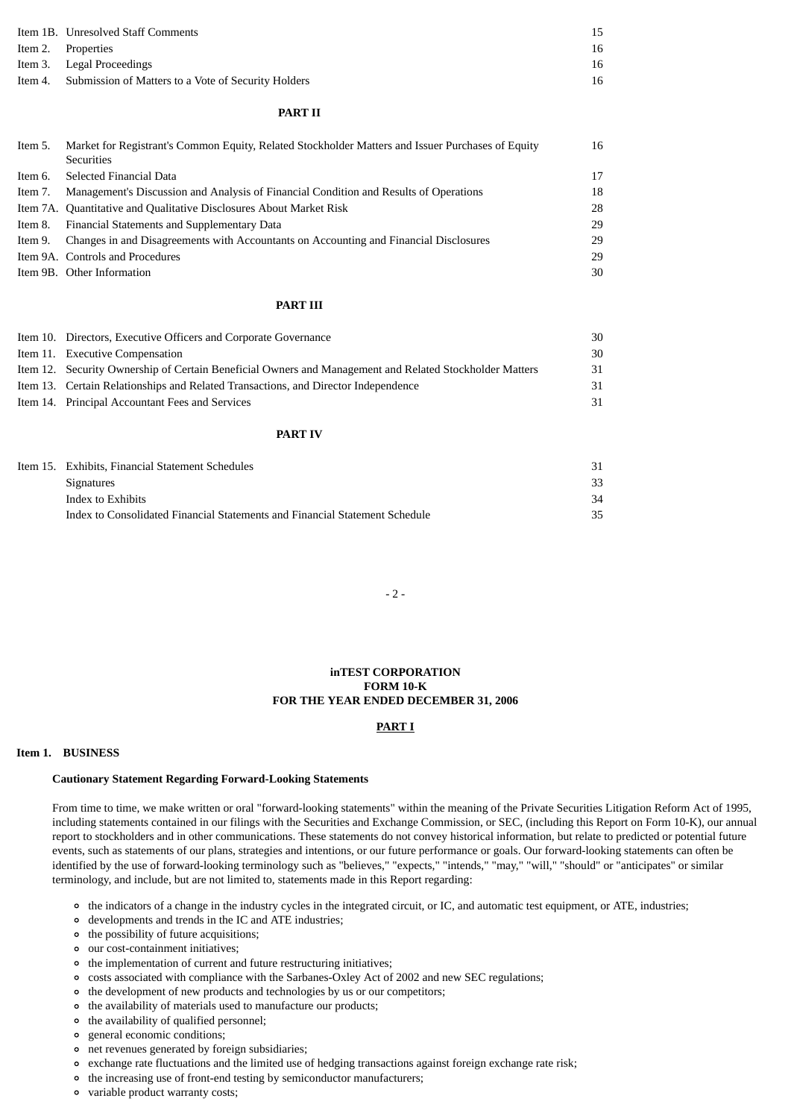| Item 1B. Unresolved Staff Comments                          | 15 |
|-------------------------------------------------------------|----|
| Item 2. Properties                                          | 16 |
| Item 3. Legal Proceedings                                   | 16 |
| Item 4. Submission of Matters to a Vote of Security Holders | 16 |
|                                                             |    |

## **PART II**

| Item 5. | Market for Registrant's Common Equity, Related Stockholder Matters and Issuer Purchases of Equity | 16 |
|---------|---------------------------------------------------------------------------------------------------|----|
|         | <b>Securities</b>                                                                                 |    |
|         | Item 6.     Selected Financial Data                                                               | 17 |
|         | Item 7. Management's Discussion and Analysis of Financial Condition and Results of Operations     | 18 |
|         | Item 7A. Ouantitative and Qualitative Disclosures About Market Risk                               | 28 |
|         | Item 8. Financial Statements and Supplementary Data                                               | 29 |
|         | Item 9. Changes in and Disagreements with Accountants on Accounting and Financial Disclosures     | 29 |
|         | Item 9A. Controls and Procedures                                                                  | 29 |
|         | Item 9B. Other Information                                                                        | 30 |

## **PART III**

| Item 10. Directors, Executive Officers and Corporate Governance                                         | 30 |
|---------------------------------------------------------------------------------------------------------|----|
| Item 11. Executive Compensation                                                                         | 30 |
| Item 12. Security Ownership of Certain Beneficial Owners and Management and Related Stockholder Matters | 31 |
| Item 13. Certain Relationships and Related Transactions, and Director Independence                      | 31 |
| Item 14. Principal Accountant Fees and Services                                                         | 31 |
|                                                                                                         |    |

## **PART IV**

| Item 15. Exhibits, Financial Statement Schedules                            | 31  |
|-----------------------------------------------------------------------------|-----|
| Signatures                                                                  | 33  |
| Index to Exhibits                                                           | 34  |
| Index to Consolidated Financial Statements and Financial Statement Schedule | 35. |

## $-2-$

### **inTEST CORPORATION FORM 10-K FOR THE YEAR ENDED DECEMBER 31, 2006**

#### **PART I**

#### **Item 1. BUSINESS**

#### **Cautionary Statement Regarding Forward-Looking Statements**

From time to time, we make written or oral "forward-looking statements" within the meaning of the Private Securities Litigation Reform Act of 1995, including statements contained in our filings with the Securities and Exchange Commission, or SEC, (including this Report on Form 10-K), our annual report to stockholders and in other communications. These statements do not convey historical information, but relate to predicted or potential future events, such as statements of our plans, strategies and intentions, or our future performance or goals. Our forward-looking statements can often be identified by the use of forward-looking terminology such as "believes," "expects," "intends," "may," "will," "should" or "anticipates" or similar terminology, and include, but are not limited to, statements made in this Report regarding:

- the indicators of a change in the industry cycles in the integrated circuit, or IC, and automatic test equipment, or ATE, industries;
- developments and trends in the IC and ATE industries;
- $\circ$  the possibility of future acquisitions;
- $\circ$ our cost-containment initiatives;
- the implementation of current and future restructuring initiatives;
- costs associated with compliance with the Sarbanes-Oxley Act of 2002 and new SEC regulations;  $\circ$
- the development of new products and technologies by us or our competitors;  $\circ$
- the availability of materials used to manufacture our products;  $\circ$
- the availability of qualified personnel;  $\circ$
- general economic conditions;  $\circ$
- net revenues generated by foreign subsidiaries;
- $\circ$  exchange rate fluctuations and the limited use of hedging transactions against foreign exchange rate risk;
- the increasing use of front-end testing by semiconductor manufacturers;
- variable product warranty costs;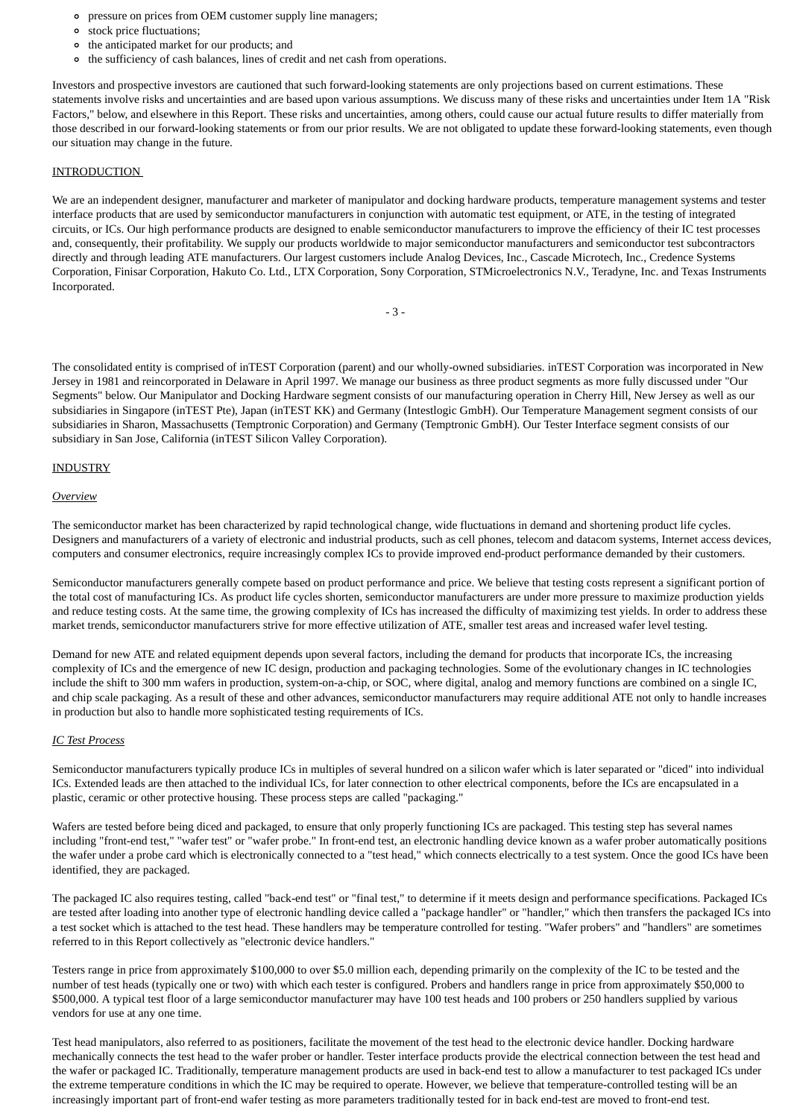- pressure on prices from OEM customer supply line managers;
- stock price fluctuations;
- the anticipated market for our products; and
- the sufficiency of cash balances, lines of credit and net cash from operations.

Investors and prospective investors are cautioned that such forward-looking statements are only projections based on current estimations. These statements involve risks and uncertainties and are based upon various assumptions. We discuss many of these risks and uncertainties under Item 1A "Risk Factors," below, and elsewhere in this Report. These risks and uncertainties, among others, could cause our actual future results to differ materially from those described in our forward-looking statements or from our prior results. We are not obligated to update these forward-looking statements, even though our situation may change in the future.

#### INTRODUCTION

We are an independent designer, manufacturer and marketer of manipulator and docking hardware products, temperature management systems and tester interface products that are used by semiconductor manufacturers in conjunction with automatic test equipment, or ATE, in the testing of integrated circuits, or ICs. Our high performance products are designed to enable semiconductor manufacturers to improve the efficiency of their IC test processes and, consequently, their profitability. We supply our products worldwide to major semiconductor manufacturers and semiconductor test subcontractors directly and through leading ATE manufacturers. Our largest customers include Analog Devices, Inc., Cascade Microtech, Inc., Credence Systems Corporation, Finisar Corporation, Hakuto Co. Ltd., LTX Corporation, Sony Corporation, STMicroelectronics N.V., Teradyne, Inc. and Texas Instruments Incorporated.

 $-3 -$ 

The consolidated entity is comprised of inTEST Corporation (parent) and our wholly-owned subsidiaries. inTEST Corporation was incorporated in New Jersey in 1981 and reincorporated in Delaware in April 1997. We manage our business as three product segments as more fully discussed under "Our Segments" below. Our Manipulator and Docking Hardware segment consists of our manufacturing operation in Cherry Hill, New Jersey as well as our subsidiaries in Singapore (inTEST Pte), Japan (inTEST KK) and Germany (Intestlogic GmbH). Our Temperature Management segment consists of our subsidiaries in Sharon, Massachusetts (Temptronic Corporation) and Germany (Temptronic GmbH). Our Tester Interface segment consists of our subsidiary in San Jose, California (inTEST Silicon Valley Corporation).

### INDUSTRY

#### *Overview*

The semiconductor market has been characterized by rapid technological change, wide fluctuations in demand and shortening product life cycles. Designers and manufacturers of a variety of electronic and industrial products, such as cell phones, telecom and datacom systems, Internet access devices, computers and consumer electronics, require increasingly complex ICs to provide improved end-product performance demanded by their customers.

Semiconductor manufacturers generally compete based on product performance and price. We believe that testing costs represent a significant portion of the total cost of manufacturing ICs. As product life cycles shorten, semiconductor manufacturers are under more pressure to maximize production yields and reduce testing costs. At the same time, the growing complexity of ICs has increased the difficulty of maximizing test yields. In order to address these market trends, semiconductor manufacturers strive for more effective utilization of ATE, smaller test areas and increased wafer level testing.

Demand for new ATE and related equipment depends upon several factors, including the demand for products that incorporate ICs, the increasing complexity of ICs and the emergence of new IC design, production and packaging technologies. Some of the evolutionary changes in IC technologies include the shift to 300 mm wafers in production, system-on-a-chip, or SOC, where digital, analog and memory functions are combined on a single IC, and chip scale packaging. As a result of these and other advances, semiconductor manufacturers may require additional ATE not only to handle increases in production but also to handle more sophisticated testing requirements of ICs.

## *IC Test Process*

Semiconductor manufacturers typically produce ICs in multiples of several hundred on a silicon wafer which is later separated or "diced" into individual ICs. Extended leads are then attached to the individual ICs, for later connection to other electrical components, before the ICs are encapsulated in a plastic, ceramic or other protective housing. These process steps are called "packaging."

Wafers are tested before being diced and packaged, to ensure that only properly functioning ICs are packaged. This testing step has several names including "front-end test," "wafer test" or "wafer probe." In front-end test, an electronic handling device known as a wafer prober automatically positions the wafer under a probe card which is electronically connected to a "test head," which connects electrically to a test system. Once the good ICs have been identified, they are packaged.

The packaged IC also requires testing, called "back-end test" or "final test," to determine if it meets design and performance specifications. Packaged ICs are tested after loading into another type of electronic handling device called a "package handler" or "handler," which then transfers the packaged ICs into a test socket which is attached to the test head. These handlers may be temperature controlled for testing. "Wafer probers" and "handlers" are sometimes referred to in this Report collectively as "electronic device handlers."

Testers range in price from approximately \$100,000 to over \$5.0 million each, depending primarily on the complexity of the IC to be tested and the number of test heads (typically one or two) with which each tester is configured. Probers and handlers range in price from approximately \$50,000 to \$500,000. A typical test floor of a large semiconductor manufacturer may have 100 test heads and 100 probers or 250 handlers supplied by various vendors for use at any one time.

Test head manipulators, also referred to as positioners, facilitate the movement of the test head to the electronic device handler. Docking hardware mechanically connects the test head to the wafer prober or handler. Tester interface products provide the electrical connection between the test head and the wafer or packaged IC. Traditionally, temperature management products are used in back-end test to allow a manufacturer to test packaged ICs under the extreme temperature conditions in which the IC may be required to operate. However, we believe that temperature-controlled testing will be an increasingly important part of front-end wafer testing as more parameters traditionally tested for in back end-test are moved to front-end test.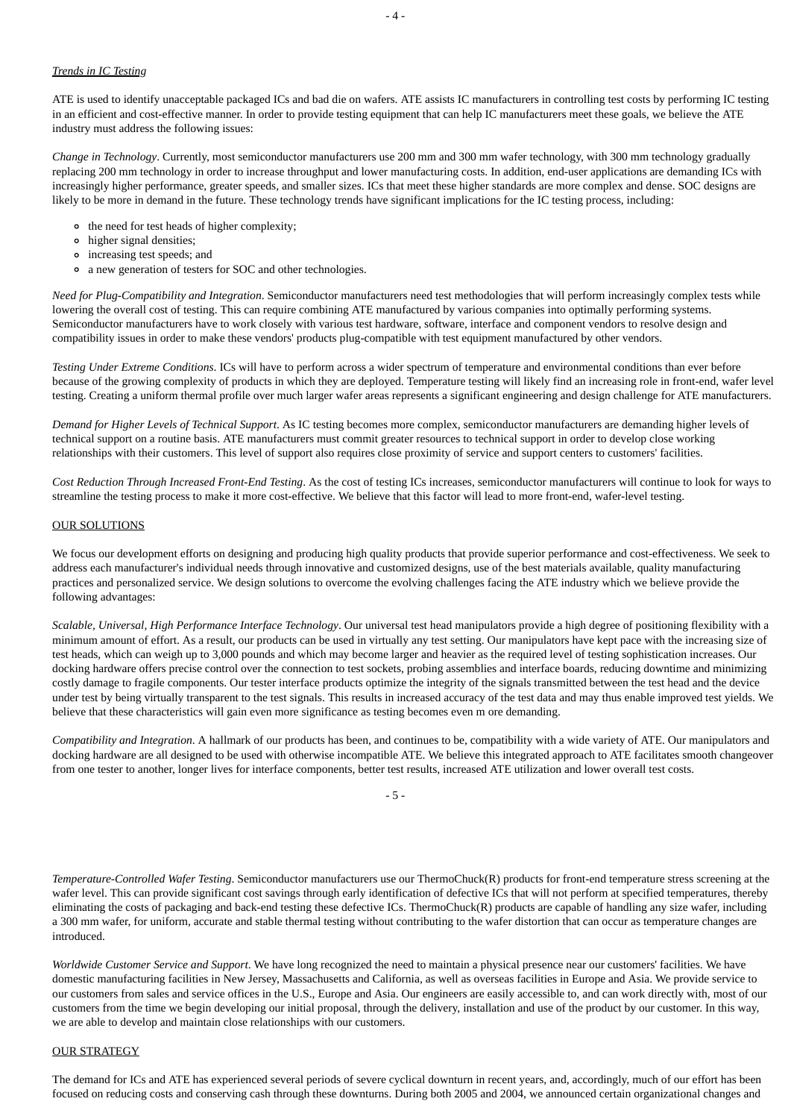## *Trends in IC Testing*

ATE is used to identify unacceptable packaged ICs and bad die on wafers. ATE assists IC manufacturers in controlling test costs by performing IC testing in an efficient and cost-effective manner. In order to provide testing equipment that can help IC manufacturers meet these goals, we believe the ATE industry must address the following issues:

*Change in Technology*. Currently, most semiconductor manufacturers use 200 mm and 300 mm wafer technology, with 300 mm technology gradually replacing 200 mm technology in order to increase throughput and lower manufacturing costs. In addition, end-user applications are demanding ICs with increasingly higher performance, greater speeds, and smaller sizes. ICs that meet these higher standards are more complex and dense. SOC designs are likely to be more in demand in the future. These technology trends have significant implications for the IC testing process, including:

- the need for test heads of higher complexity;
- higher signal densities;
- increasing test speeds; and
- a new generation of testers for SOC and other technologies.

*Need for Plug-Compatibility and Integration*. Semiconductor manufacturers need test methodologies that will perform increasingly complex tests while lowering the overall cost of testing. This can require combining ATE manufactured by various companies into optimally performing systems. Semiconductor manufacturers have to work closely with various test hardware, software, interface and component vendors to resolve design and compatibility issues in order to make these vendors' products plug-compatible with test equipment manufactured by other vendors.

*Testing Under Extreme Conditions*. ICs will have to perform across a wider spectrum of temperature and environmental conditions than ever before because of the growing complexity of products in which they are deployed. Temperature testing will likely find an increasing role in front-end, wafer level testing. Creating a uniform thermal profile over much larger wafer areas represents a significant engineering and design challenge for ATE manufacturers.

*Demand for Higher Levels of Technical Support*. As IC testing becomes more complex, semiconductor manufacturers are demanding higher levels of technical support on a routine basis. ATE manufacturers must commit greater resources to technical support in order to develop close working relationships with their customers. This level of support also requires close proximity of service and support centers to customers' facilities.

*Cost Reduction Through Increased Front-End Testing*. As the cost of testing ICs increases, semiconductor manufacturers will continue to look for ways to streamline the testing process to make it more cost-effective. We believe that this factor will lead to more front-end, wafer-level testing.

#### OUR SOLUTIONS

We focus our development efforts on designing and producing high quality products that provide superior performance and cost-effectiveness. We seek to address each manufacturer's individual needs through innovative and customized designs, use of the best materials available, quality manufacturing practices and personalized service. We design solutions to overcome the evolving challenges facing the ATE industry which we believe provide the following advantages:

*Scalable, Universal, High Performance Interface Technology*. Our universal test head manipulators provide a high degree of positioning flexibility with a minimum amount of effort. As a result, our products can be used in virtually any test setting. Our manipulators have kept pace with the increasing size of test heads, which can weigh up to 3,000 pounds and which may become larger and heavier as the required level of testing sophistication increases. Our docking hardware offers precise control over the connection to test sockets, probing assemblies and interface boards, reducing downtime and minimizing costly damage to fragile components. Our tester interface products optimize the integrity of the signals transmitted between the test head and the device under test by being virtually transparent to the test signals. This results in increased accuracy of the test data and may thus enable improved test yields. We believe that these characteristics will gain even more significance as testing becomes even m ore demanding.

*Compatibility and Integration*. A hallmark of our products has been, and continues to be, compatibility with a wide variety of ATE. Our manipulators and docking hardware are all designed to be used with otherwise incompatible ATE. We believe this integrated approach to ATE facilitates smooth changeover from one tester to another, longer lives for interface components, better test results, increased ATE utilization and lower overall test costs.

- 5 -

*Temperature-Controlled Wafer Testing*. Semiconductor manufacturers use our ThermoChuck(R) products for front-end temperature stress screening at the wafer level. This can provide significant cost savings through early identification of defective ICs that will not perform at specified temperatures, thereby eliminating the costs of packaging and back-end testing these defective ICs. ThermoChuck(R) products are capable of handling any size wafer, including a 300 mm wafer, for uniform, accurate and stable thermal testing without contributing to the wafer distortion that can occur as temperature changes are introduced.

*Worldwide Customer Service and Support*. We have long recognized the need to maintain a physical presence near our customers' facilities. We have domestic manufacturing facilities in New Jersey, Massachusetts and California, as well as overseas facilities in Europe and Asia. We provide service to our customers from sales and service offices in the U.S., Europe and Asia. Our engineers are easily accessible to, and can work directly with, most of our customers from the time we begin developing our initial proposal, through the delivery, installation and use of the product by our customer. In this way, we are able to develop and maintain close relationships with our customers.

#### OUR STRATEGY

The demand for ICs and ATE has experienced several periods of severe cyclical downturn in recent years, and, accordingly, much of our effort has been focused on reducing costs and conserving cash through these downturns. During both 2005 and 2004, we announced certain organizational changes and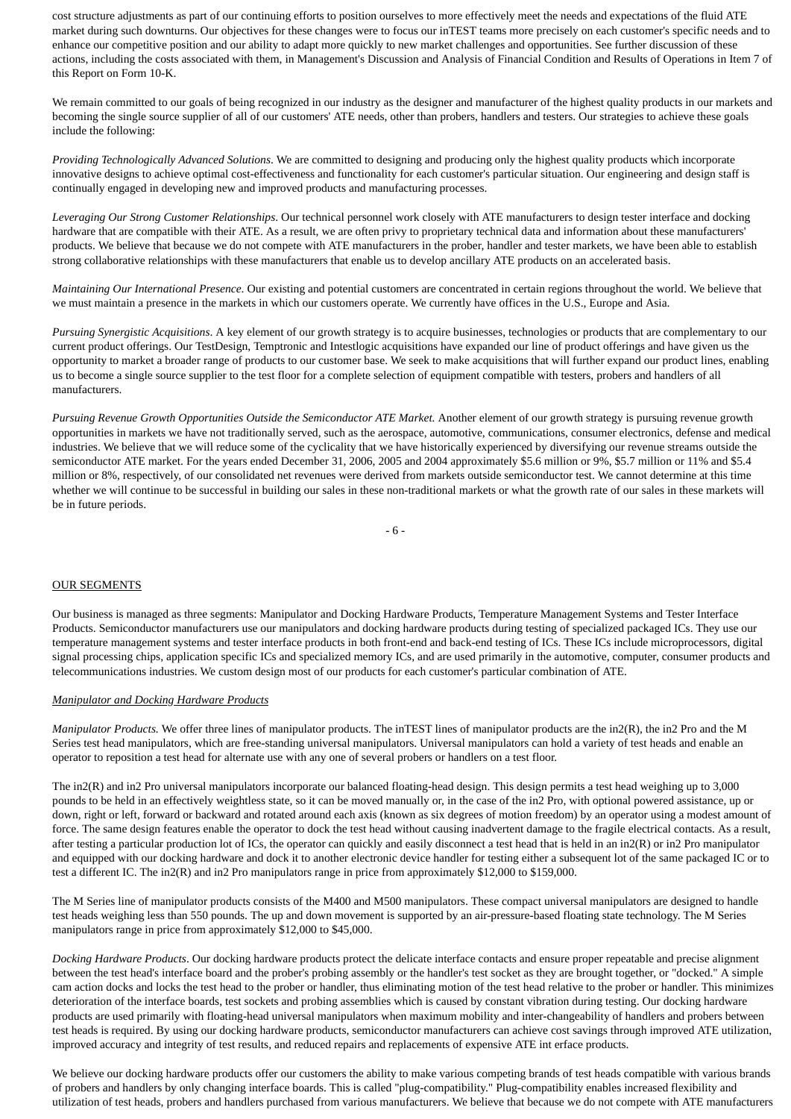cost structure adjustments as part of our continuing efforts to position ourselves to more effectively meet the needs and expectations of the fluid ATE market during such downturns. Our objectives for these changes were to focus our inTEST teams more precisely on each customer's specific needs and to enhance our competitive position and our ability to adapt more quickly to new market challenges and opportunities. See further discussion of these actions, including the costs associated with them, in Management's Discussion and Analysis of Financial Condition and Results of Operations in Item 7 of this Report on Form 10-K.

We remain committed to our goals of being recognized in our industry as the designer and manufacturer of the highest quality products in our markets and becoming the single source supplier of all of our customers' ATE needs, other than probers, handlers and testers. Our strategies to achieve these goals include the following:

*Providing Technologically Advanced Solutions*. We are committed to designing and producing only the highest quality products which incorporate innovative designs to achieve optimal cost-effectiveness and functionality for each customer's particular situation. Our engineering and design staff is continually engaged in developing new and improved products and manufacturing processes.

*Leveraging Our Strong Customer Relationships*. Our technical personnel work closely with ATE manufacturers to design tester interface and docking hardware that are compatible with their ATE. As a result, we are often privy to proprietary technical data and information about these manufacturers' products. We believe that because we do not compete with ATE manufacturers in the prober, handler and tester markets, we have been able to establish strong collaborative relationships with these manufacturers that enable us to develop ancillary ATE products on an accelerated basis.

*Maintaining Our International Presence*. Our existing and potential customers are concentrated in certain regions throughout the world. We believe that we must maintain a presence in the markets in which our customers operate. We currently have offices in the U.S., Europe and Asia.

*Pursuing Synergistic Acquisitions*. A key element of our growth strategy is to acquire businesses, technologies or products that are complementary to our current product offerings. Our TestDesign, Temptronic and Intestlogic acquisitions have expanded our line of product offerings and have given us the opportunity to market a broader range of products to our customer base. We seek to make acquisitions that will further expand our product lines, enabling us to become a single source supplier to the test floor for a complete selection of equipment compatible with testers, probers and handlers of all manufacturers.

*Pursuing Revenue Growth Opportunities Outside the Semiconductor ATE Market.* Another element of our growth strategy is pursuing revenue growth opportunities in markets we have not traditionally served, such as the aerospace, automotive, communications, consumer electronics, defense and medical industries. We believe that we will reduce some of the cyclicality that we have historically experienced by diversifying our revenue streams outside the semiconductor ATE market. For the years ended December 31, 2006, 2005 and 2004 approximately \$5.6 million or 9%, \$5.7 million or 11% and \$5.4 million or 8%, respectively, of our consolidated net revenues were derived from markets outside semiconductor test. We cannot determine at this time whether we will continue to be successful in building our sales in these non-traditional markets or what the growth rate of our sales in these markets will be in future periods.

- 6 -

## OUR SEGMENTS

Our business is managed as three segments: Manipulator and Docking Hardware Products, Temperature Management Systems and Tester Interface Products. Semiconductor manufacturers use our manipulators and docking hardware products during testing of specialized packaged ICs. They use our temperature management systems and tester interface products in both front-end and back-end testing of ICs. These ICs include microprocessors, digital signal processing chips, application specific ICs and specialized memory ICs, and are used primarily in the automotive, computer, consumer products and telecommunications industries. We custom design most of our products for each customer's particular combination of ATE.

#### *Manipulator and Docking Hardware Products*

*Manipulator Products.* We offer three lines of manipulator products. The inTEST lines of manipulator products are the in2(R), the in2 Pro and the M Series test head manipulators, which are free-standing universal manipulators. Universal manipulators can hold a variety of test heads and enable an operator to reposition a test head for alternate use with any one of several probers or handlers on a test floor.

The in2(R) and in2 Pro universal manipulators incorporate our balanced floating-head design. This design permits a test head weighing up to 3,000 pounds to be held in an effectively weightless state, so it can be moved manually or, in the case of the in2 Pro, with optional powered assistance, up or down, right or left, forward or backward and rotated around each axis (known as six degrees of motion freedom) by an operator using a modest amount of force. The same design features enable the operator to dock the test head without causing inadvertent damage to the fragile electrical contacts. As a result, after testing a particular production lot of ICs, the operator can quickly and easily disconnect a test head that is held in an in2(R) or in2 Pro manipulator and equipped with our docking hardware and dock it to another electronic device handler for testing either a subsequent lot of the same packaged IC or to test a different IC. The in2(R) and in2 Pro manipulators range in price from approximately \$12,000 to \$159,000.

The M Series line of manipulator products consists of the M400 and M500 manipulators. These compact universal manipulators are designed to handle test heads weighing less than 550 pounds. The up and down movement is supported by an air-pressure-based floating state technology. The M Series manipulators range in price from approximately \$12,000 to \$45,000.

*Docking Hardware Products*. Our docking hardware products protect the delicate interface contacts and ensure proper repeatable and precise alignment between the test head's interface board and the prober's probing assembly or the handler's test socket as they are brought together, or "docked." A simple cam action docks and locks the test head to the prober or handler, thus eliminating motion of the test head relative to the prober or handler. This minimizes deterioration of the interface boards, test sockets and probing assemblies which is caused by constant vibration during testing. Our docking hardware products are used primarily with floating-head universal manipulators when maximum mobility and inter-changeability of handlers and probers between test heads is required. By using our docking hardware products, semiconductor manufacturers can achieve cost savings through improved ATE utilization, improved accuracy and integrity of test results, and reduced repairs and replacements of expensive ATE int erface products.

We believe our docking hardware products offer our customers the ability to make various competing brands of test heads compatible with various brands of probers and handlers by only changing interface boards. This is called "plug-compatibility." Plug-compatibility enables increased flexibility and utilization of test heads, probers and handlers purchased from various manufacturers. We believe that because we do not compete with ATE manufacturers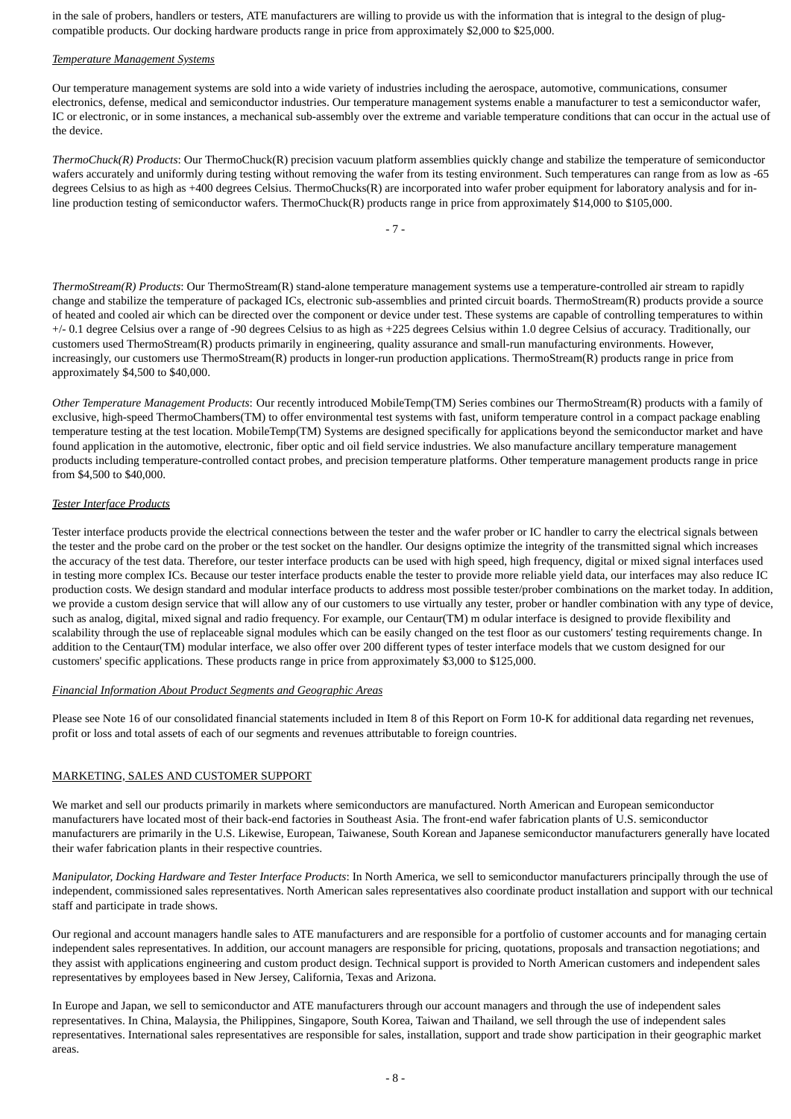in the sale of probers, handlers or testers, ATE manufacturers are willing to provide us with the information that is integral to the design of plugcompatible products. Our docking hardware products range in price from approximately \$2,000 to \$25,000.

#### *Temperature Management Systems*

Our temperature management systems are sold into a wide variety of industries including the aerospace, automotive, communications, consumer electronics, defense, medical and semiconductor industries. Our temperature management systems enable a manufacturer to test a semiconductor wafer, IC or electronic, or in some instances, a mechanical sub-assembly over the extreme and variable temperature conditions that can occur in the actual use of the device.

*ThermoChuck(R) Products*: Our ThermoChuck(R) precision vacuum platform assemblies quickly change and stabilize the temperature of semiconductor wafers accurately and uniformly during testing without removing the wafer from its testing environment. Such temperatures can range from as low as -65 degrees Celsius to as high as +400 degrees Celsius. ThermoChucks(R) are incorporated into wafer prober equipment for laboratory analysis and for inline production testing of semiconductor wafers. ThermoChuck(R) products range in price from approximately \$14,000 to \$105,000.

- 7 -

*ThermoStream(R) Products*: Our ThermoStream(R) stand-alone temperature management systems use a temperature-controlled air stream to rapidly change and stabilize the temperature of packaged ICs, electronic sub-assemblies and printed circuit boards. ThermoStream(R) products provide a source of heated and cooled air which can be directed over the component or device under test. These systems are capable of controlling temperatures to within +/- 0.1 degree Celsius over a range of -90 degrees Celsius to as high as +225 degrees Celsius within 1.0 degree Celsius of accuracy. Traditionally, our customers used ThermoStream(R) products primarily in engineering, quality assurance and small-run manufacturing environments. However, increasingly, our customers use ThermoStream(R) products in longer-run production applications. ThermoStream(R) products range in price from approximately \$4,500 to \$40,000.

*Other Temperature Management Products*: Our recently introduced MobileTemp(TM) Series combines our ThermoStream(R) products with a family of exclusive, high-speed ThermoChambers(TM) to offer environmental test systems with fast, uniform temperature control in a compact package enabling temperature testing at the test location. MobileTemp(TM) Systems are designed specifically for applications beyond the semiconductor market and have found application in the automotive, electronic, fiber optic and oil field service industries. We also manufacture ancillary temperature management products including temperature-controlled contact probes, and precision temperature platforms. Other temperature management products range in price from \$4,500 to \$40,000.

### *Tester Interface Products*

Tester interface products provide the electrical connections between the tester and the wafer prober or IC handler to carry the electrical signals between the tester and the probe card on the prober or the test socket on the handler. Our designs optimize the integrity of the transmitted signal which increases the accuracy of the test data. Therefore, our tester interface products can be used with high speed, high frequency, digital or mixed signal interfaces used in testing more complex ICs. Because our tester interface products enable the tester to provide more reliable yield data, our interfaces may also reduce IC production costs. We design standard and modular interface products to address most possible tester/prober combinations on the market today. In addition, we provide a custom design service that will allow any of our customers to use virtually any tester, prober or handler combination with any type of device, such as analog, digital, mixed signal and radio frequency. For example, our Centaur(TM) m odular interface is designed to provide flexibility and scalability through the use of replaceable signal modules which can be easily changed on the test floor as our customers' testing requirements change. In addition to the Centaur(TM) modular interface, we also offer over 200 different types of tester interface models that we custom designed for our customers' specific applications. These products range in price from approximately \$3,000 to \$125,000.

## *Financial Information About Product Segments and Geographic Areas*

Please see Note 16 of our consolidated financial statements included in Item 8 of this Report on Form 10-K for additional data regarding net revenues, profit or loss and total assets of each of our segments and revenues attributable to foreign countries.

## MARKETING, SALES AND CUSTOMER SUPPORT

We market and sell our products primarily in markets where semiconductors are manufactured. North American and European semiconductor manufacturers have located most of their back-end factories in Southeast Asia. The front-end wafer fabrication plants of U.S. semiconductor manufacturers are primarily in the U.S. Likewise, European, Taiwanese, South Korean and Japanese semiconductor manufacturers generally have located their wafer fabrication plants in their respective countries.

*Manipulator, Docking Hardware and Tester Interface Products*: In North America, we sell to semiconductor manufacturers principally through the use of independent, commissioned sales representatives. North American sales representatives also coordinate product installation and support with our technical staff and participate in trade shows.

Our regional and account managers handle sales to ATE manufacturers and are responsible for a portfolio of customer accounts and for managing certain independent sales representatives. In addition, our account managers are responsible for pricing, quotations, proposals and transaction negotiations; and they assist with applications engineering and custom product design. Technical support is provided to North American customers and independent sales representatives by employees based in New Jersey, California, Texas and Arizona.

In Europe and Japan, we sell to semiconductor and ATE manufacturers through our account managers and through the use of independent sales representatives. In China, Malaysia, the Philippines, Singapore, South Korea, Taiwan and Thailand, we sell through the use of independent sales representatives. International sales representatives are responsible for sales, installation, support and trade show participation in their geographic market areas.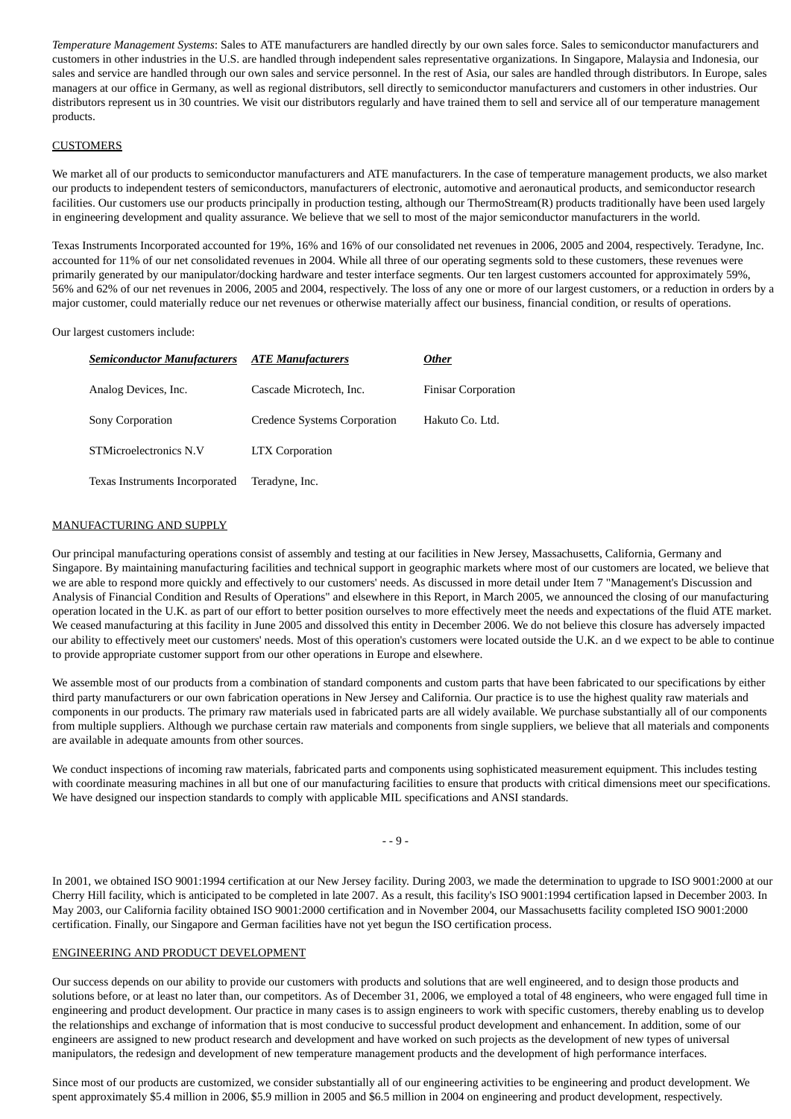*Temperature Management Systems*: Sales to ATE manufacturers are handled directly by our own sales force. Sales to semiconductor manufacturers and customers in other industries in the U.S. are handled through independent sales representative organizations. In Singapore, Malaysia and Indonesia, our sales and service are handled through our own sales and service personnel. In the rest of Asia, our sales are handled through distributors. In Europe, sales managers at our office in Germany, as well as regional distributors, sell directly to semiconductor manufacturers and customers in other industries. Our distributors represent us in 30 countries. We visit our distributors regularly and have trained them to sell and service all of our temperature management products.

## CUSTOMERS

We market all of our products to semiconductor manufacturers and ATE manufacturers. In the case of temperature management products, we also market our products to independent testers of semiconductors, manufacturers of electronic, automotive and aeronautical products, and semiconductor research facilities. Our customers use our products principally in production testing, although our ThermoStream(R) products traditionally have been used largely in engineering development and quality assurance. We believe that we sell to most of the major semiconductor manufacturers in the world.

Texas Instruments Incorporated accounted for 19%, 16% and 16% of our consolidated net revenues in 2006, 2005 and 2004, respectively. Teradyne, Inc. accounted for 11% of our net consolidated revenues in 2004. While all three of our operating segments sold to these customers, these revenues were primarily generated by our manipulator/docking hardware and tester interface segments. Our ten largest customers accounted for approximately 59%, 56% and 62% of our net revenues in 2006, 2005 and 2004, respectively. The loss of any one or more of our largest customers, or a reduction in orders by a major customer, could materially reduce our net revenues or otherwise materially affect our business, financial condition, or results of operations.

Our largest customers include:

| <b>Semiconductor Manufacturers</b> | ATE Manufacturers                   | <b>Other</b>               |
|------------------------------------|-------------------------------------|----------------------------|
| Analog Devices, Inc.               | Cascade Microtech, Inc.             | <b>Finisar Corporation</b> |
| <b>Sony Corporation</b>            | <b>Credence Systems Corporation</b> | Hakuto Co. Ltd.            |
| STMicroelectronics N.V             | <b>LTX Corporation</b>              |                            |
| Texas Instruments Incorporated     | Teradyne, Inc.                      |                            |

### MANUFACTURING AND SUPPLY

Our principal manufacturing operations consist of assembly and testing at our facilities in New Jersey, Massachusetts, California, Germany and Singapore. By maintaining manufacturing facilities and technical support in geographic markets where most of our customers are located, we believe that we are able to respond more quickly and effectively to our customers' needs. As discussed in more detail under Item 7 "Management's Discussion and Analysis of Financial Condition and Results of Operations" and elsewhere in this Report, in March 2005, we announced the closing of our manufacturing operation located in the U.K. as part of our effort to better position ourselves to more effectively meet the needs and expectations of the fluid ATE market. We ceased manufacturing at this facility in June 2005 and dissolved this entity in December 2006. We do not believe this closure has adversely impacted our ability to effectively meet our customers' needs. Most of this operation's customers were located outside the U.K. an d we expect to be able to continue to provide appropriate customer support from our other operations in Europe and elsewhere.

We assemble most of our products from a combination of standard components and custom parts that have been fabricated to our specifications by either third party manufacturers or our own fabrication operations in New Jersey and California. Our practice is to use the highest quality raw materials and components in our products. The primary raw materials used in fabricated parts are all widely available. We purchase substantially all of our components from multiple suppliers. Although we purchase certain raw materials and components from single suppliers, we believe that all materials and components are available in adequate amounts from other sources.

We conduct inspections of incoming raw materials, fabricated parts and components using sophisticated measurement equipment. This includes testing with coordinate measuring machines in all but one of our manufacturing facilities to ensure that products with critical dimensions meet our specifications. We have designed our inspection standards to comply with applicable MIL specifications and ANSI standards.

- - 9 -

In 2001, we obtained ISO 9001:1994 certification at our New Jersey facility. During 2003, we made the determination to upgrade to ISO 9001:2000 at our Cherry Hill facility, which is anticipated to be completed in late 2007. As a result, this facility's ISO 9001:1994 certification lapsed in December 2003. In May 2003, our California facility obtained ISO 9001:2000 certification and in November 2004, our Massachusetts facility completed ISO 9001:2000 certification. Finally, our Singapore and German facilities have not yet begun the ISO certification process.

#### ENGINEERING AND PRODUCT DEVELOPMENT

Our success depends on our ability to provide our customers with products and solutions that are well engineered, and to design those products and solutions before, or at least no later than, our competitors. As of December 31, 2006, we employed a total of 48 engineers, who were engaged full time in engineering and product development. Our practice in many cases is to assign engineers to work with specific customers, thereby enabling us to develop the relationships and exchange of information that is most conducive to successful product development and enhancement. In addition, some of our engineers are assigned to new product research and development and have worked on such projects as the development of new types of universal manipulators, the redesign and development of new temperature management products and the development of high performance interfaces.

Since most of our products are customized, we consider substantially all of our engineering activities to be engineering and product development. We spent approximately \$5.4 million in 2006, \$5.9 million in 2005 and \$6.5 million in 2004 on engineering and product development, respectively.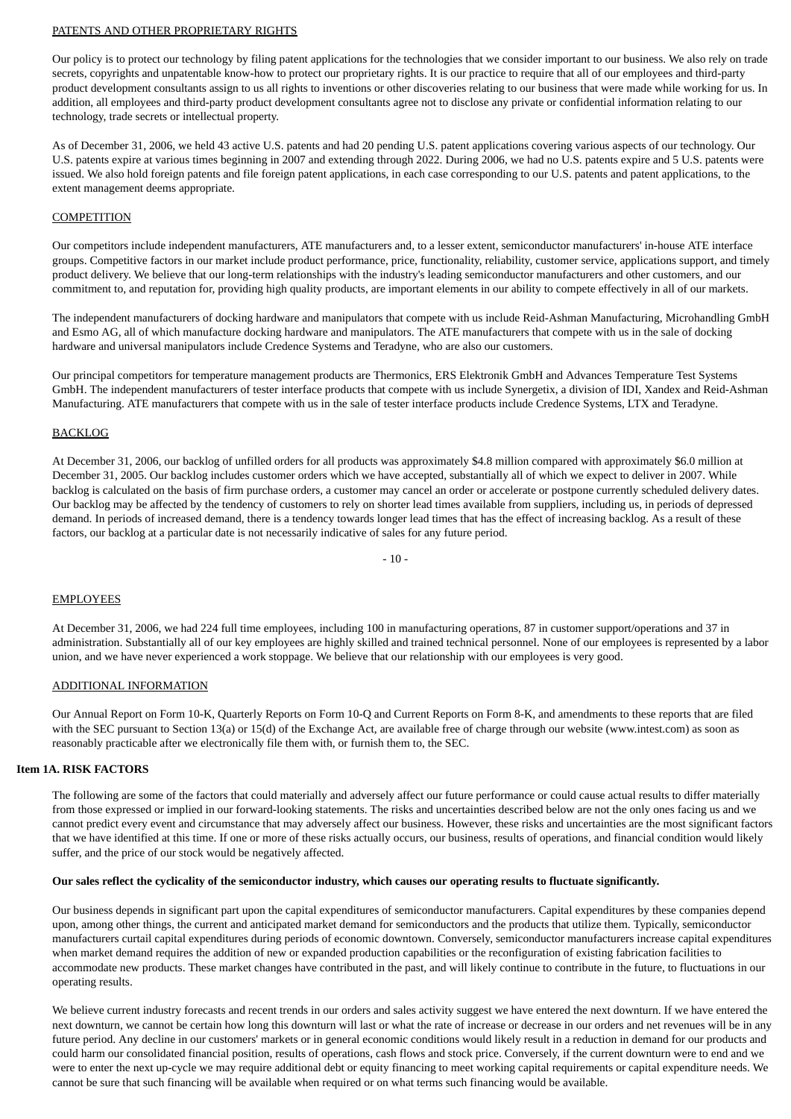### PATENTS AND OTHER PROPRIETARY RIGHTS

Our policy is to protect our technology by filing patent applications for the technologies that we consider important to our business. We also rely on trade secrets, copyrights and unpatentable know-how to protect our proprietary rights. It is our practice to require that all of our employees and third-party product development consultants assign to us all rights to inventions or other discoveries relating to our business that were made while working for us. In addition, all employees and third-party product development consultants agree not to disclose any private or confidential information relating to our technology, trade secrets or intellectual property.

As of December 31, 2006, we held 43 active U.S. patents and had 20 pending U.S. patent applications covering various aspects of our technology. Our U.S. patents expire at various times beginning in 2007 and extending through 2022. During 2006, we had no U.S. patents expire and 5 U.S. patents were issued. We also hold foreign patents and file foreign patent applications, in each case corresponding to our U.S. patents and patent applications, to the extent management deems appropriate.

### **COMPETITION**

Our competitors include independent manufacturers, ATE manufacturers and, to a lesser extent, semiconductor manufacturers' in-house ATE interface groups. Competitive factors in our market include product performance, price, functionality, reliability, customer service, applications support, and timely product delivery. We believe that our long-term relationships with the industry's leading semiconductor manufacturers and other customers, and our commitment to, and reputation for, providing high quality products, are important elements in our ability to compete effectively in all of our markets.

The independent manufacturers of docking hardware and manipulators that compete with us include Reid-Ashman Manufacturing, Microhandling GmbH and Esmo AG, all of which manufacture docking hardware and manipulators. The ATE manufacturers that compete with us in the sale of docking hardware and universal manipulators include Credence Systems and Teradyne, who are also our customers.

Our principal competitors for temperature management products are Thermonics, ERS Elektronik GmbH and Advances Temperature Test Systems GmbH. The independent manufacturers of tester interface products that compete with us include Synergetix, a division of IDI, Xandex and Reid-Ashman Manufacturing. ATE manufacturers that compete with us in the sale of tester interface products include Credence Systems, LTX and Teradyne.

### BACKLOG

At December 31, 2006, our backlog of unfilled orders for all products was approximately \$4.8 million compared with approximately \$6.0 million at December 31, 2005. Our backlog includes customer orders which we have accepted, substantially all of which we expect to deliver in 2007. While backlog is calculated on the basis of firm purchase orders, a customer may cancel an order or accelerate or postpone currently scheduled delivery dates. Our backlog may be affected by the tendency of customers to rely on shorter lead times available from suppliers, including us, in periods of depressed demand. In periods of increased demand, there is a tendency towards longer lead times that has the effect of increasing backlog. As a result of these factors, our backlog at a particular date is not necessarily indicative of sales for any future period.

- 10 -

#### EMPLOYEES

At December 31, 2006, we had 224 full time employees, including 100 in manufacturing operations, 87 in customer support/operations and 37 in administration. Substantially all of our key employees are highly skilled and trained technical personnel. None of our employees is represented by a labor union, and we have never experienced a work stoppage. We believe that our relationship with our employees is very good.

#### ADDITIONAL INFORMATION

Our Annual Report on Form 10-K, Quarterly Reports on Form 10-Q and Current Reports on Form 8-K, and amendments to these reports that are filed with the SEC pursuant to Section 13(a) or 15(d) of the Exchange Act, are available free of charge through our website (www.intest.com) as soon as reasonably practicable after we electronically file them with, or furnish them to, the SEC.

### **Item 1A. RISK FACTORS**

The following are some of the factors that could materially and adversely affect our future performance or could cause actual results to differ materially from those expressed or implied in our forward-looking statements. The risks and uncertainties described below are not the only ones facing us and we cannot predict every event and circumstance that may adversely affect our business. However, these risks and uncertainties are the most significant factors that we have identified at this time. If one or more of these risks actually occurs, our business, results of operations, and financial condition would likely suffer, and the price of our stock would be negatively affected.

#### **Our sales reflect the cyclicality of the semiconductor industry, which causes our operating results to fluctuate significantly.**

Our business depends in significant part upon the capital expenditures of semiconductor manufacturers. Capital expenditures by these companies depend upon, among other things, the current and anticipated market demand for semiconductors and the products that utilize them. Typically, semiconductor manufacturers curtail capital expenditures during periods of economic downtown. Conversely, semiconductor manufacturers increase capital expenditures when market demand requires the addition of new or expanded production capabilities or the reconfiguration of existing fabrication facilities to accommodate new products. These market changes have contributed in the past, and will likely continue to contribute in the future, to fluctuations in our operating results.

We believe current industry forecasts and recent trends in our orders and sales activity suggest we have entered the next downturn. If we have entered the next downturn, we cannot be certain how long this downturn will last or what the rate of increase or decrease in our orders and net revenues will be in any future period. Any decline in our customers' markets or in general economic conditions would likely result in a reduction in demand for our products and could harm our consolidated financial position, results of operations, cash flows and stock price. Conversely, if the current downturn were to end and we were to enter the next up-cycle we may require additional debt or equity financing to meet working capital requirements or capital expenditure needs. We cannot be sure that such financing will be available when required or on what terms such financing would be available.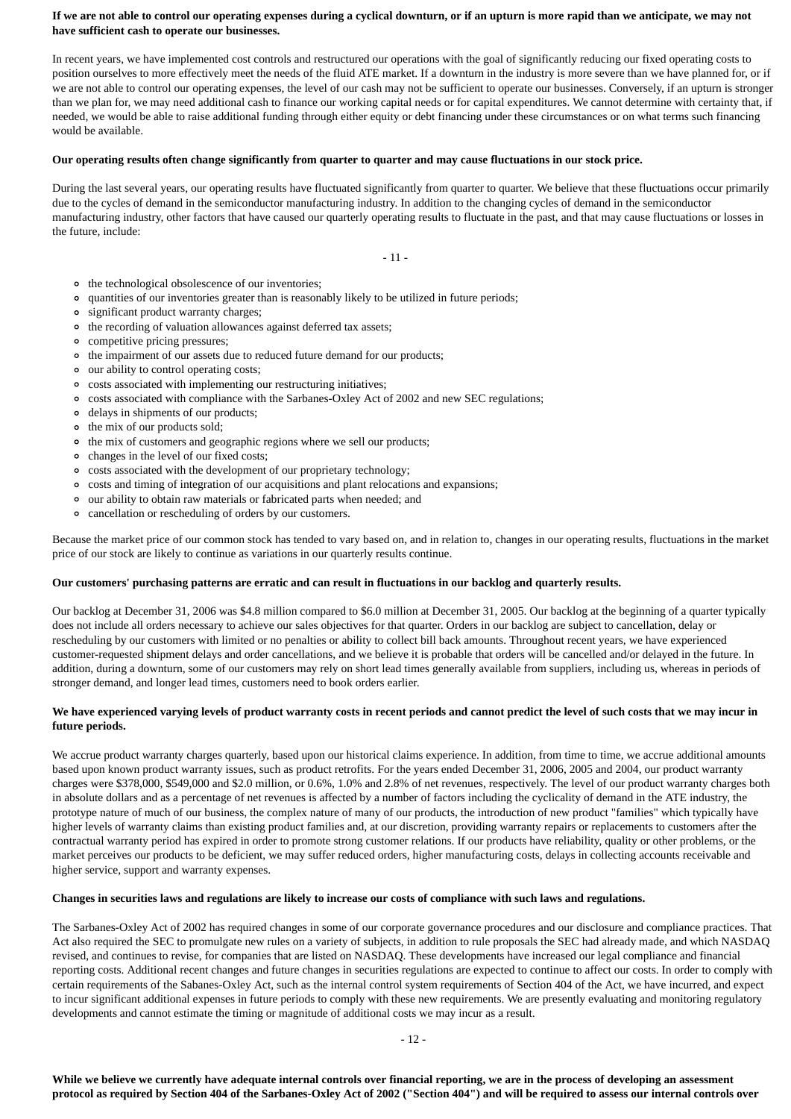## **If we are not able to control our operating expenses during a cyclical downturn, or if an upturn is more rapid than we anticipate, we may not have sufficient cash to operate our businesses.**

In recent years, we have implemented cost controls and restructured our operations with the goal of significantly reducing our fixed operating costs to position ourselves to more effectively meet the needs of the fluid ATE market. If a downturn in the industry is more severe than we have planned for, or if we are not able to control our operating expenses, the level of our cash may not be sufficient to operate our businesses. Conversely, if an upturn is stronger than we plan for, we may need additional cash to finance our working capital needs or for capital expenditures. We cannot determine with certainty that, if needed, we would be able to raise additional funding through either equity or debt financing under these circumstances or on what terms such financing would be available.

#### **Our operating results often change significantly from quarter to quarter and may cause fluctuations in our stock price.**

During the last several years, our operating results have fluctuated significantly from quarter to quarter. We believe that these fluctuations occur primarily due to the cycles of demand in the semiconductor manufacturing industry. In addition to the changing cycles of demand in the semiconductor manufacturing industry, other factors that have caused our quarterly operating results to fluctuate in the past, and that may cause fluctuations or losses in the future, include:

- 11 -

- $\circ$  the technological obsolescence of our inventories;
- quantities of our inventories greater than is reasonably likely to be utilized in future periods;  $\circ$
- significant product warranty charges;  $\circ$
- the recording of valuation allowances against deferred tax assets;
- competitive pricing pressures;
- the impairment of our assets due to reduced future demand for our products;
- our ability to control operating costs;
- costs associated with implementing our restructuring initiatives;
- costs associated with compliance with the Sarbanes-Oxley Act of 2002 and new SEC regulations;
- delays in shipments of our products;
- the mix of our products sold;
- the mix of customers and geographic regions where we sell our products;
- changes in the level of our fixed costs;
- costs associated with the development of our proprietary technology;
- costs and timing of integration of our acquisitions and plant relocations and expansions;
- our ability to obtain raw materials or fabricated parts when needed; and  $\circ$
- cancellation or rescheduling of orders by our customers.  $\circ$

Because the market price of our common stock has tended to vary based on, and in relation to, changes in our operating results, fluctuations in the market price of our stock are likely to continue as variations in our quarterly results continue.

#### **Our customers' purchasing patterns are erratic and can result in fluctuations in our backlog and quarterly results.**

Our backlog at December 31, 2006 was \$4.8 million compared to \$6.0 million at December 31, 2005. Our backlog at the beginning of a quarter typically does not include all orders necessary to achieve our sales objectives for that quarter. Orders in our backlog are subject to cancellation, delay or rescheduling by our customers with limited or no penalties or ability to collect bill back amounts. Throughout recent years, we have experienced customer-requested shipment delays and order cancellations, and we believe it is probable that orders will be cancelled and/or delayed in the future. In addition, during a downturn, some of our customers may rely on short lead times generally available from suppliers, including us, whereas in periods of stronger demand, and longer lead times, customers need to book orders earlier.

### **We have experienced varying levels of product warranty costs in recent periods and cannot predict the level of such costs that we may incur in future periods.**

We accrue product warranty charges quarterly, based upon our historical claims experience. In addition, from time to time, we accrue additional amounts based upon known product warranty issues, such as product retrofits. For the years ended December 31, 2006, 2005 and 2004, our product warranty charges were \$378,000, \$549,000 and \$2.0 million, or 0.6%, 1.0% and 2.8% of net revenues, respectively. The level of our product warranty charges both in absolute dollars and as a percentage of net revenues is affected by a number of factors including the cyclicality of demand in the ATE industry, the prototype nature of much of our business, the complex nature of many of our products, the introduction of new product "families" which typically have higher levels of warranty claims than existing product families and, at our discretion, providing warranty repairs or replacements to customers after the contractual warranty period has expired in order to promote strong customer relations. If our products have reliability, quality or other problems, or the market perceives our products to be deficient, we may suffer reduced orders, higher manufacturing costs, delays in collecting accounts receivable and higher service, support and warranty expenses.

#### **Changes in securities laws and regulations are likely to increase our costs of compliance with such laws and regulations.**

The Sarbanes-Oxley Act of 2002 has required changes in some of our corporate governance procedures and our disclosure and compliance practices. That Act also required the SEC to promulgate new rules on a variety of subjects, in addition to rule proposals the SEC had already made, and which NASDAQ revised, and continues to revise, for companies that are listed on NASDAQ. These developments have increased our legal compliance and financial reporting costs. Additional recent changes and future changes in securities regulations are expected to continue to affect our costs. In order to comply with certain requirements of the Sabanes-Oxley Act, such as the internal control system requirements of Section 404 of the Act, we have incurred, and expect to incur significant additional expenses in future periods to comply with these new requirements. We are presently evaluating and monitoring regulatory developments and cannot estimate the timing or magnitude of additional costs we may incur as a result.

 $-12-$ 

**While we believe we currently have adequate internal controls over financial reporting, we are in the process of developing an assessment protocol as required by Section 404 of the Sarbanes-Oxley Act of 2002 ("Section 404") and will be required to assess our internal controls over**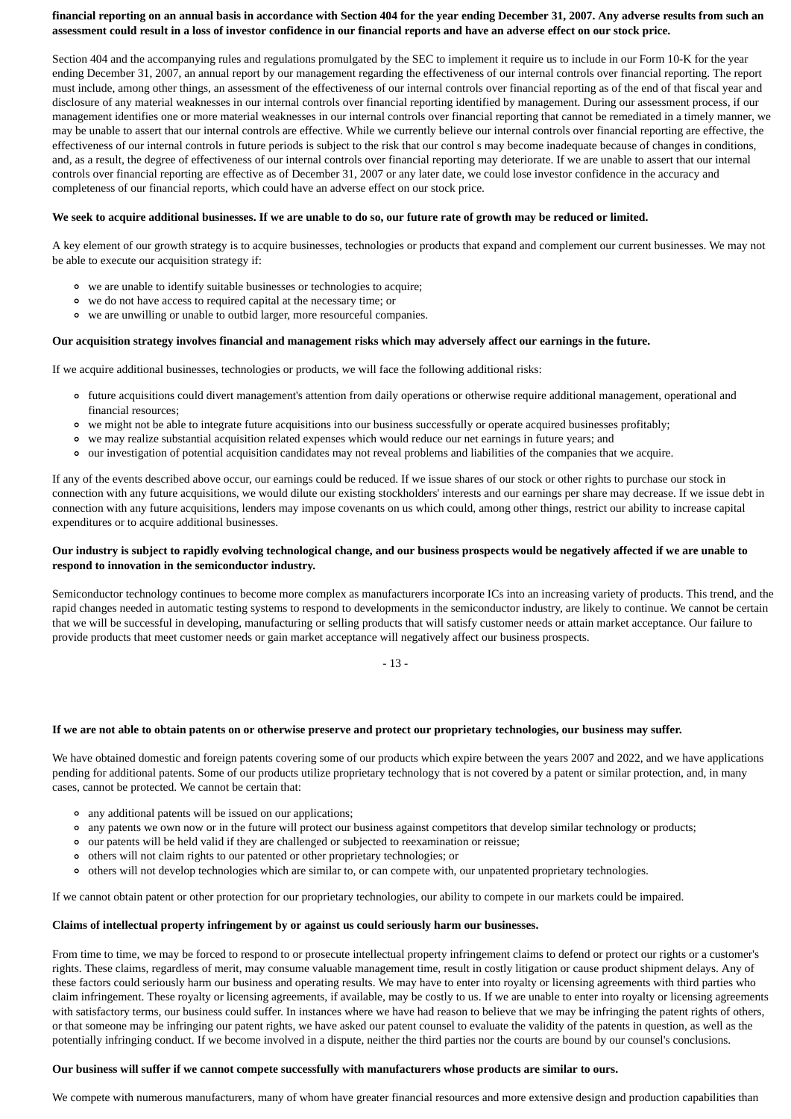## **financial reporting on an annual basis in accordance with Section 404 for the year ending December 31, 2007. Any adverse results from such an assessment could result in a loss of investor confidence in our financial reports and have an adverse effect on our stock price.**

Section 404 and the accompanying rules and regulations promulgated by the SEC to implement it require us to include in our Form 10-K for the year ending December 31, 2007, an annual report by our management regarding the effectiveness of our internal controls over financial reporting. The report must include, among other things, an assessment of the effectiveness of our internal controls over financial reporting as of the end of that fiscal year and disclosure of any material weaknesses in our internal controls over financial reporting identified by management. During our assessment process, if our management identifies one or more material weaknesses in our internal controls over financial reporting that cannot be remediated in a timely manner, we may be unable to assert that our internal controls are effective. While we currently believe our internal controls over financial reporting are effective, the effectiveness of our internal controls in future periods is subject to the risk that our control s may become inadequate because of changes in conditions, and, as a result, the degree of effectiveness of our internal controls over financial reporting may deteriorate. If we are unable to assert that our internal controls over financial reporting are effective as of December 31, 2007 or any later date, we could lose investor confidence in the accuracy and completeness of our financial reports, which could have an adverse effect on our stock price.

### **We seek to acquire additional businesses. If we are unable to do so, our future rate of growth may be reduced or limited.**

A key element of our growth strategy is to acquire businesses, technologies or products that expand and complement our current businesses. We may not be able to execute our acquisition strategy if:

- we are unable to identify suitable businesses or technologies to acquire;
- we do not have access to required capital at the necessary time; or
- we are unwilling or unable to outbid larger, more resourceful companies.

### **Our acquisition strategy involves financial and management risks which may adversely affect our earnings in the future.**

If we acquire additional businesses, technologies or products, we will face the following additional risks:

- future acquisitions could divert management's attention from daily operations or otherwise require additional management, operational and financial resources;
- we might not be able to integrate future acquisitions into our business successfully or operate acquired businesses profitably;
- we may realize substantial acquisition related expenses which would reduce our net earnings in future years; and
- our investigation of potential acquisition candidates may not reveal problems and liabilities of the companies that we acquire.

If any of the events described above occur, our earnings could be reduced. If we issue shares of our stock or other rights to purchase our stock in connection with any future acquisitions, we would dilute our existing stockholders' interests and our earnings per share may decrease. If we issue debt in connection with any future acquisitions, lenders may impose covenants on us which could, among other things, restrict our ability to increase capital expenditures or to acquire additional businesses.

### **Our industry is subject to rapidly evolving technological change, and our business prospects would be negatively affected if we are unable to respond to innovation in the semiconductor industry.**

Semiconductor technology continues to become more complex as manufacturers incorporate ICs into an increasing variety of products. This trend, and the rapid changes needed in automatic testing systems to respond to developments in the semiconductor industry, are likely to continue. We cannot be certain that we will be successful in developing, manufacturing or selling products that will satisfy customer needs or attain market acceptance. Our failure to provide products that meet customer needs or gain market acceptance will negatively affect our business prospects.

- 13 -

#### **If we are not able to obtain patents on or otherwise preserve and protect our proprietary technologies, our business may suffer.**

We have obtained domestic and foreign patents covering some of our products which expire between the years 2007 and 2022, and we have applications pending for additional patents. Some of our products utilize proprietary technology that is not covered by a patent or similar protection, and, in many cases, cannot be protected. We cannot be certain that:

- any additional patents will be issued on our applications;
- any patents we own now or in the future will protect our business against competitors that develop similar technology or products;
- our patents will be held valid if they are challenged or subjected to reexamination or reissue;
- others will not claim rights to our patented or other proprietary technologies; or
- others will not develop technologies which are similar to, or can compete with, our unpatented proprietary technologies.

If we cannot obtain patent or other protection for our proprietary technologies, our ability to compete in our markets could be impaired.

#### **Claims of intellectual property infringement by or against us could seriously harm our businesses.**

From time to time, we may be forced to respond to or prosecute intellectual property infringement claims to defend or protect our rights or a customer's rights. These claims, regardless of merit, may consume valuable management time, result in costly litigation or cause product shipment delays. Any of these factors could seriously harm our business and operating results. We may have to enter into royalty or licensing agreements with third parties who claim infringement. These royalty or licensing agreements, if available, may be costly to us. If we are unable to enter into royalty or licensing agreements with satisfactory terms, our business could suffer. In instances where we have had reason to believe that we may be infringing the patent rights of others, or that someone may be infringing our patent rights, we have asked our patent counsel to evaluate the validity of the patents in question, as well as the potentially infringing conduct. If we become involved in a dispute, neither the third parties nor the courts are bound by our counsel's conclusions.

## **Our business will suffer if we cannot compete successfully with manufacturers whose products are similar to ours.**

We compete with numerous manufacturers, many of whom have greater financial resources and more extensive design and production capabilities than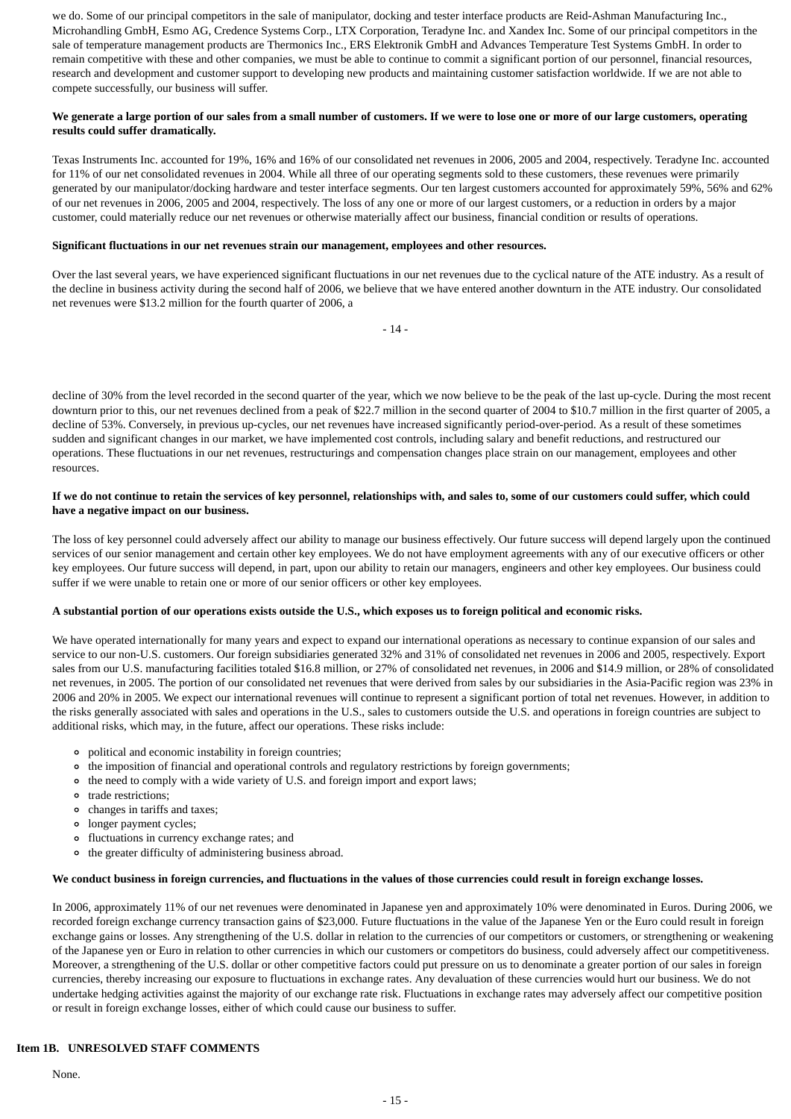we do. Some of our principal competitors in the sale of manipulator, docking and tester interface products are Reid-Ashman Manufacturing Inc., Microhandling GmbH, Esmo AG, Credence Systems Corp., LTX Corporation, Teradyne Inc. and Xandex Inc. Some of our principal competitors in the sale of temperature management products are Thermonics Inc., ERS Elektronik GmbH and Advances Temperature Test Systems GmbH. In order to remain competitive with these and other companies, we must be able to continue to commit a significant portion of our personnel, financial resources, research and development and customer support to developing new products and maintaining customer satisfaction worldwide. If we are not able to compete successfully, our business will suffer.

## **We generate a large portion of our sales from a small number of customers. If we were to lose one or more of our large customers, operating results could suffer dramatically.**

Texas Instruments Inc. accounted for 19%, 16% and 16% of our consolidated net revenues in 2006, 2005 and 2004, respectively. Teradyne Inc. accounted for 11% of our net consolidated revenues in 2004. While all three of our operating segments sold to these customers, these revenues were primarily generated by our manipulator/docking hardware and tester interface segments. Our ten largest customers accounted for approximately 59%, 56% and 62% of our net revenues in 2006, 2005 and 2004, respectively. The loss of any one or more of our largest customers, or a reduction in orders by a major customer, could materially reduce our net revenues or otherwise materially affect our business, financial condition or results of operations.

### **Significant fluctuations in our net revenues strain our management, employees and other resources.**

Over the last several years, we have experienced significant fluctuations in our net revenues due to the cyclical nature of the ATE industry. As a result of the decline in business activity during the second half of 2006, we believe that we have entered another downturn in the ATE industry. Our consolidated net revenues were \$13.2 million for the fourth quarter of 2006, a

- 14 -

decline of 30% from the level recorded in the second quarter of the year, which we now believe to be the peak of the last up-cycle. During the most recent downturn prior to this, our net revenues declined from a peak of \$22.7 million in the second quarter of 2004 to \$10.7 million in the first quarter of 2005, a decline of 53%. Conversely, in previous up-cycles, our net revenues have increased significantly period-over-period. As a result of these sometimes sudden and significant changes in our market, we have implemented cost controls, including salary and benefit reductions, and restructured our operations. These fluctuations in our net revenues, restructurings and compensation changes place strain on our management, employees and other resources.

### **If we do not continue to retain the services of key personnel, relationships with, and sales to, some of our customers could suffer, which could have a negative impact on our business.**

The loss of key personnel could adversely affect our ability to manage our business effectively. Our future success will depend largely upon the continued services of our senior management and certain other key employees. We do not have employment agreements with any of our executive officers or other key employees. Our future success will depend, in part, upon our ability to retain our managers, engineers and other key employees. Our business could suffer if we were unable to retain one or more of our senior officers or other key employees.

## **A substantial portion of our operations exists outside the U.S., which exposes us to foreign political and economic risks.**

We have operated internationally for many years and expect to expand our international operations as necessary to continue expansion of our sales and service to our non-U.S. customers. Our foreign subsidiaries generated 32% and 31% of consolidated net revenues in 2006 and 2005, respectively. Export sales from our U.S. manufacturing facilities totaled \$16.8 million, or 27% of consolidated net revenues, in 2006 and \$14.9 million, or 28% of consolidated net revenues, in 2005. The portion of our consolidated net revenues that were derived from sales by our subsidiaries in the Asia-Pacific region was 23% in 2006 and 20% in 2005. We expect our international revenues will continue to represent a significant portion of total net revenues. However, in addition to the risks generally associated with sales and operations in the U.S., sales to customers outside the U.S. and operations in foreign countries are subject to additional risks, which may, in the future, affect our operations. These risks include:

- political and economic instability in foreign countries;
- the imposition of financial and operational controls and regulatory restrictions by foreign governments;
- the need to comply with a wide variety of U.S. and foreign import and export laws;
- trade restrictions;
- changes in tariffs and taxes;
- longer payment cycles;
- fluctuations in currency exchange rates; and
- the greater difficulty of administering business abroad.

#### **We conduct business in foreign currencies, and fluctuations in the values of those currencies could result in foreign exchange losses.**

In 2006, approximately 11% of our net revenues were denominated in Japanese yen and approximately 10% were denominated in Euros. During 2006, we recorded foreign exchange currency transaction gains of \$23,000. Future fluctuations in the value of the Japanese Yen or the Euro could result in foreign exchange gains or losses. Any strengthening of the U.S. dollar in relation to the currencies of our competitors or customers, or strengthening or weakening of the Japanese yen or Euro in relation to other currencies in which our customers or competitors do business, could adversely affect our competitiveness. Moreover, a strengthening of the U.S. dollar or other competitive factors could put pressure on us to denominate a greater portion of our sales in foreign currencies, thereby increasing our exposure to fluctuations in exchange rates. Any devaluation of these currencies would hurt our business. We do not undertake hedging activities against the majority of our exchange rate risk. Fluctuations in exchange rates may adversely affect our competitive position or result in foreign exchange losses, either of which could cause our business to suffer.

#### **Item 1B. UNRESOLVED STAFF COMMENTS**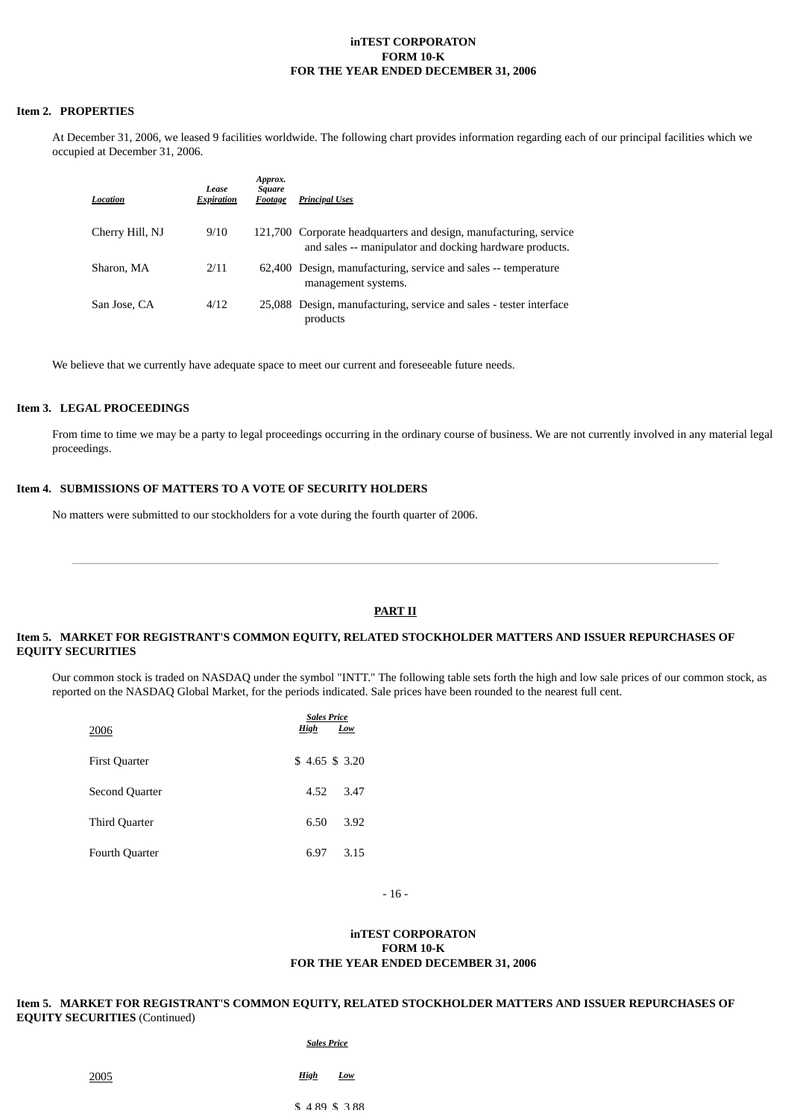## **inTEST CORPORATON FORM 10-K FOR THE YEAR ENDED DECEMBER 31, 2006**

#### **Item 2. PROPERTIES**

At December 31, 2006, we leased 9 facilities worldwide. The following chart provides information regarding each of our principal facilities which we occupied at December 31, 2006.

| Location        | Lease<br><b>Expiration</b> | Approx.<br>Square<br>Footage | <b>Principal Uses</b>                                                                                                        |
|-----------------|----------------------------|------------------------------|------------------------------------------------------------------------------------------------------------------------------|
| Cherry Hill, NJ | 9/10                       |                              | 121,700 Corporate headquarters and design, manufacturing, service<br>and sales -- manipulator and docking hardware products. |
| Sharon, MA      | 2/11                       |                              | 62,400 Design, manufacturing, service and sales -- temperature<br>management systems.                                        |
| San Jose, CA    | 4/12                       |                              | 25,088 Design, manufacturing, service and sales - tester interface<br>products                                               |

We believe that we currently have adequate space to meet our current and foreseeable future needs.

#### **Item 3. LEGAL PROCEEDINGS**

From time to time we may be a party to legal proceedings occurring in the ordinary course of business. We are not currently involved in any material legal proceedings.

## **Item 4. SUBMISSIONS OF MATTERS TO A VOTE OF SECURITY HOLDERS**

No matters were submitted to our stockholders for a vote during the fourth quarter of 2006.

#### **PART II**

## **Item 5. MARKET FOR REGISTRANT'S COMMON EQUITY, RELATED STOCKHOLDER MATTERS AND ISSUER REPURCHASES OF EQUITY SECURITIES**

Our common stock is traded on NASDAQ under the symbol "INTT." The following table sets forth the high and low sale prices of our common stock, as reported on the NASDAQ Global Market, for the periods indicated. Sale prices have been rounded to the nearest full cent.

| 2006                  | <b>Sales Price</b><br>High | Low             |
|-----------------------|----------------------------|-----------------|
| <b>First Quarter</b>  |                            | $$4.65$ \$ 3.20 |
| Second Quarter        | 4.52                       | 3.47            |
| Third Quarter         | 6.50                       | 3.92            |
| <b>Fourth Quarter</b> | 6.97                       | 3.15            |

- 16 -

## **inTEST CORPORATON FORM 10-K FOR THE YEAR ENDED DECEMBER 31, 2006**

### **Item 5. MARKET FOR REGISTRANT'S COMMON EQUITY, RELATED STOCKHOLDER MATTERS AND ISSUER REPURCHASES OF EQUITY SECURITIES** (Continued)

*Sales Price*

# 2005 *High Low*

## \$ 4 89 \$ 3 88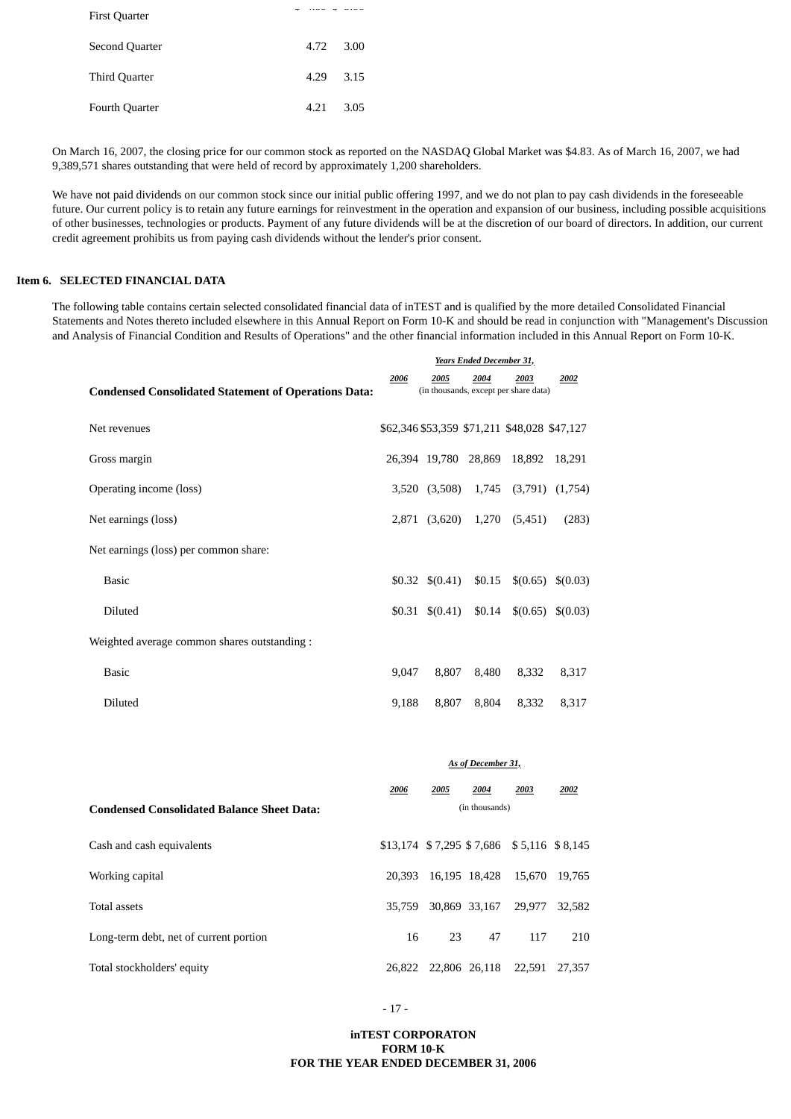| <b>First Quarter</b> |           |      |
|----------------------|-----------|------|
| Second Quarter       | 4.72 3.00 |      |
| Third Quarter        | 4.29      | 3.15 |
| Fourth Quarter       | 4.21      | 3.05 |

On March 16, 2007, the closing price for our common stock as reported on the NASDAQ Global Market was \$4.83. As of March 16, 2007, we had 9,389,571 shares outstanding that were held of record by approximately 1,200 shareholders.

We have not paid dividends on our common stock since our initial public offering 1997, and we do not plan to pay cash dividends in the foreseeable future. Our current policy is to retain any future earnings for reinvestment in the operation and expansion of our business, including possible acquisitions of other businesses, technologies or products. Payment of any future dividends will be at the discretion of our board of directors. In addition, our current credit agreement prohibits us from paying cash dividends without the lender's prior consent.

## **Item 6. SELECTED FINANCIAL DATA**

The following table contains certain selected consolidated financial data of inTEST and is qualified by the more detailed Consolidated Financial Statements and Notes thereto included elsewhere in this Annual Report on Form 10-K and should be read in conjunction with "Management's Discussion and Analysis of Financial Condition and Results of Operations" and the other financial information included in this Annual Report on Form 10-K.

|                                                             | <b>Years Ended December 31,</b> |                       |       |                                               |        |
|-------------------------------------------------------------|---------------------------------|-----------------------|-------|-----------------------------------------------|--------|
| <b>Condensed Consolidated Statement of Operations Data:</b> | 2006                            | 2005                  | 2004  | 2003<br>(in thousands, except per share data) | 2002   |
| Net revenues                                                |                                 |                       |       | \$62,346 \$53,359 \$71,211 \$48,028 \$47,127  |        |
| Gross margin                                                |                                 |                       |       | 26,394 19,780 28,869 18,892                   | 18.291 |
| Operating income (loss)                                     |                                 |                       |       | 3,520 (3,508) 1,745 (3,791) (1,754)           |        |
| Net earnings (loss)                                         |                                 |                       |       | 2,871 (3,620) 1,270 (5,451)                   | (283)  |
| Net earnings (loss) per common share:                       |                                 |                       |       |                                               |        |
| <b>Basic</b>                                                |                                 | $$0.32 \quad $(0.41)$ |       | $$0.15 \quad $(0.65) \quad $(0.03)$           |        |
| Diluted                                                     |                                 | $$0.31 \t$(0.41)$     |       | $$0.14 \quad $(0.65) \quad $(0.03)$           |        |
| Weighted average common shares outstanding:                 |                                 |                       |       |                                               |        |
| <b>Basic</b>                                                | 9,047                           | 8,807                 | 8,480 | 8,332                                         | 8,317  |
| Diluted                                                     | 9,188                           | 8,807                 | 8,804 | 8.332                                         | 8,317  |
|                                                             |                                 |                       |       |                                               |        |

|                                                   | As of December 31, |      |                |                                               |        |
|---------------------------------------------------|--------------------|------|----------------|-----------------------------------------------|--------|
|                                                   | 2006               | 2005 | 2004           | 2003                                          | 2002   |
| <b>Condensed Consolidated Balance Sheet Data:</b> |                    |      | (in thousands) |                                               |        |
| Cash and cash equivalents                         |                    |      |                | $$13,174$ \$ 7,295 \$ 7,686 \$ 5,116 \$ 8,145 |        |
| Working capital                                   | 20.393             |      | 16,195 18,428  | 15.670                                        | 19.765 |
| Total assets                                      | 35,759             |      | 30,869 33,167  | 29.977                                        | 32.582 |
| Long-term debt, net of current portion            | 16                 | 23   | 47             | 117                                           | 210    |
| Total stockholders' equity                        | 26.822             |      | 22,806 26,118  | 22.591                                        | 27,357 |

- 17 -

## **inTEST CORPORATON FORM 10-K FOR THE YEAR ENDED DECEMBER 31, 2006**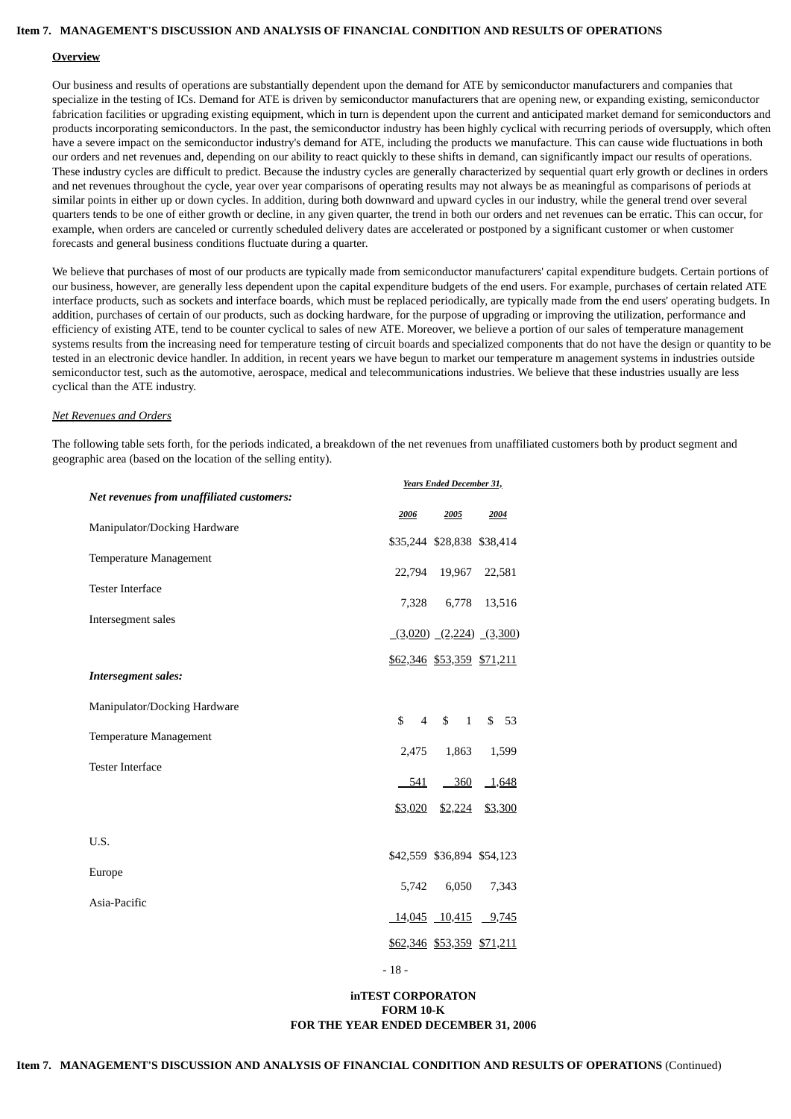#### **Item 7. MANAGEMENT'S DISCUSSION AND ANALYSIS OF FINANCIAL CONDITION AND RESULTS OF OPERATIONS**

## **Overview**

Our business and results of operations are substantially dependent upon the demand for ATE by semiconductor manufacturers and companies that specialize in the testing of ICs. Demand for ATE is driven by semiconductor manufacturers that are opening new, or expanding existing, semiconductor fabrication facilities or upgrading existing equipment, which in turn is dependent upon the current and anticipated market demand for semiconductors and products incorporating semiconductors. In the past, the semiconductor industry has been highly cyclical with recurring periods of oversupply, which often have a severe impact on the semiconductor industry's demand for ATE, including the products we manufacture. This can cause wide fluctuations in both our orders and net revenues and, depending on our ability to react quickly to these shifts in demand, can significantly impact our results of operations. These industry cycles are difficult to predict. Because the industry cycles are generally characterized by sequential quart erly growth or declines in orders and net revenues throughout the cycle, year over year comparisons of operating results may not always be as meaningful as comparisons of periods at similar points in either up or down cycles. In addition, during both downward and upward cycles in our industry, while the general trend over several quarters tends to be one of either growth or decline, in any given quarter, the trend in both our orders and net revenues can be erratic. This can occur, for example, when orders are canceled or currently scheduled delivery dates are accelerated or postponed by a significant customer or when customer forecasts and general business conditions fluctuate during a quarter.

We believe that purchases of most of our products are typically made from semiconductor manufacturers' capital expenditure budgets. Certain portions of our business, however, are generally less dependent upon the capital expenditure budgets of the end users. For example, purchases of certain related ATE interface products, such as sockets and interface boards, which must be replaced periodically, are typically made from the end users' operating budgets. In addition, purchases of certain of our products, such as docking hardware, for the purpose of upgrading or improving the utilization, performance and efficiency of existing ATE, tend to be counter cyclical to sales of new ATE. Moreover, we believe a portion of our sales of temperature management systems results from the increasing need for temperature testing of circuit boards and specialized components that do not have the design or quantity to be tested in an electronic device handler. In addition, in recent years we have begun to market our temperature m anagement systems in industries outside semiconductor test, such as the automotive, aerospace, medical and telecommunications industries. We believe that these industries usually are less cyclical than the ATE industry.

### *Net Revenues and Orders*

The following table sets forth, for the periods indicated, a breakdown of the net revenues from unaffiliated customers both by product segment and geographic area (based on the location of the selling entity).

|                                           | <b>Years Ended December 31,</b> |                                   |                               |
|-------------------------------------------|---------------------------------|-----------------------------------|-------------------------------|
| Net revenues from unaffiliated customers: |                                 |                                   |                               |
|                                           | 2006                            | 2005                              | 2004                          |
| Manipulator/Docking Hardware              |                                 | \$35,244 \$28,838 \$38,414        |                               |
| Temperature Management                    | 22,794                          | 19,967                            | 22,581                        |
| <b>Tester Interface</b>                   | 7,328                           |                                   | 6,778 13,516                  |
| Intersegment sales                        |                                 |                                   | $(3,020)$ $(2,224)$ $(3,300)$ |
|                                           |                                 |                                   |                               |
|                                           |                                 | <u>\$62,346</u> \$53,359 \$71,211 |                               |
| <b>Intersegment sales:</b>                |                                 |                                   |                               |
| Manipulator/Docking Hardware              |                                 |                                   |                               |
|                                           | \$<br>$\overline{4}$            | \$<br>$\overline{1}$              | \$53                          |
| Temperature Management                    |                                 |                                   |                               |
| <b>Tester Interface</b>                   | 2,475                           | 1,863                             | 1,599                         |
|                                           | 541                             | 360                               | 1,648                         |
|                                           | \$3,020                         | \$2,224                           | \$3,300                       |
|                                           |                                 |                                   |                               |
| U.S.                                      |                                 | \$42,559 \$36,894 \$54,123        |                               |
| Europe                                    |                                 |                                   |                               |
| Asia-Pacific                              | 5,742                           | 6,050                             | 7,343                         |
|                                           |                                 | 14,045 10,415                     | $-9,745$                      |
|                                           |                                 | <u>\$62,346</u> \$53,359 \$71,211 |                               |
|                                           |                                 |                                   |                               |

- 18 -

## **inTEST CORPORATON FORM 10-K FOR THE YEAR ENDED DECEMBER 31, 2006**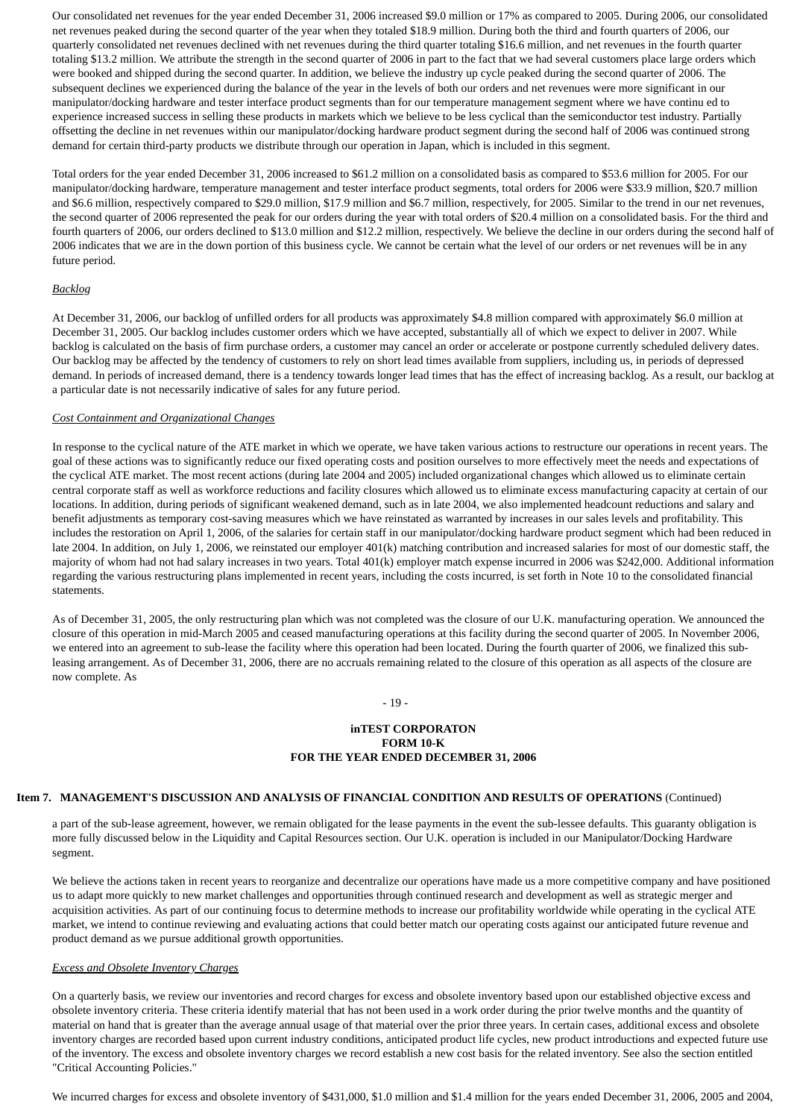Our consolidated net revenues for the year ended December 31, 2006 increased \$9.0 million or 17% as compared to 2005. During 2006, our consolidated net revenues peaked during the second quarter of the year when they totaled \$18.9 million. During both the third and fourth quarters of 2006, our quarterly consolidated net revenues declined with net revenues during the third quarter totaling \$16.6 million, and net revenues in the fourth quarter totaling \$13.2 million. We attribute the strength in the second quarter of 2006 in part to the fact that we had several customers place large orders which were booked and shipped during the second quarter. In addition, we believe the industry up cycle peaked during the second quarter of 2006. The subsequent declines we experienced during the balance of the year in the levels of both our orders and net revenues were more significant in our manipulator/docking hardware and tester interface product segments than for our temperature management segment where we have continu ed to experience increased success in selling these products in markets which we believe to be less cyclical than the semiconductor test industry. Partially offsetting the decline in net revenues within our manipulator/docking hardware product segment during the second half of 2006 was continued strong demand for certain third-party products we distribute through our operation in Japan, which is included in this segment.

Total orders for the year ended December 31, 2006 increased to \$61.2 million on a consolidated basis as compared to \$53.6 million for 2005. For our manipulator/docking hardware, temperature management and tester interface product segments, total orders for 2006 were \$33.9 million, \$20.7 million and \$6.6 million, respectively compared to \$29.0 million, \$17.9 million and \$6.7 million, respectively, for 2005. Similar to the trend in our net revenues, the second quarter of 2006 represented the peak for our orders during the year with total orders of \$20.4 million on a consolidated basis. For the third and fourth quarters of 2006, our orders declined to \$13.0 million and \$12.2 million, respectively. We believe the decline in our orders during the second half of 2006 indicates that we are in the down portion of this business cycle. We cannot be certain what the level of our orders or net revenues will be in any future period.

## *Backlog*

At December 31, 2006, our backlog of unfilled orders for all products was approximately \$4.8 million compared with approximately \$6.0 million at December 31, 2005. Our backlog includes customer orders which we have accepted, substantially all of which we expect to deliver in 2007. While backlog is calculated on the basis of firm purchase orders, a customer may cancel an order or accelerate or postpone currently scheduled delivery dates. Our backlog may be affected by the tendency of customers to rely on short lead times available from suppliers, including us, in periods of depressed demand. In periods of increased demand, there is a tendency towards longer lead times that has the effect of increasing backlog. As a result, our backlog at a particular date is not necessarily indicative of sales for any future period.

### *Cost Containment and Organizational Changes*

In response to the cyclical nature of the ATE market in which we operate, we have taken various actions to restructure our operations in recent years. The goal of these actions was to significantly reduce our fixed operating costs and position ourselves to more effectively meet the needs and expectations of the cyclical ATE market. The most recent actions (during late 2004 and 2005) included organizational changes which allowed us to eliminate certain central corporate staff as well as workforce reductions and facility closures which allowed us to eliminate excess manufacturing capacity at certain of our locations. In addition, during periods of significant weakened demand, such as in late 2004, we also implemented headcount reductions and salary and benefit adjustments as temporary cost-saving measures which we have reinstated as warranted by increases in our sales levels and profitability. This includes the restoration on April 1, 2006, of the salaries for certain staff in our manipulator/docking hardware product segment which had been reduced in late 2004. In addition, on July 1, 2006, we reinstated our employer 401(k) matching contribution and increased salaries for most of our domestic staff, the majority of whom had not had salary increases in two years. Total 401(k) employer match expense incurred in 2006 was \$242,000. Additional information regarding the various restructuring plans implemented in recent years, including the costs incurred, is set forth in Note 10 to the consolidated financial statements.

As of December 31, 2005, the only restructuring plan which was not completed was the closure of our U.K. manufacturing operation. We announced the closure of this operation in mid-March 2005 and ceased manufacturing operations at this facility during the second quarter of 2005. In November 2006, we entered into an agreement to sub-lease the facility where this operation had been located. During the fourth quarter of 2006, we finalized this subleasing arrangement. As of December 31, 2006, there are no accruals remaining related to the closure of this operation as all aspects of the closure are now complete. As

#### - 19 -

## **inTEST CORPORATON FORM 10-K FOR THE YEAR ENDED DECEMBER 31, 2006**

## **Item 7. MANAGEMENT'S DISCUSSION AND ANALYSIS OF FINANCIAL CONDITION AND RESULTS OF OPERATIONS** (Continued)

a part of the sub-lease agreement, however, we remain obligated for the lease payments in the event the sub-lessee defaults. This guaranty obligation is more fully discussed below in the Liquidity and Capital Resources section. Our U.K. operation is included in our Manipulator/Docking Hardware segment.

We believe the actions taken in recent years to reorganize and decentralize our operations have made us a more competitive company and have positioned us to adapt more quickly to new market challenges and opportunities through continued research and development as well as strategic merger and acquisition activities. As part of our continuing focus to determine methods to increase our profitability worldwide while operating in the cyclical ATE market, we intend to continue reviewing and evaluating actions that could better match our operating costs against our anticipated future revenue and product demand as we pursue additional growth opportunities.

#### *Excess and Obsolete Inventory Charges*

On a quarterly basis, we review our inventories and record charges for excess and obsolete inventory based upon our established objective excess and obsolete inventory criteria. These criteria identify material that has not been used in a work order during the prior twelve months and the quantity of material on hand that is greater than the average annual usage of that material over the prior three years. In certain cases, additional excess and obsolete inventory charges are recorded based upon current industry conditions, anticipated product life cycles, new product introductions and expected future use of the inventory. The excess and obsolete inventory charges we record establish a new cost basis for the related inventory. See also the section entitled "Critical Accounting Policies."

We incurred charges for excess and obsolete inventory of \$431,000, \$1.0 million and \$1.4 million for the years ended December 31, 2006, 2005 and 2004,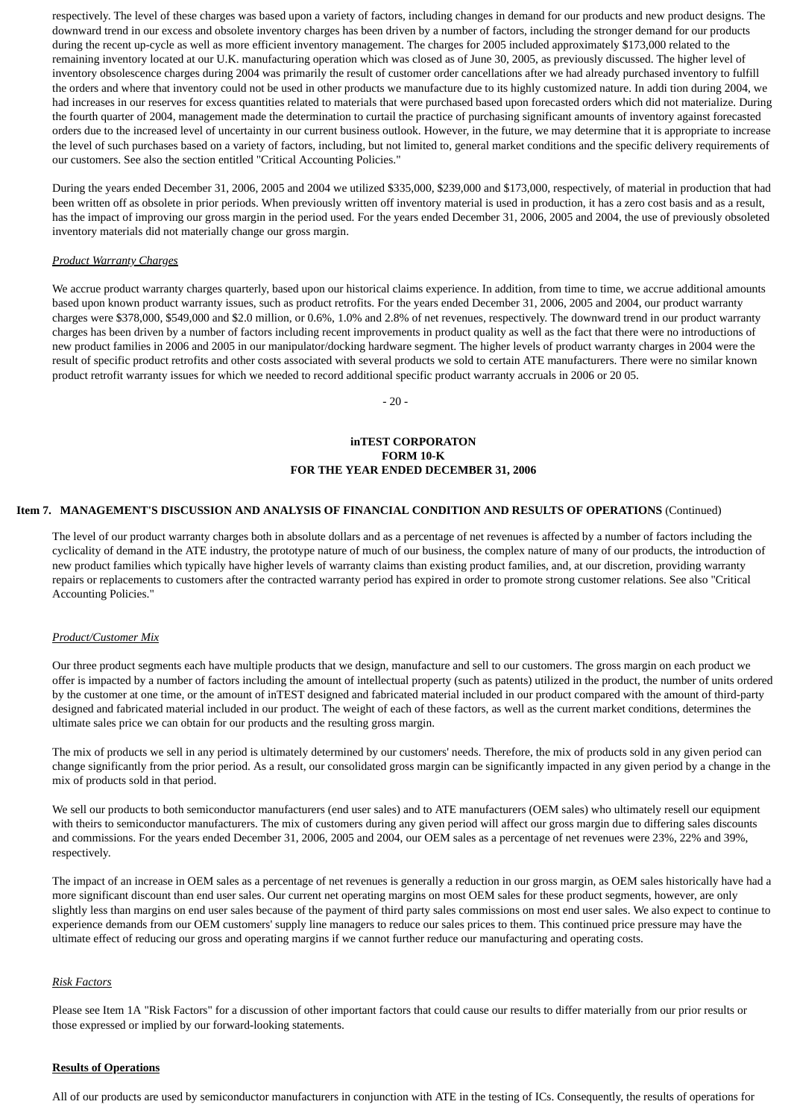respectively. The level of these charges was based upon a variety of factors, including changes in demand for our products and new product designs. The downward trend in our excess and obsolete inventory charges has been driven by a number of factors, including the stronger demand for our products during the recent up-cycle as well as more efficient inventory management. The charges for 2005 included approximately \$173,000 related to the remaining inventory located at our U.K. manufacturing operation which was closed as of June 30, 2005, as previously discussed. The higher level of inventory obsolescence charges during 2004 was primarily the result of customer order cancellations after we had already purchased inventory to fulfill the orders and where that inventory could not be used in other products we manufacture due to its highly customized nature. In addi tion during 2004, we had increases in our reserves for excess quantities related to materials that were purchased based upon forecasted orders which did not materialize. During the fourth quarter of 2004, management made the determination to curtail the practice of purchasing significant amounts of inventory against forecasted orders due to the increased level of uncertainty in our current business outlook. However, in the future, we may determine that it is appropriate to increase the level of such purchases based on a variety of factors, including, but not limited to, general market conditions and the specific delivery requirements of our customers. See also the section entitled "Critical Accounting Policies."

During the years ended December 31, 2006, 2005 and 2004 we utilized \$335,000, \$239,000 and \$173,000, respectively, of material in production that had been written off as obsolete in prior periods. When previously written off inventory material is used in production, it has a zero cost basis and as a result, has the impact of improving our gross margin in the period used. For the years ended December 31, 2006, 2005 and 2004, the use of previously obsoleted inventory materials did not materially change our gross margin.

#### *Product Warranty Charges*

We accrue product warranty charges quarterly, based upon our historical claims experience. In addition, from time to time, we accrue additional amounts based upon known product warranty issues, such as product retrofits. For the years ended December 31, 2006, 2005 and 2004, our product warranty charges were \$378,000, \$549,000 and \$2.0 million, or 0.6%, 1.0% and 2.8% of net revenues, respectively. The downward trend in our product warranty charges has been driven by a number of factors including recent improvements in product quality as well as the fact that there were no introductions of new product families in 2006 and 2005 in our manipulator/docking hardware segment. The higher levels of product warranty charges in 2004 were the result of specific product retrofits and other costs associated with several products we sold to certain ATE manufacturers. There were no similar known product retrofit warranty issues for which we needed to record additional specific product warranty accruals in 2006 or 20 05.

- 20 -

## **inTEST CORPORATON FORM 10-K FOR THE YEAR ENDED DECEMBER 31, 2006**

### **Item 7. MANAGEMENT'S DISCUSSION AND ANALYSIS OF FINANCIAL CONDITION AND RESULTS OF OPERATIONS** (Continued)

The level of our product warranty charges both in absolute dollars and as a percentage of net revenues is affected by a number of factors including the cyclicality of demand in the ATE industry, the prototype nature of much of our business, the complex nature of many of our products, the introduction of new product families which typically have higher levels of warranty claims than existing product families, and, at our discretion, providing warranty repairs or replacements to customers after the contracted warranty period has expired in order to promote strong customer relations. See also "Critical Accounting Policies."

#### *Product/Customer Mix*

Our three product segments each have multiple products that we design, manufacture and sell to our customers. The gross margin on each product we offer is impacted by a number of factors including the amount of intellectual property (such as patents) utilized in the product, the number of units ordered by the customer at one time, or the amount of inTEST designed and fabricated material included in our product compared with the amount of third-party designed and fabricated material included in our product. The weight of each of these factors, as well as the current market conditions, determines the ultimate sales price we can obtain for our products and the resulting gross margin.

The mix of products we sell in any period is ultimately determined by our customers' needs. Therefore, the mix of products sold in any given period can change significantly from the prior period. As a result, our consolidated gross margin can be significantly impacted in any given period by a change in the mix of products sold in that period.

We sell our products to both semiconductor manufacturers (end user sales) and to ATE manufacturers (OEM sales) who ultimately resell our equipment with theirs to semiconductor manufacturers. The mix of customers during any given period will affect our gross margin due to differing sales discounts and commissions. For the years ended December 31, 2006, 2005 and 2004, our OEM sales as a percentage of net revenues were 23%, 22% and 39%, respectively.

The impact of an increase in OEM sales as a percentage of net revenues is generally a reduction in our gross margin, as OEM sales historically have had a more significant discount than end user sales. Our current net operating margins on most OEM sales for these product segments, however, are only slightly less than margins on end user sales because of the payment of third party sales commissions on most end user sales. We also expect to continue to experience demands from our OEM customers' supply line managers to reduce our sales prices to them. This continued price pressure may have the ultimate effect of reducing our gross and operating margins if we cannot further reduce our manufacturing and operating costs.

#### *Risk Factors*

Please see Item 1A "Risk Factors" for a discussion of other important factors that could cause our results to differ materially from our prior results or those expressed or implied by our forward-looking statements.

## **Results of Operations**

All of our products are used by semiconductor manufacturers in conjunction with ATE in the testing of ICs. Consequently, the results of operations for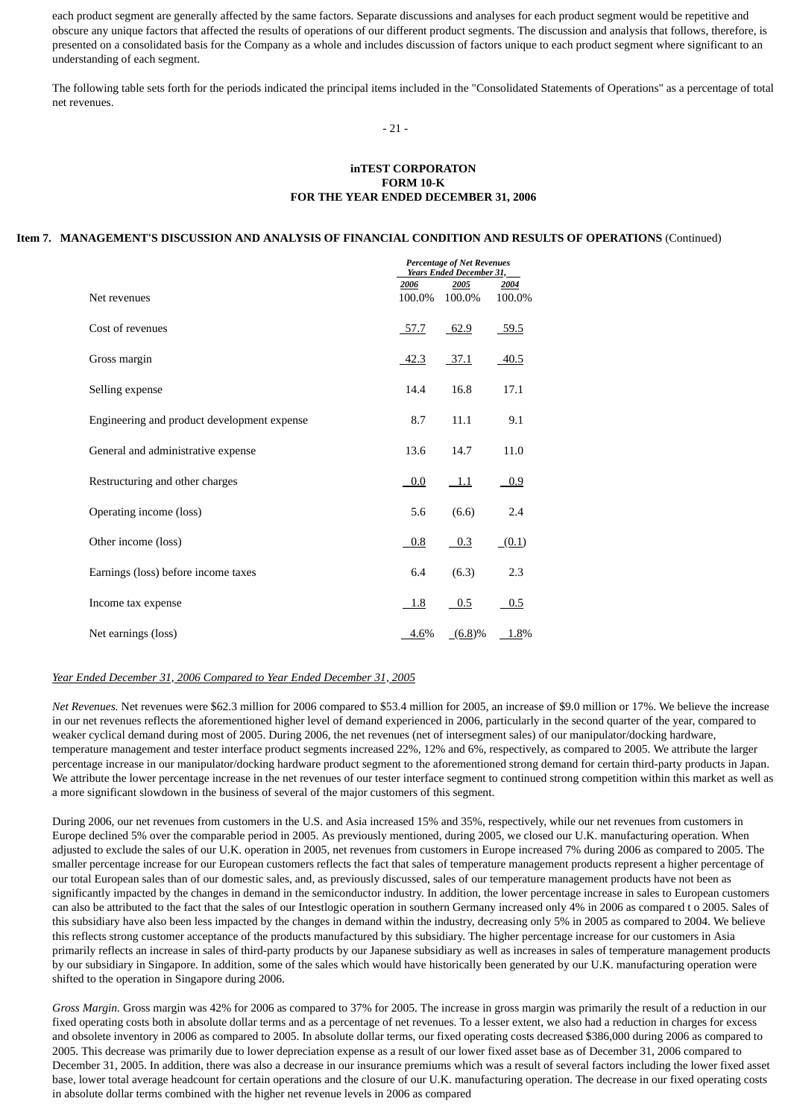each product segment are generally affected by the same factors. Separate discussions and analyses for each product segment would be repetitive and obscure any unique factors that affected the results of operations of our different product segments. The discussion and analysis that follows, therefore, is presented on a consolidated basis for the Company as a whole and includes discussion of factors unique to each product segment where significant to an understanding of each segment.

The following table sets forth for the periods indicated the principal items included in the "Consolidated Statements of Operations" as a percentage of total net revenues.

 $-21 -$ 

## **inTEST CORPORATON FORM 10-K FOR THE YEAR ENDED DECEMBER 31, 2006**

#### **Item 7. MANAGEMENT'S DISCUSSION AND ANALYSIS OF FINANCIAL CONDITION AND RESULTS OF OPERATIONS** (Continued)

|                                             | <b>Percentage of Net Revenues</b><br><b>Years Ended December 31,</b> |           |         |  |
|---------------------------------------------|----------------------------------------------------------------------|-----------|---------|--|
|                                             | 2006<br>2005                                                         |           | 2004    |  |
| Net revenues                                | 100.0%                                                               | 100.0%    | 100.0%  |  |
| Cost of revenues                            | 57.7                                                                 | 62.9      | $-59.5$ |  |
| Gross margin                                | 42.3                                                                 | 37.1      | 40.5    |  |
| Selling expense                             | 14.4                                                                 | 16.8      | 17.1    |  |
| Engineering and product development expense | 8.7                                                                  | 11.1      | 9.1     |  |
| General and administrative expense          | 13.6                                                                 | 14.7      | 11.0    |  |
| Restructuring and other charges             | $0.0\,$                                                              | 1.1       | 0.9     |  |
| Operating income (loss)                     | 5.6                                                                  | (6.6)     | 2.4     |  |
| Other income (loss)                         | 0.8                                                                  | 0.3       | (0.1)   |  |
| Earnings (loss) before income taxes         | 6.4                                                                  | (6.3)     | 2.3     |  |
| Income tax expense                          | 1.8                                                                  | 0.5       | 0.5     |  |
| Net earnings (loss)                         | $4.6\%$                                                              | $(6.8)$ % | $1.8\%$ |  |

#### *Year Ended December 31, 2006 Compared to Year Ended December 31, 2005*

*Net Revenues.* Net revenues were \$62.3 million for 2006 compared to \$53.4 million for 2005, an increase of \$9.0 million or 17%. We believe the increase in our net revenues reflects the aforementioned higher level of demand experienced in 2006, particularly in the second quarter of the year, compared to weaker cyclical demand during most of 2005. During 2006, the net revenues (net of intersegment sales) of our manipulator/docking hardware, temperature management and tester interface product segments increased 22%, 12% and 6%, respectively, as compared to 2005. We attribute the larger percentage increase in our manipulator/docking hardware product segment to the aforementioned strong demand for certain third-party products in Japan. We attribute the lower percentage increase in the net revenues of our tester interface segment to continued strong competition within this market as well as a more significant slowdown in the business of several of the major customers of this segment.

During 2006, our net revenues from customers in the U.S. and Asia increased 15% and 35%, respectively, while our net revenues from customers in Europe declined 5% over the comparable period in 2005. As previously mentioned, during 2005, we closed our U.K. manufacturing operation. When adjusted to exclude the sales of our U.K. operation in 2005, net revenues from customers in Europe increased 7% during 2006 as compared to 2005. The smaller percentage increase for our European customers reflects the fact that sales of temperature management products represent a higher percentage of our total European sales than of our domestic sales, and, as previously discussed, sales of our temperature management products have not been as significantly impacted by the changes in demand in the semiconductor industry. In addition, the lower percentage increase in sales to European customers can also be attributed to the fact that the sales of our Intestlogic operation in southern Germany increased only 4% in 2006 as compared t o 2005. Sales of this subsidiary have also been less impacted by the changes in demand within the industry, decreasing only 5% in 2005 as compared to 2004. We believe this reflects strong customer acceptance of the products manufactured by this subsidiary. The higher percentage increase for our customers in Asia primarily reflects an increase in sales of third-party products by our Japanese subsidiary as well as increases in sales of temperature management products by our subsidiary in Singapore. In addition, some of the sales which would have historically been generated by our U.K. manufacturing operation were shifted to the operation in Singapore during 2006.

*Gross Margin.* Gross margin was 42% for 2006 as compared to 37% for 2005. The increase in gross margin was primarily the result of a reduction in our fixed operating costs both in absolute dollar terms and as a percentage of net revenues. To a lesser extent, we also had a reduction in charges for excess and obsolete inventory in 2006 as compared to 2005. In absolute dollar terms, our fixed operating costs decreased \$386,000 during 2006 as compared to 2005. This decrease was primarily due to lower depreciation expense as a result of our lower fixed asset base as of December 31, 2006 compared to December 31, 2005. In addition, there was also a decrease in our insurance premiums which was a result of several factors including the lower fixed asset base, lower total average headcount for certain operations and the closure of our U.K. manufacturing operation. The decrease in our fixed operating costs in absolute dollar terms combined with the higher net revenue levels in 2006 as compared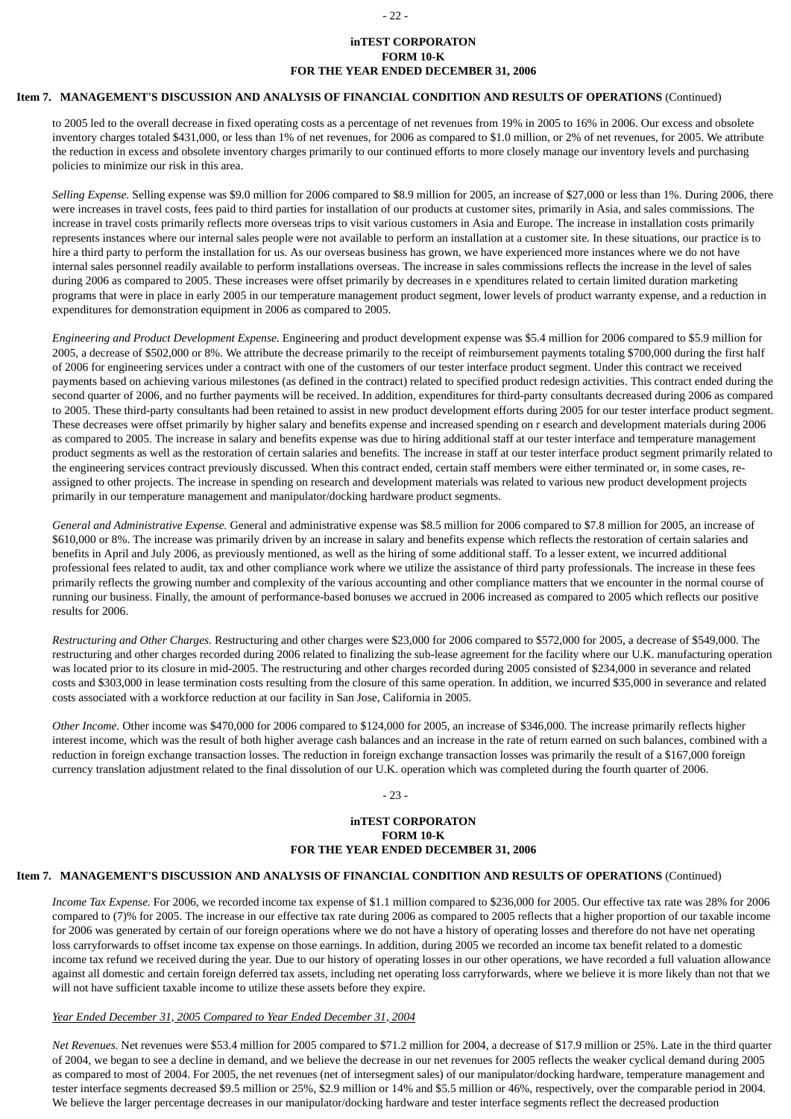## **inTEST CORPORATON FORM 10-K FOR THE YEAR ENDED DECEMBER 31, 2006**

#### **Item 7. MANAGEMENT'S DISCUSSION AND ANALYSIS OF FINANCIAL CONDITION AND RESULTS OF OPERATIONS** (Continued)

to 2005 led to the overall decrease in fixed operating costs as a percentage of net revenues from 19% in 2005 to 16% in 2006. Our excess and obsolete inventory charges totaled \$431,000, or less than 1% of net revenues, for 2006 as compared to \$1.0 million, or 2% of net revenues, for 2005. We attribute the reduction in excess and obsolete inventory charges primarily to our continued efforts to more closely manage our inventory levels and purchasing policies to minimize our risk in this area.

*Selling Expense.* Selling expense was \$9.0 million for 2006 compared to \$8.9 million for 2005, an increase of \$27,000 or less than 1%. During 2006, there were increases in travel costs, fees paid to third parties for installation of our products at customer sites, primarily in Asia, and sales commissions. The increase in travel costs primarily reflects more overseas trips to visit various customers in Asia and Europe. The increase in installation costs primarily represents instances where our internal sales people were not available to perform an installation at a customer site. In these situations, our practice is to hire a third party to perform the installation for us. As our overseas business has grown, we have experienced more instances where we do not have internal sales personnel readily available to perform installations overseas. The increase in sales commissions reflects the increase in the level of sales during 2006 as compared to 2005. These increases were offset primarily by decreases in e xpenditures related to certain limited duration marketing programs that were in place in early 2005 in our temperature management product segment, lower levels of product warranty expense, and a reduction in expenditures for demonstration equipment in 2006 as compared to 2005.

*Engineering and Product Development Expense.* Engineering and product development expense was \$5.4 million for 2006 compared to \$5.9 million for 2005, a decrease of \$502,000 or 8%. We attribute the decrease primarily to the receipt of reimbursement payments totaling \$700,000 during the first half of 2006 for engineering services under a contract with one of the customers of our tester interface product segment. Under this contract we received payments based on achieving various milestones (as defined in the contract) related to specified product redesign activities. This contract ended during the second quarter of 2006, and no further payments will be received. In addition, expenditures for third-party consultants decreased during 2006 as compared to 2005. These third-party consultants had been retained to assist in new product development efforts during 2005 for our tester interface product segment. These decreases were offset primarily by higher salary and benefits expense and increased spending on r esearch and development materials during 2006 as compared to 2005. The increase in salary and benefits expense was due to hiring additional staff at our tester interface and temperature management product segments as well as the restoration of certain salaries and benefits. The increase in staff at our tester interface product segment primarily related to the engineering services contract previously discussed. When this contract ended, certain staff members were either terminated or, in some cases, reassigned to other projects. The increase in spending on research and development materials was related to various new product development projects primarily in our temperature management and manipulator/docking hardware product segments.

*General and Administrative Expense.* General and administrative expense was \$8.5 million for 2006 compared to \$7.8 million for 2005, an increase of \$610,000 or 8%. The increase was primarily driven by an increase in salary and benefits expense which reflects the restoration of certain salaries and benefits in April and July 2006, as previously mentioned, as well as the hiring of some additional staff. To a lesser extent, we incurred additional professional fees related to audit, tax and other compliance work where we utilize the assistance of third party professionals. The increase in these fees primarily reflects the growing number and complexity of the various accounting and other compliance matters that we encounter in the normal course of running our business. Finally, the amount of performance-based bonuses we accrued in 2006 increased as compared to 2005 which reflects our positive results for 2006.

*Restructuring and Other Charges.* Restructuring and other charges were \$23,000 for 2006 compared to \$572,000 for 2005, a decrease of \$549,000. The restructuring and other charges recorded during 2006 related to finalizing the sub-lease agreement for the facility where our U.K. manufacturing operation was located prior to its closure in mid-2005. The restructuring and other charges recorded during 2005 consisted of \$234,000 in severance and related costs and \$303,000 in lease termination costs resulting from the closure of this same operation. In addition, we incurred \$35,000 in severance and related costs associated with a workforce reduction at our facility in San Jose, California in 2005.

*Other Income.* Other income was \$470,000 for 2006 compared to \$124,000 for 2005, an increase of \$346,000. The increase primarily reflects higher interest income, which was the result of both higher average cash balances and an increase in the rate of return earned on such balances, combined with a reduction in foreign exchange transaction losses. The reduction in foreign exchange transaction losses was primarily the result of a \$167,000 foreign currency translation adjustment related to the final dissolution of our U.K. operation which was completed during the fourth quarter of 2006.

## - 23 -

## **inTEST CORPORATON FORM 10-K FOR THE YEAR ENDED DECEMBER 31, 2006**

#### **Item 7. MANAGEMENT'S DISCUSSION AND ANALYSIS OF FINANCIAL CONDITION AND RESULTS OF OPERATIONS** (Continued)

*Income Tax Expense.* For 2006, we recorded income tax expense of \$1.1 million compared to \$236,000 for 2005. Our effective tax rate was 28% for 2006 compared to (7)% for 2005. The increase in our effective tax rate during 2006 as compared to 2005 reflects that a higher proportion of our taxable income for 2006 was generated by certain of our foreign operations where we do not have a history of operating losses and therefore do not have net operating loss carryforwards to offset income tax expense on those earnings. In addition, during 2005 we recorded an income tax benefit related to a domestic income tax refund we received during the year. Due to our history of operating losses in our other operations, we have recorded a full valuation allowance against all domestic and certain foreign deferred tax assets, including net operating loss carryforwards, where we believe it is more likely than not that we will not have sufficient taxable income to utilize these assets before they expire.

#### *Year Ended December 31, 2005 Compared to Year Ended December 31, 2004*

*Net Revenues.* Net revenues were \$53.4 million for 2005 compared to \$71.2 million for 2004, a decrease of \$17.9 million or 25%. Late in the third quarter of 2004, we began to see a decline in demand, and we believe the decrease in our net revenues for 2005 reflects the weaker cyclical demand during 2005 as compared to most of 2004. For 2005, the net revenues (net of intersegment sales) of our manipulator/docking hardware, temperature management and tester interface segments decreased \$9.5 million or 25%, \$2.9 million or 14% and \$5.5 million or 46%, respectively, over the comparable period in 2004. We believe the larger percentage decreases in our manipulator/docking hardware and tester interface segments reflect the decreased production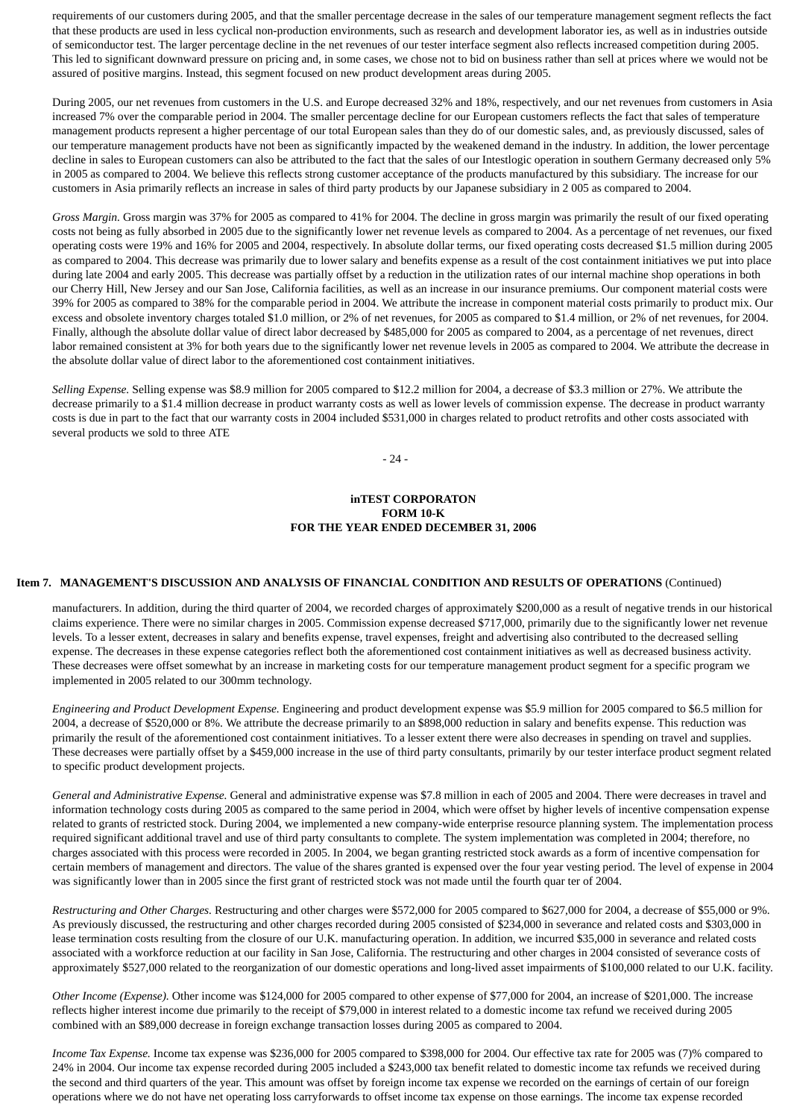requirements of our customers during 2005, and that the smaller percentage decrease in the sales of our temperature management segment reflects the fact that these products are used in less cyclical non-production environments, such as research and development laborator ies, as well as in industries outside of semiconductor test. The larger percentage decline in the net revenues of our tester interface segment also reflects increased competition during 2005. This led to significant downward pressure on pricing and, in some cases, we chose not to bid on business rather than sell at prices where we would not be assured of positive margins. Instead, this segment focused on new product development areas during 2005.

During 2005, our net revenues from customers in the U.S. and Europe decreased 32% and 18%, respectively, and our net revenues from customers in Asia increased 7% over the comparable period in 2004. The smaller percentage decline for our European customers reflects the fact that sales of temperature management products represent a higher percentage of our total European sales than they do of our domestic sales, and, as previously discussed, sales of our temperature management products have not been as significantly impacted by the weakened demand in the industry. In addition, the lower percentage decline in sales to European customers can also be attributed to the fact that the sales of our Intestlogic operation in southern Germany decreased only 5% in 2005 as compared to 2004. We believe this reflects strong customer acceptance of the products manufactured by this subsidiary. The increase for our customers in Asia primarily reflects an increase in sales of third party products by our Japanese subsidiary in 2 005 as compared to 2004.

*Gross Margin.* Gross margin was 37% for 2005 as compared to 41% for 2004. The decline in gross margin was primarily the result of our fixed operating costs not being as fully absorbed in 2005 due to the significantly lower net revenue levels as compared to 2004. As a percentage of net revenues, our fixed operating costs were 19% and 16% for 2005 and 2004, respectively. In absolute dollar terms, our fixed operating costs decreased \$1.5 million during 2005 as compared to 2004. This decrease was primarily due to lower salary and benefits expense as a result of the cost containment initiatives we put into place during late 2004 and early 2005. This decrease was partially offset by a reduction in the utilization rates of our internal machine shop operations in both our Cherry Hill, New Jersey and our San Jose, California facilities, as well as an increase in our insurance premiums. Our component material costs were 39% for 2005 as compared to 38% for the comparable period in 2004. We attribute the increase in component material costs primarily to product mix. Our excess and obsolete inventory charges totaled \$1.0 million, or 2% of net revenues, for 2005 as compared to \$1.4 million, or 2% of net revenues, for 2004. Finally, although the absolute dollar value of direct labor decreased by \$485,000 for 2005 as compared to 2004, as a percentage of net revenues, direct labor remained consistent at 3% for both years due to the significantly lower net revenue levels in 2005 as compared to 2004. We attribute the decrease in the absolute dollar value of direct labor to the aforementioned cost containment initiatives.

*Selling Expense.* Selling expense was \$8.9 million for 2005 compared to \$12.2 million for 2004, a decrease of \$3.3 million or 27%. We attribute the decrease primarily to a \$1.4 million decrease in product warranty costs as well as lower levels of commission expense. The decrease in product warranty costs is due in part to the fact that our warranty costs in 2004 included \$531,000 in charges related to product retrofits and other costs associated with several products we sold to three ATE

- 24 -

## **inTEST CORPORATON FORM 10-K FOR THE YEAR ENDED DECEMBER 31, 2006**

## **Item 7. MANAGEMENT'S DISCUSSION AND ANALYSIS OF FINANCIAL CONDITION AND RESULTS OF OPERATIONS** (Continued)

manufacturers. In addition, during the third quarter of 2004, we recorded charges of approximately \$200,000 as a result of negative trends in our historical claims experience. There were no similar charges in 2005. Commission expense decreased \$717,000, primarily due to the significantly lower net revenue levels. To a lesser extent, decreases in salary and benefits expense, travel expenses, freight and advertising also contributed to the decreased selling expense. The decreases in these expense categories reflect both the aforementioned cost containment initiatives as well as decreased business activity. These decreases were offset somewhat by an increase in marketing costs for our temperature management product segment for a specific program we implemented in 2005 related to our 300mm technology.

*Engineering and Product Development Expense.* Engineering and product development expense was \$5.9 million for 2005 compared to \$6.5 million for 2004, a decrease of \$520,000 or 8%. We attribute the decrease primarily to an \$898,000 reduction in salary and benefits expense. This reduction was primarily the result of the aforementioned cost containment initiatives. To a lesser extent there were also decreases in spending on travel and supplies. These decreases were partially offset by a \$459,000 increase in the use of third party consultants, primarily by our tester interface product segment related to specific product development projects.

*General and Administrative Expense.* General and administrative expense was \$7.8 million in each of 2005 and 2004. There were decreases in travel and information technology costs during 2005 as compared to the same period in 2004, which were offset by higher levels of incentive compensation expense related to grants of restricted stock. During 2004, we implemented a new company-wide enterprise resource planning system. The implementation process required significant additional travel and use of third party consultants to complete. The system implementation was completed in 2004; therefore, no charges associated with this process were recorded in 2005. In 2004, we began granting restricted stock awards as a form of incentive compensation for certain members of management and directors. The value of the shares granted is expensed over the four year vesting period. The level of expense in 2004 was significantly lower than in 2005 since the first grant of restricted stock was not made until the fourth quar ter of 2004.

*Restructuring and Other Charges.* Restructuring and other charges were \$572,000 for 2005 compared to \$627,000 for 2004, a decrease of \$55,000 or 9%. As previously discussed, the restructuring and other charges recorded during 2005 consisted of \$234,000 in severance and related costs and \$303,000 in lease termination costs resulting from the closure of our U.K. manufacturing operation. In addition, we incurred \$35,000 in severance and related costs associated with a workforce reduction at our facility in San Jose, California. The restructuring and other charges in 2004 consisted of severance costs of approximately \$527,000 related to the reorganization of our domestic operations and long-lived asset impairments of \$100,000 related to our U.K. facility.

*Other Income (Expense).* Other income was \$124,000 for 2005 compared to other expense of \$77,000 for 2004, an increase of \$201,000. The increase reflects higher interest income due primarily to the receipt of \$79,000 in interest related to a domestic income tax refund we received during 2005 combined with an \$89,000 decrease in foreign exchange transaction losses during 2005 as compared to 2004.

*Income Tax Expense.* Income tax expense was \$236,000 for 2005 compared to \$398,000 for 2004. Our effective tax rate for 2005 was (7)% compared to 24% in 2004. Our income tax expense recorded during 2005 included a \$243,000 tax benefit related to domestic income tax refunds we received during the second and third quarters of the year. This amount was offset by foreign income tax expense we recorded on the earnings of certain of our foreign operations where we do not have net operating loss carryforwards to offset income tax expense on those earnings. The income tax expense recorded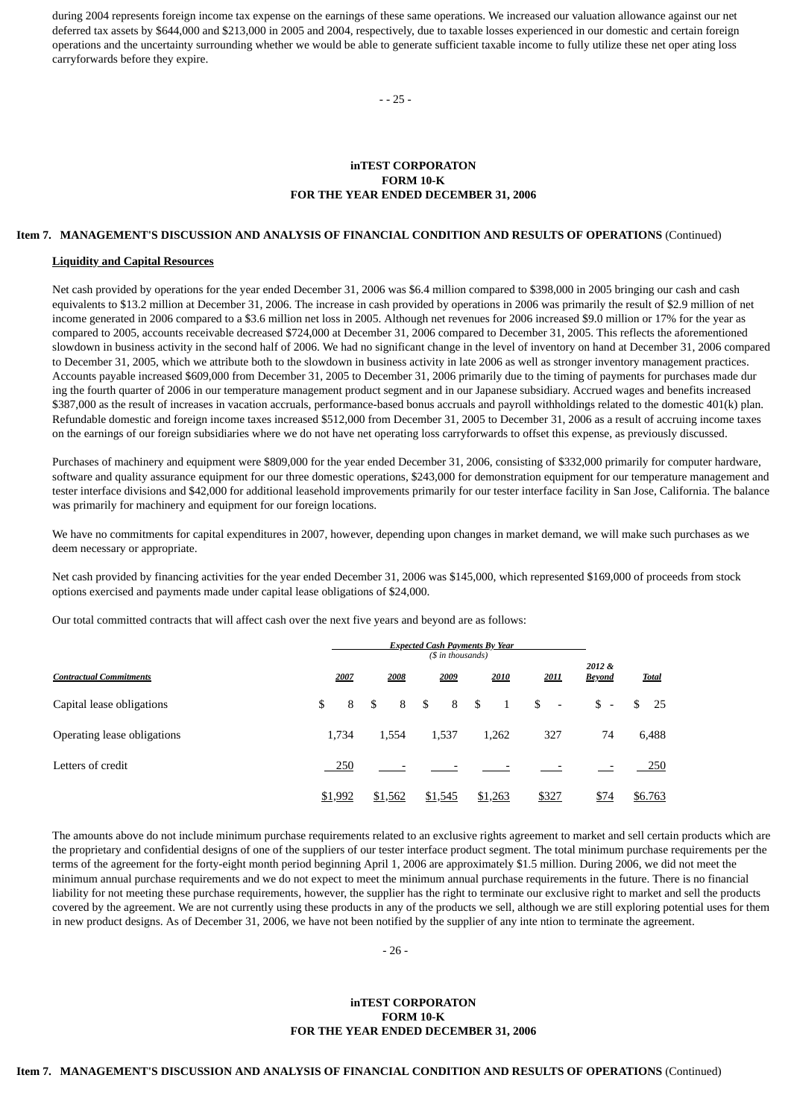during 2004 represents foreign income tax expense on the earnings of these same operations. We increased our valuation allowance against our net deferred tax assets by \$644,000 and \$213,000 in 2005 and 2004, respectively, due to taxable losses experienced in our domestic and certain foreign operations and the uncertainty surrounding whether we would be able to generate sufficient taxable income to fully utilize these net oper ating loss carryforwards before they expire.

- - 25 -

## **inTEST CORPORATON FORM 10-K FOR THE YEAR ENDED DECEMBER 31, 2006**

#### **Item 7. MANAGEMENT'S DISCUSSION AND ANALYSIS OF FINANCIAL CONDITION AND RESULTS OF OPERATIONS** (Continued)

#### **Liquidity and Capital Resources**

Net cash provided by operations for the year ended December 31, 2006 was \$6.4 million compared to \$398,000 in 2005 bringing our cash and cash equivalents to \$13.2 million at December 31, 2006. The increase in cash provided by operations in 2006 was primarily the result of \$2.9 million of net income generated in 2006 compared to a \$3.6 million net loss in 2005. Although net revenues for 2006 increased \$9.0 million or 17% for the year as compared to 2005, accounts receivable decreased \$724,000 at December 31, 2006 compared to December 31, 2005. This reflects the aforementioned slowdown in business activity in the second half of 2006. We had no significant change in the level of inventory on hand at December 31, 2006 compared to December 31, 2005, which we attribute both to the slowdown in business activity in late 2006 as well as stronger inventory management practices. Accounts payable increased \$609,000 from December 31, 2005 to December 31, 2006 primarily due to the timing of payments for purchases made dur ing the fourth quarter of 2006 in our temperature management product segment and in our Japanese subsidiary. Accrued wages and benefits increased \$387,000 as the result of increases in vacation accruals, performance-based bonus accruals and payroll withholdings related to the domestic 401(k) plan. Refundable domestic and foreign income taxes increased \$512,000 from December 31, 2005 to December 31, 2006 as a result of accruing income taxes on the earnings of our foreign subsidiaries where we do not have net operating loss carryforwards to offset this expense, as previously discussed.

Purchases of machinery and equipment were \$809,000 for the year ended December 31, 2006, consisting of \$332,000 primarily for computer hardware, software and quality assurance equipment for our three domestic operations, \$243,000 for demonstration equipment for our temperature management and tester interface divisions and \$42,000 for additional leasehold improvements primarily for our tester interface facility in San Jose, California. The balance was primarily for machinery and equipment for our foreign locations.

We have no commitments for capital expenditures in 2007, however, depending upon changes in market demand, we will make such purchases as we deem necessary or appropriate.

Net cash provided by financing activities for the year ended December 31, 2006 was \$145,000, which represented \$169,000 of proceeds from stock options exercised and payments made under capital lease obligations of \$24,000.

Our total committed contracts that will affect cash over the next five years and beyond are as follows:

|                                | <b>Expected Cash Payments By Year</b><br>(\$ in thousands) |         |      |         |            |         |      |              |    |                          |    |                          |    |              |  |
|--------------------------------|------------------------------------------------------------|---------|------|---------|------------|---------|------|--------------|----|--------------------------|----|--------------------------|----|--------------|--|
| <b>Contractual Commitments</b> | 2007                                                       |         | 2008 |         | 2009       |         | 2010 |              |    | 2011                     |    | 2012&<br><b>Beyond</b>   |    | <b>Total</b> |  |
| Capital lease obligations      | \$                                                         | 8       | \$   | 8       | $^{\circ}$ | 8       | \$   | $\mathbf{1}$ | \$ | $\overline{\phantom{a}}$ | \$ | $\overline{\phantom{a}}$ | \$ | 25           |  |
| Operating lease obligations    |                                                            | 1,734   |      | 1,554   |            | 1,537   |      | 1,262        |    | 327                      |    | 74                       |    | 6,488        |  |
| Letters of credit              |                                                            | 250     |      |         |            |         |      |              |    |                          |    |                          |    | 250          |  |
|                                |                                                            | \$1,992 |      | \$1,562 |            | \$1,545 |      | \$1,263      |    | \$327                    |    | \$74                     |    | \$6.763      |  |

The amounts above do not include minimum purchase requirements related to an exclusive rights agreement to market and sell certain products which are the proprietary and confidential designs of one of the suppliers of our tester interface product segment. The total minimum purchase requirements per the terms of the agreement for the forty-eight month period beginning April 1, 2006 are approximately \$1.5 million. During 2006, we did not meet the minimum annual purchase requirements and we do not expect to meet the minimum annual purchase requirements in the future. There is no financial liability for not meeting these purchase requirements, however, the supplier has the right to terminate our exclusive right to market and sell the products covered by the agreement. We are not currently using these products in any of the products we sell, although we are still exploring potential uses for them in new product designs. As of December 31, 2006, we have not been notified by the supplier of any inte ntion to terminate the agreement.

- 26 -

## **inTEST CORPORATON FORM 10-K FOR THE YEAR ENDED DECEMBER 31, 2006**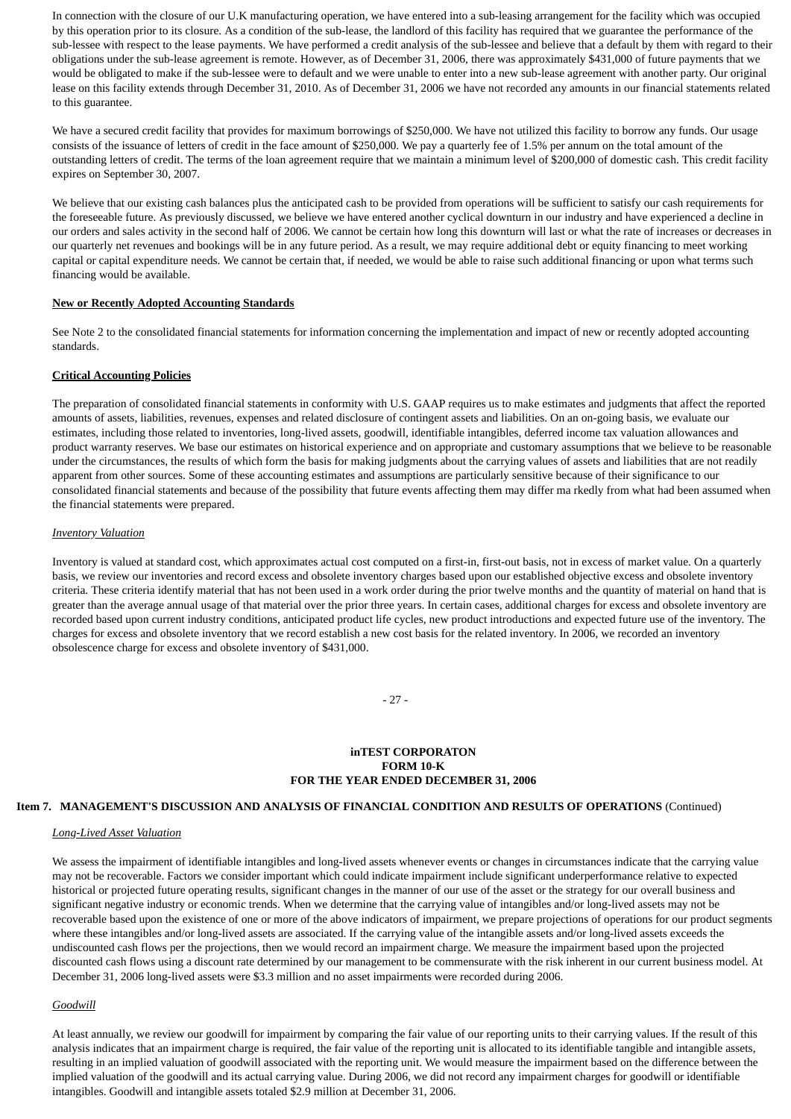In connection with the closure of our U.K manufacturing operation, we have entered into a sub-leasing arrangement for the facility which was occupied by this operation prior to its closure. As a condition of the sub-lease, the landlord of this facility has required that we guarantee the performance of the sub-lessee with respect to the lease payments. We have performed a credit analysis of the sub-lessee and believe that a default by them with regard to their obligations under the sub-lease agreement is remote. However, as of December 31, 2006, there was approximately \$431,000 of future payments that we would be obligated to make if the sub-lessee were to default and we were unable to enter into a new sub-lease agreement with another party. Our original lease on this facility extends through December 31, 2010. As of December 31, 2006 we have not recorded any amounts in our financial statements related to this guarantee.

We have a secured credit facility that provides for maximum borrowings of \$250,000. We have not utilized this facility to borrow any funds. Our usage consists of the issuance of letters of credit in the face amount of \$250,000. We pay a quarterly fee of 1.5% per annum on the total amount of the outstanding letters of credit. The terms of the loan agreement require that we maintain a minimum level of \$200,000 of domestic cash. This credit facility expires on September 30, 2007.

We believe that our existing cash balances plus the anticipated cash to be provided from operations will be sufficient to satisfy our cash requirements for the foreseeable future. As previously discussed, we believe we have entered another cyclical downturn in our industry and have experienced a decline in our orders and sales activity in the second half of 2006. We cannot be certain how long this downturn will last or what the rate of increases or decreases in our quarterly net revenues and bookings will be in any future period. As a result, we may require additional debt or equity financing to meet working capital or capital expenditure needs. We cannot be certain that, if needed, we would be able to raise such additional financing or upon what terms such financing would be available.

### **New or Recently Adopted Accounting Standards**

See Note 2 to the consolidated financial statements for information concerning the implementation and impact of new or recently adopted accounting standards.

### **Critical Accounting Policies**

The preparation of consolidated financial statements in conformity with U.S. GAAP requires us to make estimates and judgments that affect the reported amounts of assets, liabilities, revenues, expenses and related disclosure of contingent assets and liabilities. On an on-going basis, we evaluate our estimates, including those related to inventories, long-lived assets, goodwill, identifiable intangibles, deferred income tax valuation allowances and product warranty reserves. We base our estimates on historical experience and on appropriate and customary assumptions that we believe to be reasonable under the circumstances, the results of which form the basis for making judgments about the carrying values of assets and liabilities that are not readily apparent from other sources. Some of these accounting estimates and assumptions are particularly sensitive because of their significance to our consolidated financial statements and because of the possibility that future events affecting them may differ ma rkedly from what had been assumed when the financial statements were prepared.

#### *Inventory Valuation*

Inventory is valued at standard cost, which approximates actual cost computed on a first-in, first-out basis, not in excess of market value. On a quarterly basis, we review our inventories and record excess and obsolete inventory charges based upon our established objective excess and obsolete inventory criteria. These criteria identify material that has not been used in a work order during the prior twelve months and the quantity of material on hand that is greater than the average annual usage of that material over the prior three years. In certain cases, additional charges for excess and obsolete inventory are recorded based upon current industry conditions, anticipated product life cycles, new product introductions and expected future use of the inventory. The charges for excess and obsolete inventory that we record establish a new cost basis for the related inventory. In 2006, we recorded an inventory obsolescence charge for excess and obsolete inventory of \$431,000.

- 27 -

## **inTEST CORPORATON FORM 10-K FOR THE YEAR ENDED DECEMBER 31, 2006**

## **Item 7. MANAGEMENT'S DISCUSSION AND ANALYSIS OF FINANCIAL CONDITION AND RESULTS OF OPERATIONS** (Continued)

## *Long-Lived Asset Valuation*

We assess the impairment of identifiable intangibles and long-lived assets whenever events or changes in circumstances indicate that the carrying value may not be recoverable. Factors we consider important which could indicate impairment include significant underperformance relative to expected historical or projected future operating results, significant changes in the manner of our use of the asset or the strategy for our overall business and significant negative industry or economic trends. When we determine that the carrying value of intangibles and/or long-lived assets may not be recoverable based upon the existence of one or more of the above indicators of impairment, we prepare projections of operations for our product segments where these intangibles and/or long-lived assets are associated. If the carrying value of the intangible assets and/or long-lived assets exceeds the undiscounted cash flows per the projections, then we would record an impairment charge. We measure the impairment based upon the projected discounted cash flows using a discount rate determined by our management to be commensurate with the risk inherent in our current business model. At December 31, 2006 long-lived assets were \$3.3 million and no asset impairments were recorded during 2006.

#### *Goodwill*

At least annually, we review our goodwill for impairment by comparing the fair value of our reporting units to their carrying values. If the result of this analysis indicates that an impairment charge is required, the fair value of the reporting unit is allocated to its identifiable tangible and intangible assets, resulting in an implied valuation of goodwill associated with the reporting unit. We would measure the impairment based on the difference between the implied valuation of the goodwill and its actual carrying value. During 2006, we did not record any impairment charges for goodwill or identifiable intangibles. Goodwill and intangible assets totaled \$2.9 million at December 31, 2006.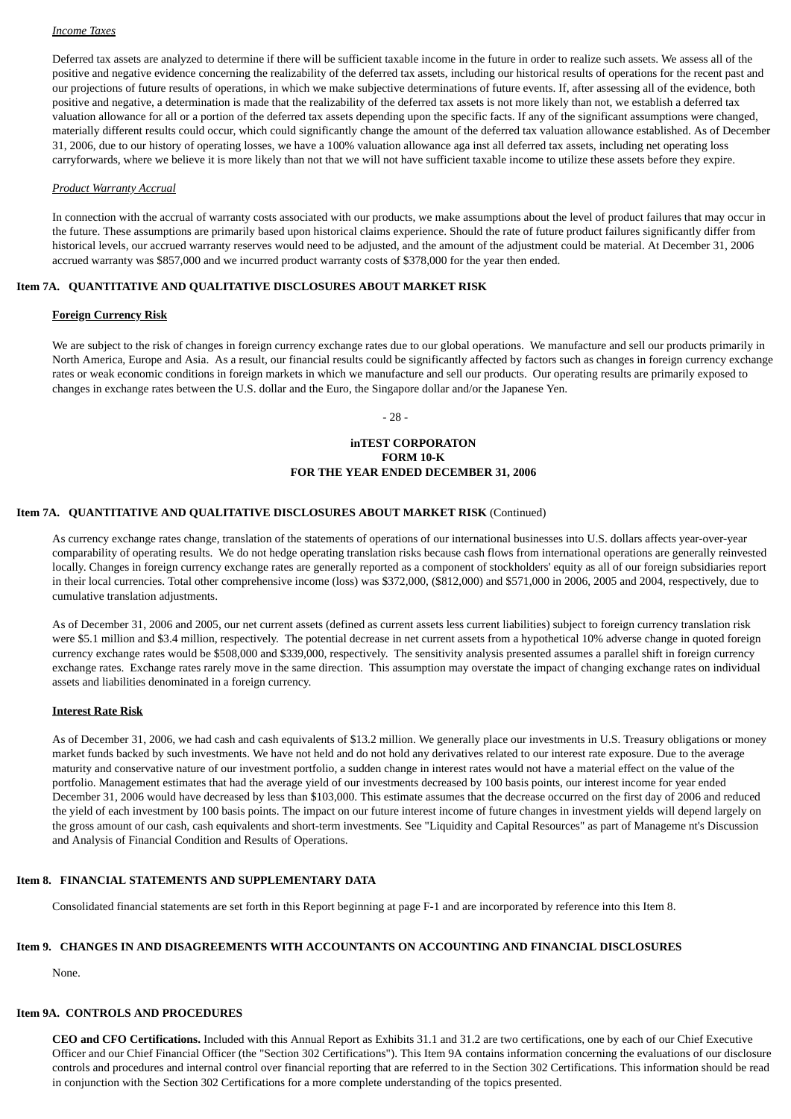#### *Income Taxes*

Deferred tax assets are analyzed to determine if there will be sufficient taxable income in the future in order to realize such assets. We assess all of the positive and negative evidence concerning the realizability of the deferred tax assets, including our historical results of operations for the recent past and our projections of future results of operations, in which we make subjective determinations of future events. If, after assessing all of the evidence, both positive and negative, a determination is made that the realizability of the deferred tax assets is not more likely than not, we establish a deferred tax valuation allowance for all or a portion of the deferred tax assets depending upon the specific facts. If any of the significant assumptions were changed, materially different results could occur, which could significantly change the amount of the deferred tax valuation allowance established. As of December 31, 2006, due to our history of operating losses, we have a 100% valuation allowance aga inst all deferred tax assets, including net operating loss carryforwards, where we believe it is more likely than not that we will not have sufficient taxable income to utilize these assets before they expire.

#### *Product Warranty Accrual*

In connection with the accrual of warranty costs associated with our products, we make assumptions about the level of product failures that may occur in the future. These assumptions are primarily based upon historical claims experience. Should the rate of future product failures significantly differ from historical levels, our accrued warranty reserves would need to be adjusted, and the amount of the adjustment could be material. At December 31, 2006 accrued warranty was \$857,000 and we incurred product warranty costs of \$378,000 for the year then ended.

### **Item 7A. QUANTITATIVE AND QUALITATIVE DISCLOSURES ABOUT MARKET RISK**

#### **Foreign Currency Risk**

We are subject to the risk of changes in foreign currency exchange rates due to our global operations. We manufacture and sell our products primarily in North America, Europe and Asia. As a result, our financial results could be significantly affected by factors such as changes in foreign currency exchange rates or weak economic conditions in foreign markets in which we manufacture and sell our products. Our operating results are primarily exposed to changes in exchange rates between the U.S. dollar and the Euro, the Singapore dollar and/or the Japanese Yen.

#### - 28 -

## **inTEST CORPORATON FORM 10-K FOR THE YEAR ENDED DECEMBER 31, 2006**

## **Item 7A. QUANTITATIVE AND QUALITATIVE DISCLOSURES ABOUT MARKET RISK** (Continued)

As currency exchange rates change, translation of the statements of operations of our international businesses into U.S. dollars affects year-over-year comparability of operating results. We do not hedge operating translation risks because cash flows from international operations are generally reinvested locally. Changes in foreign currency exchange rates are generally reported as a component of stockholders' equity as all of our foreign subsidiaries report in their local currencies. Total other comprehensive income (loss) was \$372,000, (\$812,000) and \$571,000 in 2006, 2005 and 2004, respectively, due to cumulative translation adjustments.

As of December 31, 2006 and 2005, our net current assets (defined as current assets less current liabilities) subject to foreign currency translation risk were \$5.1 million and \$3.4 million, respectively. The potential decrease in net current assets from a hypothetical 10% adverse change in quoted foreign currency exchange rates would be \$508,000 and \$339,000, respectively. The sensitivity analysis presented assumes a parallel shift in foreign currency exchange rates. Exchange rates rarely move in the same direction. This assumption may overstate the impact of changing exchange rates on individual assets and liabilities denominated in a foreign currency.

#### **Interest Rate Risk**

As of December 31, 2006, we had cash and cash equivalents of \$13.2 million. We generally place our investments in U.S. Treasury obligations or money market funds backed by such investments. We have not held and do not hold any derivatives related to our interest rate exposure. Due to the average maturity and conservative nature of our investment portfolio, a sudden change in interest rates would not have a material effect on the value of the portfolio. Management estimates that had the average yield of our investments decreased by 100 basis points, our interest income for year ended December 31, 2006 would have decreased by less than \$103,000. This estimate assumes that the decrease occurred on the first day of 2006 and reduced the yield of each investment by 100 basis points. The impact on our future interest income of future changes in investment yields will depend largely on the gross amount of our cash, cash equivalents and short-term investments. See "Liquidity and Capital Resources" as part of Manageme nt's Discussion and Analysis of Financial Condition and Results of Operations.

#### **Item 8. FINANCIAL STATEMENTS AND SUPPLEMENTARY DATA**

Consolidated financial statements are set forth in this Report beginning at page F-1 and are incorporated by reference into this Item 8.

#### **Item 9. CHANGES IN AND DISAGREEMENTS WITH ACCOUNTANTS ON ACCOUNTING AND FINANCIAL DISCLOSURES**

None.

### **Item 9A. CONTROLS AND PROCEDURES**

**CEO and CFO Certifications.** Included with this Annual Report as Exhibits 31.1 and 31.2 are two certifications, one by each of our Chief Executive Officer and our Chief Financial Officer (the "Section 302 Certifications"). This Item 9A contains information concerning the evaluations of our disclosure controls and procedures and internal control over financial reporting that are referred to in the Section 302 Certifications. This information should be read in conjunction with the Section 302 Certifications for a more complete understanding of the topics presented.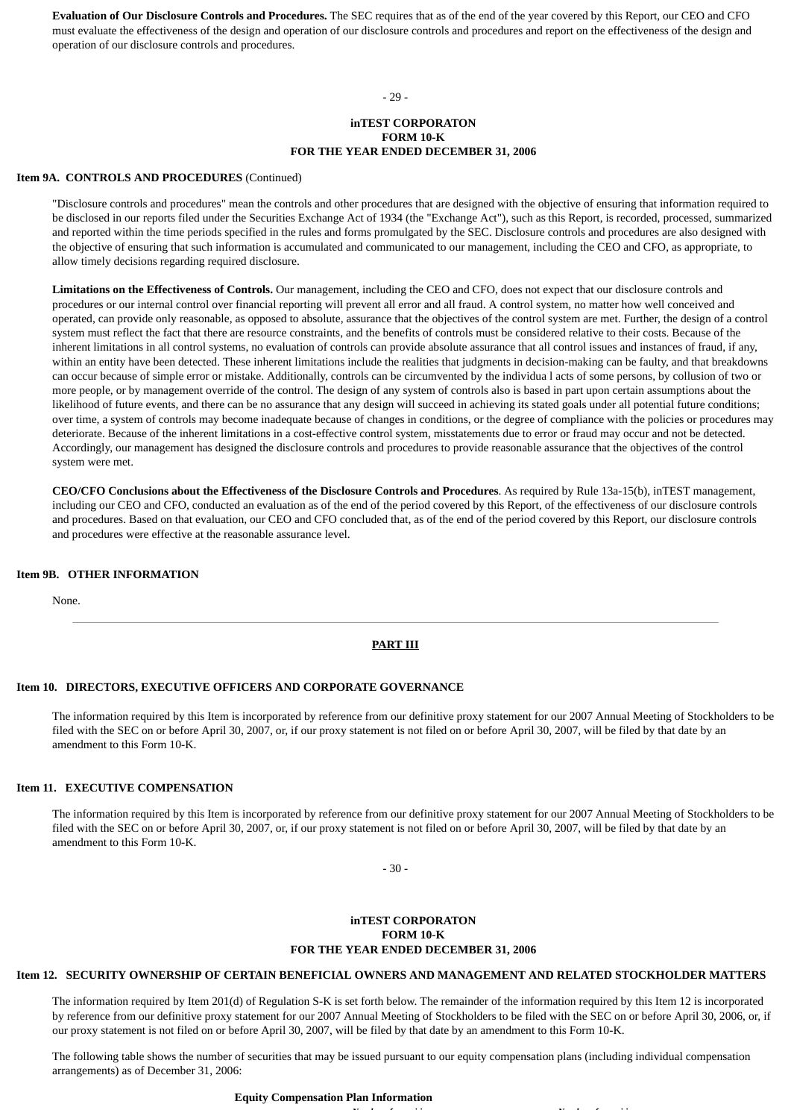**Evaluation of Our Disclosure Controls and Procedures.** The SEC requires that as of the end of the year covered by this Report, our CEO and CFO must evaluate the effectiveness of the design and operation of our disclosure controls and procedures and report on the effectiveness of the design and operation of our disclosure controls and procedures.

#### - 29 -

## **inTEST CORPORATON FORM 10-K FOR THE YEAR ENDED DECEMBER 31, 2006**

#### **Item 9A. CONTROLS AND PROCEDURES** (Continued)

"Disclosure controls and procedures" mean the controls and other procedures that are designed with the objective of ensuring that information required to be disclosed in our reports filed under the Securities Exchange Act of 1934 (the "Exchange Act"), such as this Report, is recorded, processed, summarized and reported within the time periods specified in the rules and forms promulgated by the SEC. Disclosure controls and procedures are also designed with the objective of ensuring that such information is accumulated and communicated to our management, including the CEO and CFO, as appropriate, to allow timely decisions regarding required disclosure.

**Limitations on the Effectiveness of Controls.** Our management, including the CEO and CFO, does not expect that our disclosure controls and procedures or our internal control over financial reporting will prevent all error and all fraud. A control system, no matter how well conceived and operated, can provide only reasonable, as opposed to absolute, assurance that the objectives of the control system are met. Further, the design of a control system must reflect the fact that there are resource constraints, and the benefits of controls must be considered relative to their costs. Because of the inherent limitations in all control systems, no evaluation of controls can provide absolute assurance that all control issues and instances of fraud, if any, within an entity have been detected. These inherent limitations include the realities that judgments in decision-making can be faulty, and that breakdowns can occur because of simple error or mistake. Additionally, controls can be circumvented by the individua l acts of some persons, by collusion of two or more people, or by management override of the control. The design of any system of controls also is based in part upon certain assumptions about the likelihood of future events, and there can be no assurance that any design will succeed in achieving its stated goals under all potential future conditions; over time, a system of controls may become inadequate because of changes in conditions, or the degree of compliance with the policies or procedures may deteriorate. Because of the inherent limitations in a cost-effective control system, misstatements due to error or fraud may occur and not be detected. Accordingly, our management has designed the disclosure controls and procedures to provide reasonable assurance that the objectives of the control system were met.

**CEO/CFO Conclusions about the Effectiveness of the Disclosure Controls and Procedures**. As required by Rule 13a-15(b), inTEST management, including our CEO and CFO, conducted an evaluation as of the end of the period covered by this Report, of the effectiveness of our disclosure controls and procedures. Based on that evaluation, our CEO and CFO concluded that, as of the end of the period covered by this Report, our disclosure controls and procedures were effective at the reasonable assurance level.

#### **Item 9B. OTHER INFORMATION**

None.

### **PART III**

#### **Item 10. DIRECTORS, EXECUTIVE OFFICERS AND CORPORATE GOVERNANCE**

The information required by this Item is incorporated by reference from our definitive proxy statement for our 2007 Annual Meeting of Stockholders to be filed with the SEC on or before April 30, 2007, or, if our proxy statement is not filed on or before April 30, 2007, will be filed by that date by an amendment to this Form 10-K.

## **Item 11. EXECUTIVE COMPENSATION**

The information required by this Item is incorporated by reference from our definitive proxy statement for our 2007 Annual Meeting of Stockholders to be filed with the SEC on or before April 30, 2007, or, if our proxy statement is not filed on or before April 30, 2007, will be filed by that date by an amendment to this Form 10-K.

- 30 -

## **inTEST CORPORATON FORM 10-K FOR THE YEAR ENDED DECEMBER 31, 2006**

## **Item 12. SECURITY OWNERSHIP OF CERTAIN BENEFICIAL OWNERS AND MANAGEMENT AND RELATED STOCKHOLDER MATTERS**

The information required by Item 201(d) of Regulation S-K is set forth below. The remainder of the information required by this Item 12 is incorporated by reference from our definitive proxy statement for our 2007 Annual Meeting of Stockholders to be filed with the SEC on or before April 30, 2006, or, if our proxy statement is not filed on or before April 30, 2007, will be filed by that date by an amendment to this Form 10-K.

The following table shows the number of securities that may be issued pursuant to our equity compensation plans (including individual compensation arrangements) as of December 31, 2006:

## **Equity Compensation Plan Information**

*N b f i i N b f i i*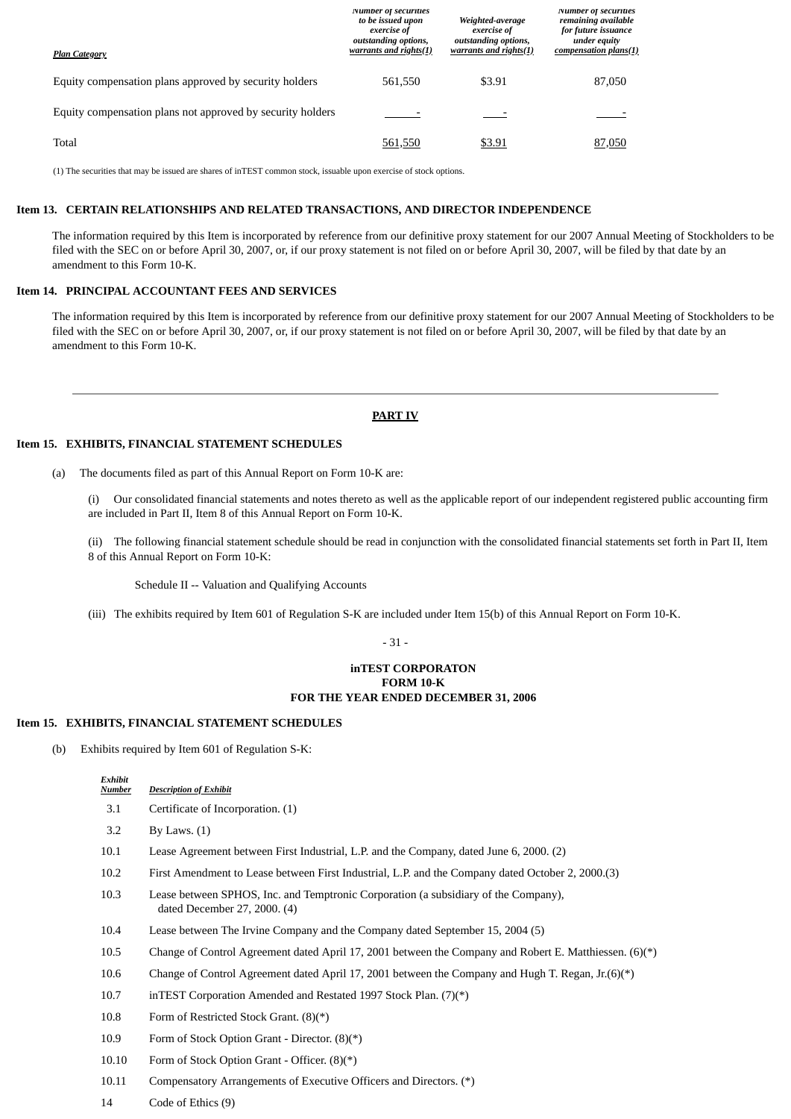| <b>Plan Category</b>                                       | <b>Number of securities</b><br>to be issued upon<br>exercise of<br>outstanding options,<br>warrants and rights(1) | Weighted-average<br>exercise of<br>outstanding options,<br>warrants and rights(1) | <b>Number of securities</b><br>remaining available<br>for future issuance<br>under equity<br>compensation plans(1) |
|------------------------------------------------------------|-------------------------------------------------------------------------------------------------------------------|-----------------------------------------------------------------------------------|--------------------------------------------------------------------------------------------------------------------|
| Equity compensation plans approved by security holders     | 561.550                                                                                                           | \$3.91                                                                            | 87,050                                                                                                             |
| Equity compensation plans not approved by security holders |                                                                                                                   |                                                                                   |                                                                                                                    |
| Total                                                      | 561,550                                                                                                           | \$3.91                                                                            | 87,050                                                                                                             |

(1) The securities that may be issued are shares of inTEST common stock, issuable upon exercise of stock options.

## **Item 13. CERTAIN RELATIONSHIPS AND RELATED TRANSACTIONS, AND DIRECTOR INDEPENDENCE**

The information required by this Item is incorporated by reference from our definitive proxy statement for our 2007 Annual Meeting of Stockholders to be filed with the SEC on or before April 30, 2007, or, if our proxy statement is not filed on or before April 30, 2007, will be filed by that date by an amendment to this Form 10-K.

### **Item 14. PRINCIPAL ACCOUNTANT FEES AND SERVICES**

The information required by this Item is incorporated by reference from our definitive proxy statement for our 2007 Annual Meeting of Stockholders to be filed with the SEC on or before April 30, 2007, or, if our proxy statement is not filed on or before April 30, 2007, will be filed by that date by an amendment to this Form 10-K.

### **PART IV**

## **Item 15. EXHIBITS, FINANCIAL STATEMENT SCHEDULES**

(a) The documents filed as part of this Annual Report on Form 10-K are:

(i) Our consolidated financial statements and notes thereto as well as the applicable report of our independent registered public accounting firm are included in Part II, Item 8 of this Annual Report on Form 10-K.

(ii) The following financial statement schedule should be read in conjunction with the consolidated financial statements set forth in Part II, Item 8 of this Annual Report on Form 10-K:

Schedule II -- Valuation and Qualifying Accounts

(iii) The exhibits required by Item 601 of Regulation S-K are included under Item 15(b) of this Annual Report on Form 10-K.

- 31 -

## **inTEST CORPORATON FORM 10-K FOR THE YEAR ENDED DECEMBER 31, 2006**

### **Item 15. EXHIBITS, FINANCIAL STATEMENT SCHEDULES**

(b) Exhibits required by Item 601 of Regulation S-K:

| Exhibit<br><u>Number</u> | <b>Description of Exhibit</b>                                                                                       |
|--------------------------|---------------------------------------------------------------------------------------------------------------------|
| 3.1                      | Certificate of Incorporation. (1)                                                                                   |
| 3.2                      | By Laws. $(1)$                                                                                                      |
| 10.1                     | Lease Agreement between First Industrial, L.P. and the Company, dated June 6, 2000. (2)                             |
| 10.2                     | First Amendment to Lease between First Industrial, L.P. and the Company dated October 2, 2000.(3)                   |
| 10.3                     | Lease between SPHOS, Inc. and Temptronic Corporation (a subsidiary of the Company),<br>dated December 27, 2000. (4) |
| 10.4                     | Lease between The Irvine Company and the Company dated September 15, 2004 (5)                                       |
| 10.5                     | Change of Control Agreement dated April 17, 2001 between the Company and Robert E. Matthiessen. $(6)(*)$            |
| 10.6                     | Change of Control Agreement dated April 17, 2001 between the Company and Hugh T. Regan, Jr. $(6)(*)$                |
| 10.7                     | inTEST Corporation Amended and Restated 1997 Stock Plan. (7)(*)                                                     |
| 10.8                     | Form of Restricted Stock Grant. (8)(*)                                                                              |
| 10.9                     | Form of Stock Option Grant - Director. (8)(*)                                                                       |
| 10.10                    | Form of Stock Option Grant - Officer. (8)(*)                                                                        |
| 10.11                    | Compensatory Arrangements of Executive Officers and Directors. (*)                                                  |

14 Code of Ethics (9)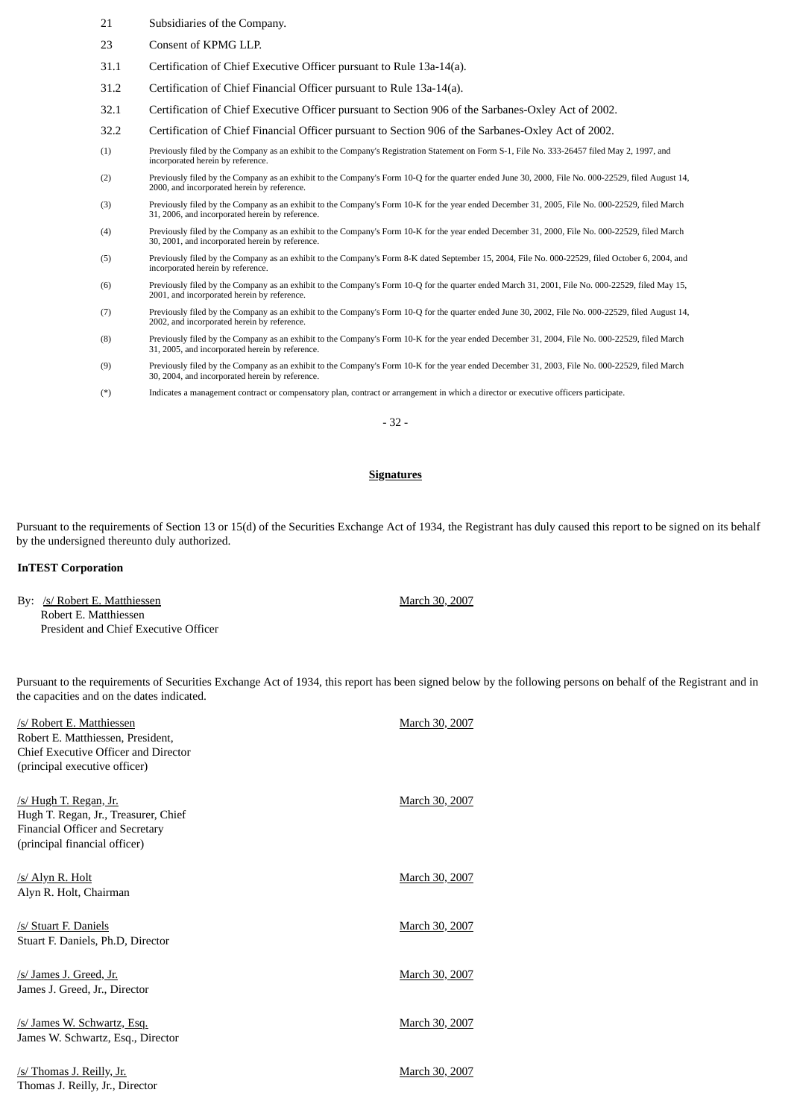- 21 Subsidiaries of the Company.
- 23 Consent of KPMG LLP.
- 31.1 Certification of Chief Executive Officer pursuant to Rule 13a-14(a).
- 31.2 Certification of Chief Financial Officer pursuant to Rule 13a-14(a).
- 32.1 Certification of Chief Executive Officer pursuant to Section 906 of the Sarbanes-Oxley Act of 2002.
- 32.2 Certification of Chief Financial Officer pursuant to Section 906 of the Sarbanes-Oxley Act of 2002.
- (1) Previously filed by the Company as an exhibit to the Company's Registration Statement on Form S-1, File No. 333-26457 filed May 2, 1997, and incorporated herein by reference.
- (2) Previously filed by the Company as an exhibit to the Company's Form 10-Q for the quarter ended June 30, 2000, File No. 000-22529, filed August 14, 2000, and incorporated herein by reference.
- (3) Previously filed by the Company as an exhibit to the Company's Form 10-K for the year ended December 31, 2005, File No. 000-22529, filed March 31, 2006, and incorporated herein by reference.
- (4) Previously filed by the Company as an exhibit to the Company's Form 10-K for the year ended December 31, 2000, File No. 000-22529, filed March 30, 2001, and incorporated herein by reference.
- (5) Previously filed by the Company as an exhibit to the Company's Form 8-K dated September 15, 2004, File No. 000-22529, filed October 6, 2004, and incorporated herein by reference.
- (6) Previously filed by the Company as an exhibit to the Company's Form 10-Q for the quarter ended March 31, 2001, File No. 000-22529, filed May 15, 2001, and incorporated herein by reference.
- (7) Previously filed by the Company as an exhibit to the Company's Form 10-Q for the quarter ended June 30, 2002, File No. 000-22529, filed August 14, 2002, and incorporated herein by reference.
- (8) Previously filed by the Company as an exhibit to the Company's Form 10-K for the year ended December 31, 2004, File No. 000-22529, filed March 31, 2005, and incorporated herein by reference.
- (9) Previously filed by the Company as an exhibit to the Company's Form 10-K for the year ended December 31, 2003, File No. 000-22529, filed March 30, 2004, and incorporated herein by reference.
- (\*) Indicates a management contract or compensatory plan, contract or arrangement in which a director or executive officers participate.

- 32 -

## **Signatures**

Pursuant to the requirements of Section 13 or 15(d) of the Securities Exchange Act of 1934, the Registrant has duly caused this report to be signed on its behalf by the undersigned thereunto duly authorized.

## **InTEST Corporation**

By: /s/ Robert E. Matthiessen Robert E. Matthiessen President and Chief Executive Officer

Pursuant to the requirements of Securities Exchange Act of 1934, this report has been signed below by the following persons on behalf of the Registrant and in the capacities and on the dates indicated.

March 30, 2007

| /s/ Robert E. Matthiessen<br>Robert E. Matthiessen, President,<br>Chief Executive Officer and Director<br>(principal executive officer)   | March 30, 2007 |
|-------------------------------------------------------------------------------------------------------------------------------------------|----------------|
| /s/ Hugh T. Regan, Jr.<br>Hugh T. Regan, Jr., Treasurer, Chief<br><b>Financial Officer and Secretary</b><br>(principal financial officer) | March 30, 2007 |
| /s/ Alyn R. Holt<br>Alyn R. Holt, Chairman                                                                                                | March 30, 2007 |
| /s/ Stuart F. Daniels<br>Stuart F. Daniels, Ph.D, Director                                                                                | March 30, 2007 |
| /s/ James J. Greed, Jr.<br>James J. Greed, Jr., Director                                                                                  | March 30, 2007 |
| /s/ James W. Schwartz, Esq.<br>James W. Schwartz, Esq., Director                                                                          | March 30, 2007 |
| /s/ Thomas J. Reilly, Jr.<br>Thomas J. Reilly, Jr., Director                                                                              | March 30, 2007 |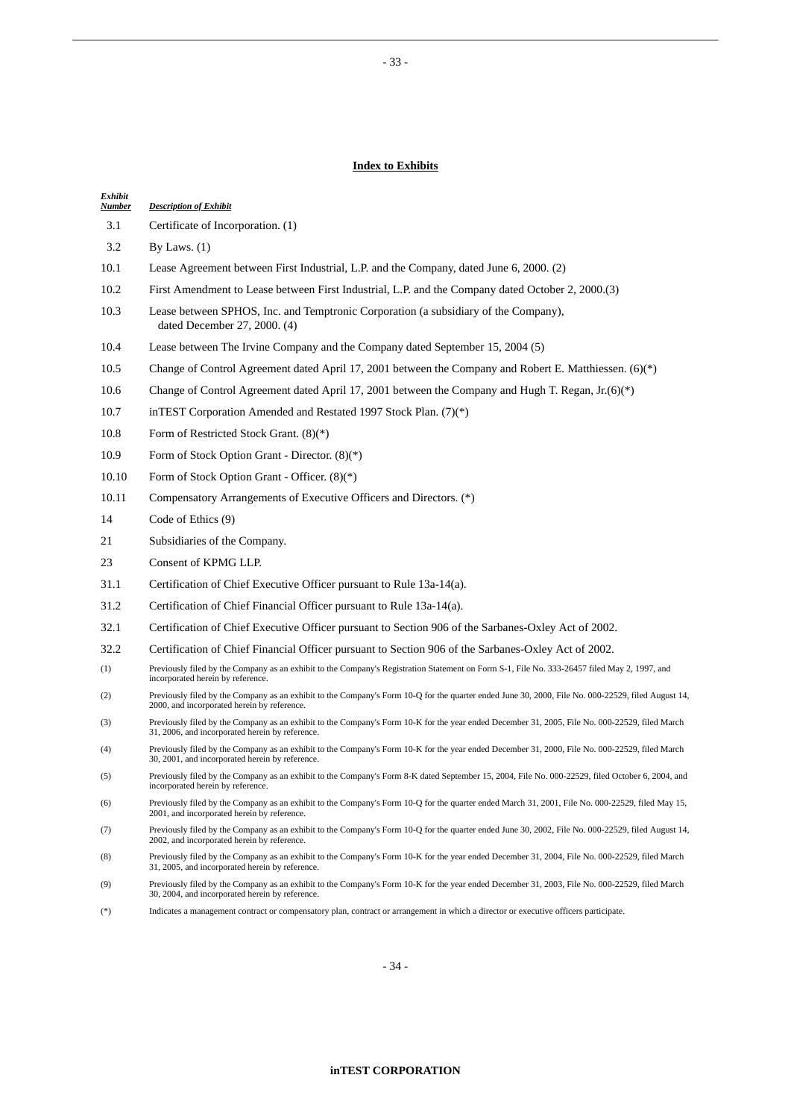## **Index to Exhibits**

| Exhibit<br><b>Number</b> | <b>Description of Exhibit</b>                                                                                                                                                                     |
|--------------------------|---------------------------------------------------------------------------------------------------------------------------------------------------------------------------------------------------|
| 3.1                      | Certificate of Incorporation. (1)                                                                                                                                                                 |
| 3.2                      | By Laws. $(1)$                                                                                                                                                                                    |
| 10.1                     | Lease Agreement between First Industrial, L.P. and the Company, dated June 6, 2000. (2)                                                                                                           |
| 10.2                     | First Amendment to Lease between First Industrial, L.P. and the Company dated October 2, 2000.(3)                                                                                                 |
| 10.3                     | Lease between SPHOS, Inc. and Temptronic Corporation (a subsidiary of the Company),<br>dated December 27, 2000. (4)                                                                               |
| 10.4                     | Lease between The Irvine Company and the Company dated September 15, 2004 (5)                                                                                                                     |
| 10.5                     | Change of Control Agreement dated April 17, 2001 between the Company and Robert E. Matthiessen. (6)(*)                                                                                            |
| 10.6                     | Change of Control Agreement dated April 17, 2001 between the Company and Hugh T. Regan, Jr. $(6)(*)$                                                                                              |
| 10.7                     | inTEST Corporation Amended and Restated 1997 Stock Plan. (7)(*)                                                                                                                                   |
| 10.8                     | Form of Restricted Stock Grant. (8)(*)                                                                                                                                                            |
| 10.9                     | Form of Stock Option Grant - Director. (8)(*)                                                                                                                                                     |
| 10.10                    | Form of Stock Option Grant - Officer. (8)(*)                                                                                                                                                      |
| 10.11                    | Compensatory Arrangements of Executive Officers and Directors. (*)                                                                                                                                |
| 14                       | Code of Ethics (9)                                                                                                                                                                                |
| 21                       | Subsidiaries of the Company.                                                                                                                                                                      |
| 23                       | Consent of KPMG LLP.                                                                                                                                                                              |
| 31.1                     | Certification of Chief Executive Officer pursuant to Rule 13a-14(a).                                                                                                                              |
| 31.2                     | Certification of Chief Financial Officer pursuant to Rule 13a-14(a).                                                                                                                              |
| 32.1                     | Certification of Chief Executive Officer pursuant to Section 906 of the Sarbanes-Oxley Act of 2002.                                                                                               |
| 32.2                     | Certification of Chief Financial Officer pursuant to Section 906 of the Sarbanes-Oxley Act of 2002.                                                                                               |
| (1)                      | Previously filed by the Company as an exhibit to the Company's Registration Statement on Form S-1, File No. 333-26457 filed May 2, 1997, and<br>incorporated herein by reference.                 |
| (2)                      | Previously filed by the Company as an exhibit to the Company's Form 10-Q for the quarter ended June 30, 2000, File No. 000-22529, filed August 14,<br>2000, and incorporated herein by reference. |
| (3)                      | Previously filed by the Company as an exhibit to the Company's Form 10-K for the year ended December 31, 2005, File No. 000-22529, filed March<br>31, 2006, and incorporated herein by reference. |
| (4)                      | Previously filed by the Company as an exhibit to the Company's Form 10-K for the year ended December 31, 2000, File No. 000-22529, filed March<br>30, 2001, and incorporated herein by reference. |
| (5)                      | Previously filed by the Company as an exhibit to the Company's Form 8-K dated September 15, 2004, File No. 000-22529, filed October 6, 2004, and<br>incorporated herein by reference.             |
| (6)                      | Previously filed by the Company as an exhibit to the Company's Form 10-Q for the quarter ended March 31, 2001, File No. 000-22529, filed May 15,<br>2001, and incorporated herein by reference.   |
| (7)                      | Previously filed by the Company as an exhibit to the Company's Form 10-Q for the quarter ended June 30, 2002, File No. 000-22529, filed August 14,<br>2002, and incorporated herein by reference. |
| (8)                      | Previously filed by the Company as an exhibit to the Company's Form 10-K for the year ended December 31, 2004, File No. 000-22529, filed March<br>31, 2005, and incorporated herein by reference. |
| (9)                      | Previously filed by the Company as an exhibit to the Company's Form 10-K for the year ended December 31, 2003, File No. 000-22529, filed March<br>30, 2004, and incorporated herein by reference. |
|                          |                                                                                                                                                                                                   |

(\*) Indicates a management contract or compensatory plan, contract or arrangement in which a director or executive officers participate.

- 34 -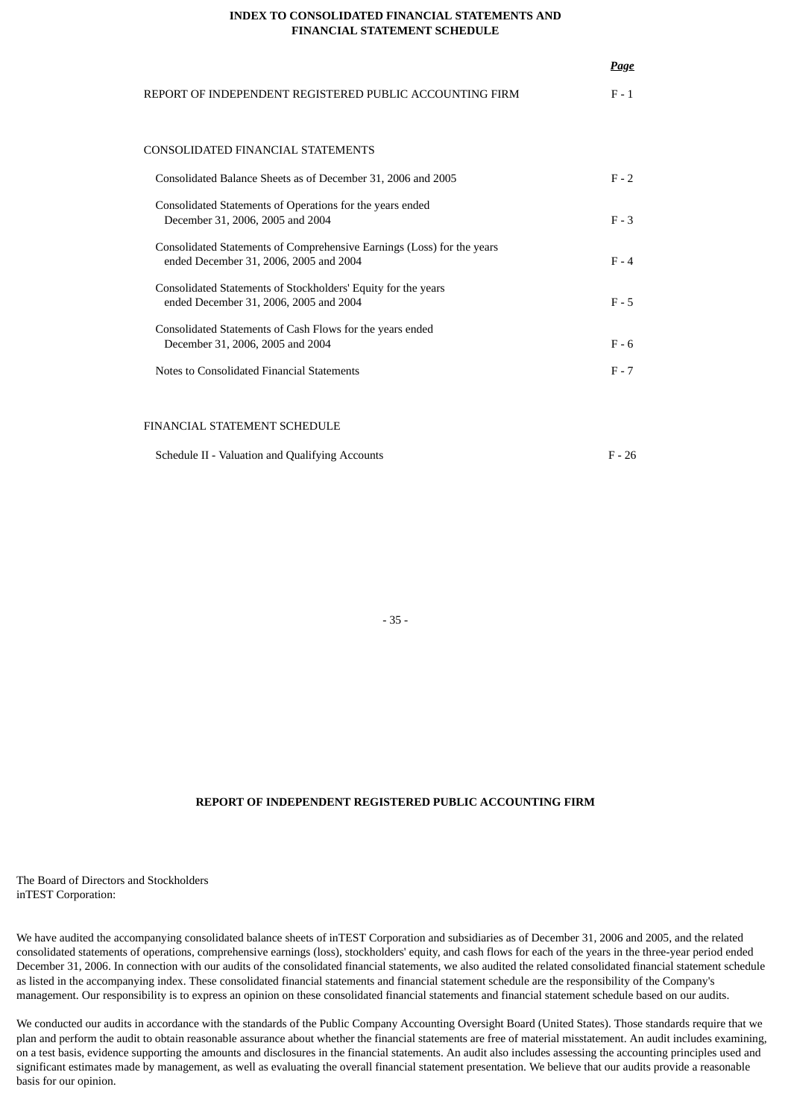## **INDEX TO CONSOLIDATED FINANCIAL STATEMENTS AND FINANCIAL STATEMENT SCHEDULE**

|                                                                                                                  | Page    |
|------------------------------------------------------------------------------------------------------------------|---------|
| REPORT OF INDEPENDENT REGISTERED PUBLIC ACCOUNTING FIRM                                                          | $F - 1$ |
|                                                                                                                  |         |
| CONSOLIDATED FINANCIAL STATEMENTS                                                                                |         |
| Consolidated Balance Sheets as of December 31, 2006 and 2005                                                     | $F - 2$ |
| Consolidated Statements of Operations for the years ended<br>December 31, 2006, 2005 and 2004                    | $F - 3$ |
| Consolidated Statements of Comprehensive Earnings (Loss) for the years<br>ended December 31, 2006, 2005 and 2004 | $F - 4$ |
| Consolidated Statements of Stockholders' Equity for the years<br>ended December 31, 2006, 2005 and 2004          | $F - 5$ |
| Consolidated Statements of Cash Flows for the years ended<br>December 31, 2006, 2005 and 2004                    | $F - 6$ |
| Notes to Consolidated Financial Statements                                                                       | $F - 7$ |
| FINANCIAL STATEMENT SCHEDULE                                                                                     |         |

| Schedule II - Valuation and Qualifying Accounts | $F - 26$ |
|-------------------------------------------------|----------|
|-------------------------------------------------|----------|

- 35 -

#### **REPORT OF INDEPENDENT REGISTERED PUBLIC ACCOUNTING FIRM**

The Board of Directors and Stockholders inTEST Corporation:

We have audited the accompanying consolidated balance sheets of inTEST Corporation and subsidiaries as of December 31, 2006 and 2005, and the related consolidated statements of operations, comprehensive earnings (loss), stockholders' equity, and cash flows for each of the years in the three-year period ended December 31, 2006. In connection with our audits of the consolidated financial statements, we also audited the related consolidated financial statement schedule as listed in the accompanying index. These consolidated financial statements and financial statement schedule are the responsibility of the Company's management. Our responsibility is to express an opinion on these consolidated financial statements and financial statement schedule based on our audits.

We conducted our audits in accordance with the standards of the Public Company Accounting Oversight Board (United States). Those standards require that we plan and perform the audit to obtain reasonable assurance about whether the financial statements are free of material misstatement. An audit includes examining, on a test basis, evidence supporting the amounts and disclosures in the financial statements. An audit also includes assessing the accounting principles used and significant estimates made by management, as well as evaluating the overall financial statement presentation. We believe that our audits provide a reasonable basis for our opinion.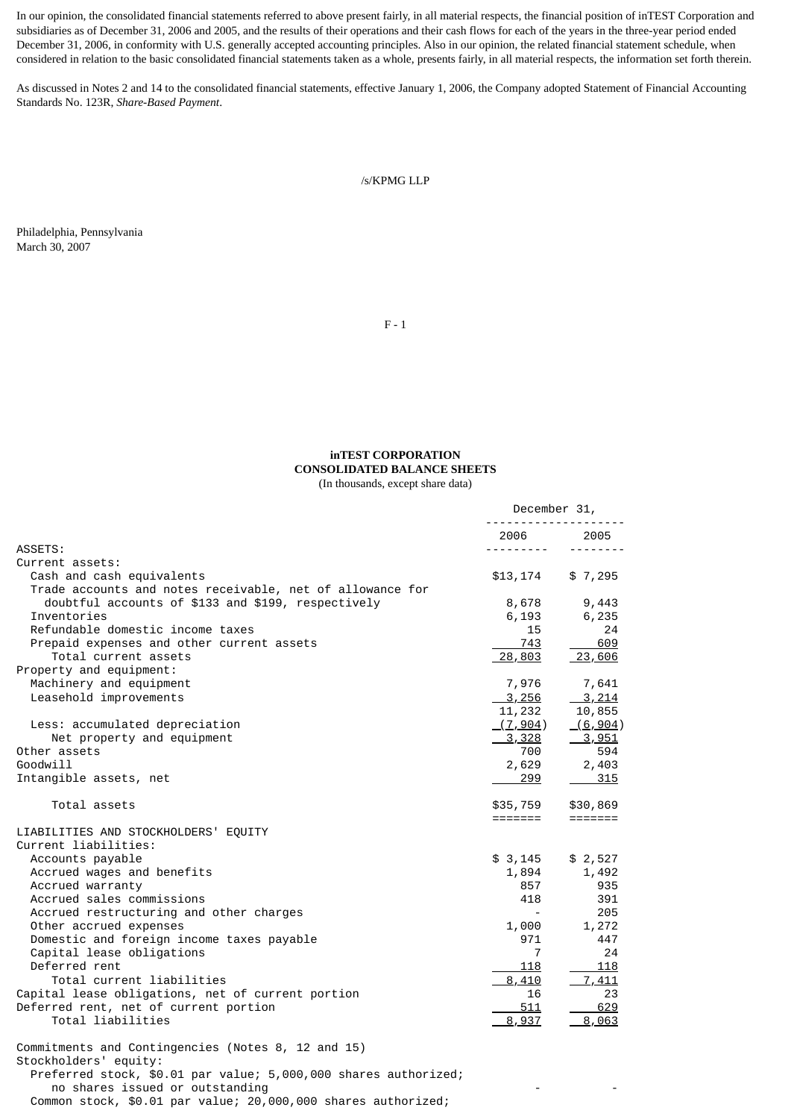In our opinion, the consolidated financial statements referred to above present fairly, in all material respects, the financial position of inTEST Corporation and subsidiaries as of December 31, 2006 and 2005, and the results of their operations and their cash flows for each of the years in the three-year period ended December 31, 2006, in conformity with U.S. generally accepted accounting principles. Also in our opinion, the related financial statement schedule, when considered in relation to the basic consolidated financial statements taken as a whole, presents fairly, in all material respects, the information set forth therein.

As discussed in Notes 2 and 14 to the consolidated financial statements, effective January 1, 2006, the Company adopted Statement of Financial Accounting Standards No. 123R, *Share-Based Payment*.

/s/KPMG LLP

Philadelphia, Pennsylvania March 30, 2007

F - 1

## **inTEST CORPORATION CONSOLIDATED BALANCE SHEETS**

(In thousands, except share data)

December 31,

|                                                                             | -------------------- |                |
|-----------------------------------------------------------------------------|----------------------|----------------|
|                                                                             | 2006 — 100           | 2005           |
| ASSETS:                                                                     |                      | --------       |
| Current assets:                                                             |                      |                |
| Cash and cash equivalents                                                   | \$13,174             | \$7,295        |
| Trade accounts and notes receivable, net of allowance for                   |                      |                |
| doubtful accounts of \$133 and \$199, respectively                          | 8,678                | 9,443          |
| Inventories                                                                 | 6,193                | 6,235          |
| Refundable domestic income taxes                                            | 15                   | 24             |
| Prepaid expenses and other current assets                                   | 743                  | 609            |
| Total current assets                                                        | 28,803               | 23,606         |
| Property and equipment:                                                     |                      |                |
| Machinery and equipment                                                     | 7,976                | 7,641          |
| Leasehold improvements                                                      | 3,256                | 3,214          |
|                                                                             | 11,232               | 10,855         |
| Less: accumulated depreciation                                              | (7, 904)             | (6, 904)       |
| Net property and equipment                                                  | <u>3,328</u>         | <u>3,951 _</u> |
| Other assets                                                                | 700                  | 594            |
| Goodwill                                                                    | 2,629                | 2,403          |
| Intangible assets, net                                                      | 299                  | 315            |
|                                                                             |                      |                |
| Total assets                                                                | \$35,759             | \$30,869       |
|                                                                             | =======              |                |
| LIABILITIES AND STOCKHOLDERS' EQUITY                                        |                      |                |
| Current liabilities:                                                        |                      |                |
| Accounts payable                                                            | \$3,145              | \$2,527        |
| Accrued wages and benefits                                                  | 1,894                | 1,492          |
| Accrued warranty                                                            | 857                  | 935            |
| Accrued sales commissions                                                   | 418                  | 391            |
| Accrued restructuring and other charges                                     |                      | 205            |
| Other accrued expenses                                                      | 1,000                | 1,272          |
| Domestic and foreign income taxes payable                                   | 971                  | 447            |
| Capital lease obligations                                                   | $\overline{7}$       | 24             |
| Deferred rent                                                               | 118                  | 118            |
| Total current liabilities                                                   | 8,410                | 7,411          |
| Capital lease obligations, net of current portion                           | 16                   | 23             |
| Deferred rent, net of current portion                                       | 511                  | 629            |
| Total liabilities                                                           | 8,937                | 8,063          |
|                                                                             |                      |                |
| Commitments and Contingencies (Notes 8, 12 and 15)<br>Stockholders' equity: |                      |                |
|                                                                             |                      |                |
| Preferred stock, \$0.01 par value; 5,000,000 shares authorized;             |                      |                |
| no shares issued or outstanding                                             |                      |                |

Common stock, \$0.01 par value; 20,000,000 shares authorized;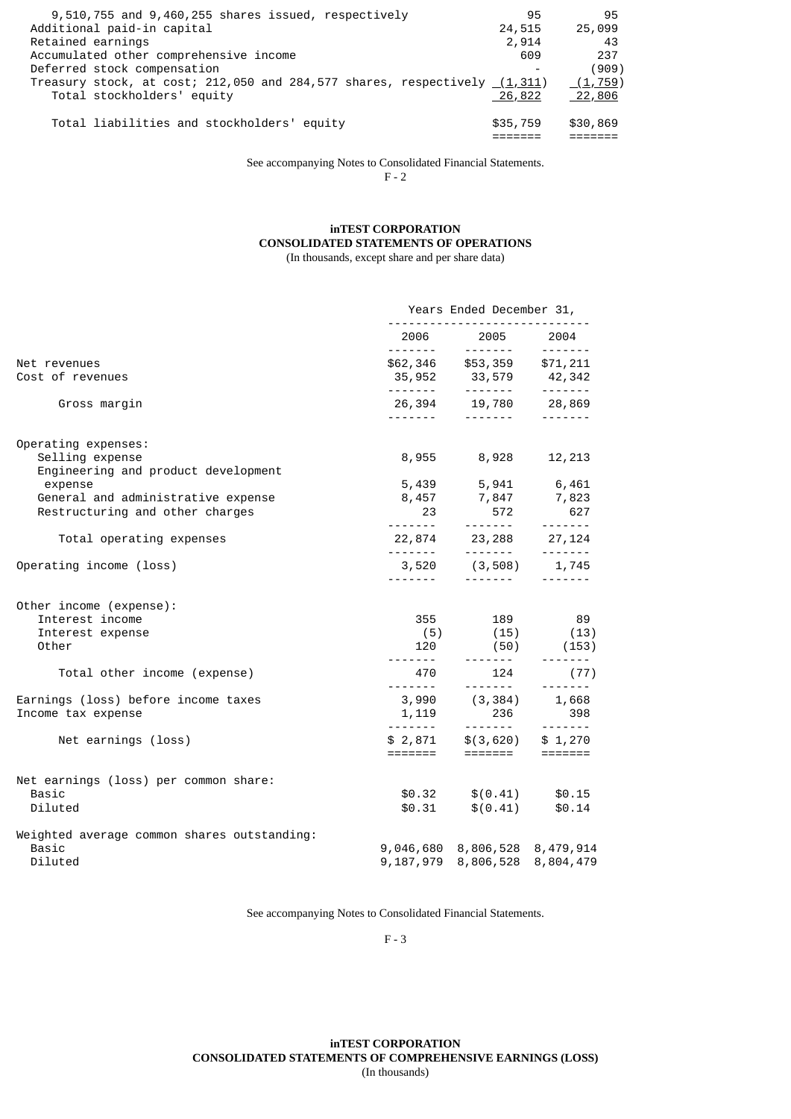| $9,510,755$ and $9,460,255$ shares issued, respectively<br>Additional paid-in capital<br>Retained earnings<br>Accumulated other comprehensive income<br>Deferred stock compensation<br>Treasury stock, at cost; 212,050 and 284,577 shares, respectively $(1,311)$<br>Total stockholders' equity | 95<br>24,515<br>2,914<br>609<br>26,822 | 95<br>25,099<br>-43<br>237<br>(909)<br><u>(1,759)</u><br>22,806 |
|--------------------------------------------------------------------------------------------------------------------------------------------------------------------------------------------------------------------------------------------------------------------------------------------------|----------------------------------------|-----------------------------------------------------------------|
| Total liabilities and stockholders' equity                                                                                                                                                                                                                                                       | \$35,759                               | \$30,869                                                        |

See accompanying Notes to Consolidated Financial Statements.

F - 2

# **inTEST CORPORATION CONSOLIDATED STATEMENTS OF OPERATIONS**

(In thousands, except share and per share data)

|                                                                       |                           | Years Ended December 31,                                        |                                                                                                                                                                                                                                                                                                                                                                                                                                                                                        |
|-----------------------------------------------------------------------|---------------------------|-----------------------------------------------------------------|----------------------------------------------------------------------------------------------------------------------------------------------------------------------------------------------------------------------------------------------------------------------------------------------------------------------------------------------------------------------------------------------------------------------------------------------------------------------------------------|
|                                                                       | <u>.</u>                  | 2006 2005 2004<br>----- ------- ------                          | .                                                                                                                                                                                                                                                                                                                                                                                                                                                                                      |
| Net revenues                                                          |                           | \$62,346 \$53,359 \$71,211                                      |                                                                                                                                                                                                                                                                                                                                                                                                                                                                                        |
| Cost of revenues                                                      |                           | $35,952$ $33,579$ $42,342$<br>------- ------- ------            |                                                                                                                                                                                                                                                                                                                                                                                                                                                                                        |
| Gross margin                                                          |                           | 26,394 19,780 28,869<br>------- ------- -------                 |                                                                                                                                                                                                                                                                                                                                                                                                                                                                                        |
| Operating expenses:                                                   |                           |                                                                 |                                                                                                                                                                                                                                                                                                                                                                                                                                                                                        |
| Selling expense<br>Engineering and product development                |                           | 8,955 8,928                                                     | 12,213                                                                                                                                                                                                                                                                                                                                                                                                                                                                                 |
| expense                                                               |                           | 5,439 5,941 6,461                                               |                                                                                                                                                                                                                                                                                                                                                                                                                                                                                        |
| General and administrative expense<br>Restructuring and other charges |                           | $8,457$ $7,847$ $7,823$<br>23 572 627                           |                                                                                                                                                                                                                                                                                                                                                                                                                                                                                        |
| Total operating expenses                                              |                           | 22,874 23,288 27,124<br>------- ------ ------ -------           |                                                                                                                                                                                                                                                                                                                                                                                                                                                                                        |
| Operating income (loss)                                               | <u> - - - - - - - - -</u> | $3,520$ $(3,508)$ $1,745$                                       |                                                                                                                                                                                                                                                                                                                                                                                                                                                                                        |
| Other income (expense):                                               |                           |                                                                 |                                                                                                                                                                                                                                                                                                                                                                                                                                                                                        |
| Interest income                                                       |                           | 355 189 89                                                      |                                                                                                                                                                                                                                                                                                                                                                                                                                                                                        |
| Interest expense<br>Other                                             | 120<br><b>-------</b>     | $(5)$ $(15)$ $(13)$<br>$(50)$ $(153)$                           | $\begin{array}{cccccccccccccc} \multicolumn{2}{c}{} & \multicolumn{2}{c}{} & \multicolumn{2}{c}{} & \multicolumn{2}{c}{} & \multicolumn{2}{c}{} & \multicolumn{2}{c}{} & \multicolumn{2}{c}{} & \multicolumn{2}{c}{} & \multicolumn{2}{c}{} & \multicolumn{2}{c}{} & \multicolumn{2}{c}{} & \multicolumn{2}{c}{} & \multicolumn{2}{c}{} & \multicolumn{2}{c}{} & \multicolumn{2}{c}{} & \multicolumn{2}{c}{} & \multicolumn{2}{c}{} & \multicolumn{2}{c}{} & \multicolumn{2}{c}{} & \$ |
| Total other income (expense)                                          |                           | 470 124 (77)<br><u> 2222222 - 2222222 - 1</u>                   | $- - - - - - - -$                                                                                                                                                                                                                                                                                                                                                                                                                                                                      |
| Earnings (loss) before income taxes<br>Income tax expense             |                           | 3,990 (3,384) 1,668<br>1,119 236 398<br>------- ------- ------- | 398                                                                                                                                                                                                                                                                                                                                                                                                                                                                                    |
| Net earnings (loss)                                                   |                           | $$2,871$ $$(3,620)$ $$1,270$                                    |                                                                                                                                                                                                                                                                                                                                                                                                                                                                                        |
| Net earnings (loss) per common share:                                 |                           |                                                                 |                                                                                                                                                                                                                                                                                                                                                                                                                                                                                        |
| Basic<br>Diluted                                                      | \$0.31                    | $$0.32$ $$(0.41)$ $$0.15$                                       | $$(0.41)$ $$0.14$                                                                                                                                                                                                                                                                                                                                                                                                                                                                      |
| Weighted average common shares outstanding:<br>Basic                  |                           | 9,046,680 8,806,528 8,479,914                                   |                                                                                                                                                                                                                                                                                                                                                                                                                                                                                        |
| Diluted                                                               |                           | 9, 187, 979 8, 806, 528 8, 804, 479                             |                                                                                                                                                                                                                                                                                                                                                                                                                                                                                        |

See accompanying Notes to Consolidated Financial Statements.

F - 3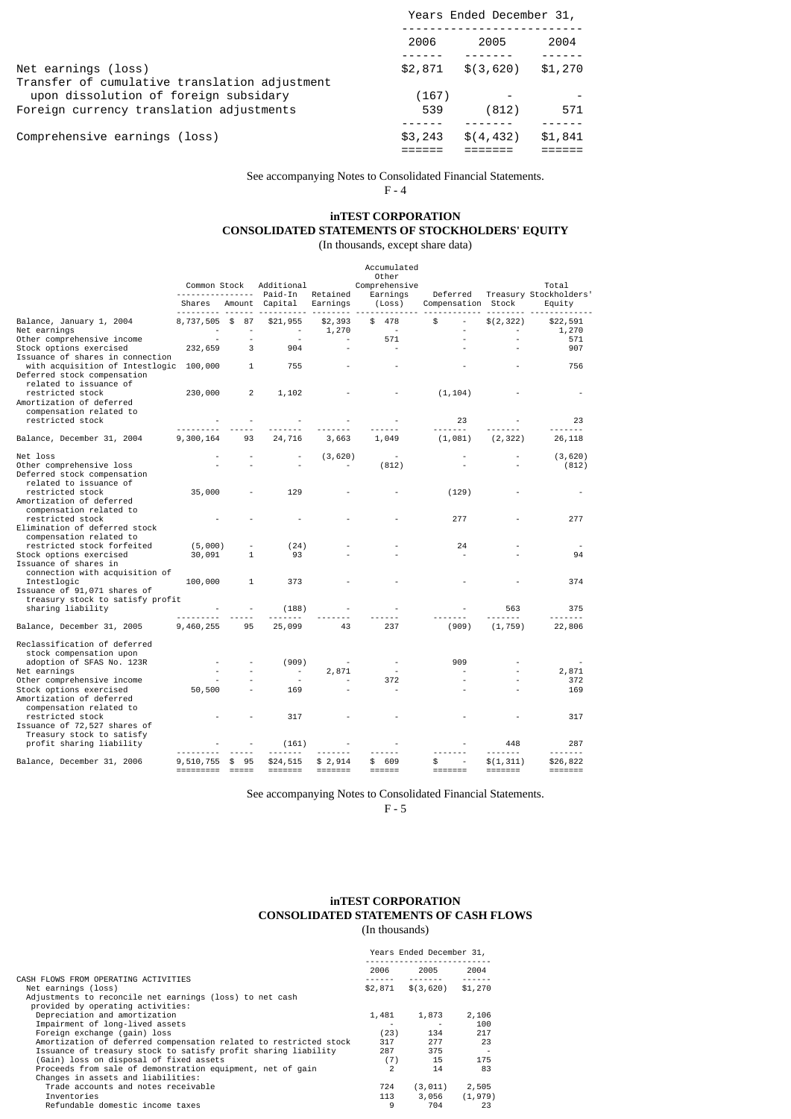|                                                                                        | Years Ended December 31, |            |         |  |  |
|----------------------------------------------------------------------------------------|--------------------------|------------|---------|--|--|
|                                                                                        | 2006                     | 2005       | 2004    |  |  |
| Net earnings (loss)                                                                    | \$2,871                  | \$(3,620)  | \$1,270 |  |  |
| Transfer of cumulative translation adjustment<br>upon dissolution of foreign subsidary | (167)                    |            |         |  |  |
| Foreign currency translation adjustments                                               | 539                      | (812)      | 571     |  |  |
| Comprehensive earnings (loss)                                                          | \$3,243                  | \$(4, 432) | \$1,841 |  |  |

See accompanying Notes to Consolidated Financial Statements.

F - 4

## **inTEST CORPORATION CONSOLIDATED STATEMENTS OF STOCKHOLDERS' EQUITY**

(In thousands, except share data)

|                                                                                          |                                      |  |         |                          |                                            |                                        | Accumulated                 |                                                 |                       |                     |  |  |  |
|------------------------------------------------------------------------------------------|--------------------------------------|--|---------|--------------------------|--------------------------------------------|----------------------------------------|-----------------------------|-------------------------------------------------|-----------------------|---------------------|--|--|--|
|                                                                                          |                                      |  |         |                          | Additional                                 |                                        | Other<br>Comprehensive      |                                                 |                       | Total               |  |  |  |
|                                                                                          | Common Stock<br>-------              |  | Paid-In | Retained                 | Earnings                                   | Deferred                               |                             | Treasury Stockholders'                          |                       |                     |  |  |  |
|                                                                                          | Shares                               |  | ------  |                          | Amount Capital<br>----------- --------- -- | Earnings                               | (Loss)<br><u>----------</u> | Compensation Stock<br><u> - - - - - - - - -</u> |                       | Equity              |  |  |  |
| Balance, January 1, 2004<br>Net earnings                                                 | 8,737,505                            |  | \$ 87   | $\sim$                   | \$21,955<br>$\sim$ $-$                     | \$2,393<br>1,270                       | \$ 478<br>$\sim 100$        | \$                                              | \$(2,322)             | \$22,591<br>1,270   |  |  |  |
| Other comprehensive income                                                               |                                      |  |         | $\overline{\phantom{a}}$ | $\blacksquare$                             |                                        | 571                         |                                                 |                       | 571                 |  |  |  |
| Stock options exercised                                                                  | 232,659                              |  |         | 3                        | 904                                        |                                        |                             |                                                 |                       | 907                 |  |  |  |
| Issuance of shares in connection                                                         |                                      |  |         |                          |                                            |                                        |                             |                                                 |                       |                     |  |  |  |
| with acquisition of Intestlogic<br>Deferred stock compensation<br>related to issuance of | 100,000                              |  |         | $\mathbf{1}$             | 755                                        |                                        |                             |                                                 |                       | 756                 |  |  |  |
| restricted stock                                                                         | 230,000                              |  |         | 2                        | 1,102                                      |                                        |                             | (1, 104)                                        |                       |                     |  |  |  |
| Amortization of deferred                                                                 |                                      |  |         |                          |                                            |                                        |                             |                                                 |                       |                     |  |  |  |
| compensation related to                                                                  |                                      |  |         |                          |                                            |                                        |                             |                                                 |                       |                     |  |  |  |
| restricted stock                                                                         |                                      |  |         |                          |                                            |                                        |                             | 23<br>.                                         |                       | 23<br>$\frac{1}{2}$ |  |  |  |
| Balance, December 31, 2004                                                               | 9,300,164                            |  |         | 93                       | 24,716                                     | 3,663                                  | 1,049                       | (1,081)                                         | (2, 322)              | 26,118              |  |  |  |
| Net loss                                                                                 |                                      |  |         |                          |                                            | (3, 620)                               | $\sim$                      | $\sim$                                          |                       | (3,620)             |  |  |  |
| Other comprehensive loss                                                                 |                                      |  |         |                          |                                            |                                        | (812)                       |                                                 |                       | (812)               |  |  |  |
| Deferred stock compensation                                                              |                                      |  |         |                          |                                            |                                        |                             |                                                 |                       |                     |  |  |  |
| related to issuance of                                                                   |                                      |  |         |                          |                                            |                                        |                             |                                                 |                       |                     |  |  |  |
| restricted stock                                                                         | 35,000                               |  |         |                          | 129                                        |                                        |                             | (129)                                           |                       |                     |  |  |  |
| Amortization of deferred                                                                 |                                      |  |         |                          |                                            |                                        |                             |                                                 |                       |                     |  |  |  |
| compensation related to                                                                  |                                      |  |         |                          |                                            |                                        |                             |                                                 |                       |                     |  |  |  |
| restricted stock<br>Elimination of deferred stock                                        |                                      |  |         |                          |                                            |                                        |                             | 277                                             |                       | 277                 |  |  |  |
| compensation related to                                                                  |                                      |  |         |                          |                                            |                                        |                             |                                                 |                       |                     |  |  |  |
| restricted stock forfeited                                                               | (5,000)                              |  |         | $\overline{\phantom{a}}$ | (24)                                       |                                        |                             | 24                                              |                       |                     |  |  |  |
| Stock options exercised                                                                  | 30,091                               |  |         | $\mathbf{1}$             | 93                                         |                                        |                             |                                                 |                       | 94                  |  |  |  |
| Issuance of shares in                                                                    |                                      |  |         |                          |                                            |                                        |                             |                                                 |                       |                     |  |  |  |
| connection with acquisition of                                                           |                                      |  |         |                          |                                            |                                        |                             |                                                 |                       |                     |  |  |  |
| Intestlogic                                                                              | 100,000                              |  |         | $\mathbf{1}$             | 373                                        |                                        |                             |                                                 |                       | 374                 |  |  |  |
| Issuance of 91,071 shares of                                                             |                                      |  |         |                          |                                            |                                        |                             |                                                 |                       |                     |  |  |  |
| treasury stock to satisfy profit                                                         |                                      |  |         |                          |                                            |                                        |                             |                                                 |                       |                     |  |  |  |
| sharing liability                                                                        |                                      |  |         | $\blacksquare$           | (188)                                      |                                        |                             |                                                 | 563                   | 375                 |  |  |  |
| Balance, December 31, 2005                                                               | 9,460,255                            |  |         | 95                       | 25,099                                     | 43                                     | 237                         | (909)                                           | (1, 759)              | -----<br>22,806     |  |  |  |
| Reclassification of deferred                                                             |                                      |  |         |                          |                                            |                                        |                             |                                                 |                       |                     |  |  |  |
| stock compensation upon                                                                  |                                      |  |         |                          |                                            |                                        |                             |                                                 |                       |                     |  |  |  |
| adoption of SFAS No. 123R                                                                |                                      |  |         |                          | (909)                                      |                                        | $\sim$                      | 909                                             |                       |                     |  |  |  |
| Net earnings                                                                             |                                      |  |         |                          | $\sim$<br>$\sim$                           | 2,871<br>$\sim$                        | $\sim$ $-$                  |                                                 |                       | 2,871               |  |  |  |
| Other comprehensive income<br>Stock options exercised                                    | 50,500                               |  |         | $\sim$                   | 169                                        |                                        | 372<br>$\sim$               |                                                 |                       | 372<br>169          |  |  |  |
| Amortization of deferred                                                                 |                                      |  |         |                          |                                            |                                        |                             |                                                 |                       |                     |  |  |  |
| compensation related to                                                                  |                                      |  |         |                          |                                            |                                        |                             |                                                 |                       |                     |  |  |  |
| restricted stock                                                                         |                                      |  |         |                          | 317                                        |                                        |                             |                                                 |                       | 317                 |  |  |  |
| Issuance of 72,527 shares of                                                             |                                      |  |         |                          |                                            |                                        |                             |                                                 |                       |                     |  |  |  |
| Treasury stock to satisfy                                                                |                                      |  |         |                          |                                            |                                        |                             |                                                 |                       |                     |  |  |  |
| profit sharing liability                                                                 |                                      |  |         |                          | (161)                                      |                                        |                             |                                                 | 448                   | 287                 |  |  |  |
|                                                                                          |                                      |  |         |                          |                                            |                                        |                             |                                                 |                       |                     |  |  |  |
| Balance, December 31, 2006                                                               | 9,510,755 \$ 95<br>================= |  |         |                          | \$24,515<br><b>EEEEEEE</b>                 | \$2,914<br>$=$ $=$ $=$ $=$ $=$ $=$ $=$ | \$<br>609<br>======         | \$<br>=======                                   | \$(1, 311)<br>======= | \$26,822<br>======= |  |  |  |

See accompanying Notes to Consolidated Financial Statements.

 $F - 5$ 

### **inTEST CORPORATION CONSOLIDATED STATEMENTS OF CASH FLOWS** (In thousands)

| TIII monsumo) |
|---------------|
|               |

|                                                                                                                         | Years Ended December 31, |                          |                         |
|-------------------------------------------------------------------------------------------------------------------------|--------------------------|--------------------------|-------------------------|
|                                                                                                                         | 2006 —                   | 2005                     | 2004                    |
| CASH FLOWS FROM OPERATING ACTIVITIES<br>Net earnings (loss)<br>Adjustments to reconcile net earnings (loss) to net cash |                          | $$2,871$ $$(3,620)$      | \$1,270                 |
| provided by operating activities:<br>Depreciation and amortization<br>Impairment of long-lived assets                   | 1,481                    | 1,873                    | 2,106<br>100            |
| Foreign exchange (gain) loss<br>Amortization of deferred compensation related to restricted stock                       | (23)<br>317              | 134<br>277               | 217<br>23               |
| Issuance of treasury stock to satisfy profit sharing liability<br>(Gain) loss on disposal of fixed assets               | 287<br>(7)               | 375<br>15                | 175                     |
| Proceeds from sale of demonstration equipment, net of gain<br>Changes in assets and liabilities:                        | $\overline{2}$           | 14                       | 83                      |
| Trade accounts and notes receivable<br>Inventories<br>Refundable domestic income taxes                                  | 724<br>113<br>9          | (3, 011)<br>3,056<br>704 | 2,505<br>(1, 979)<br>23 |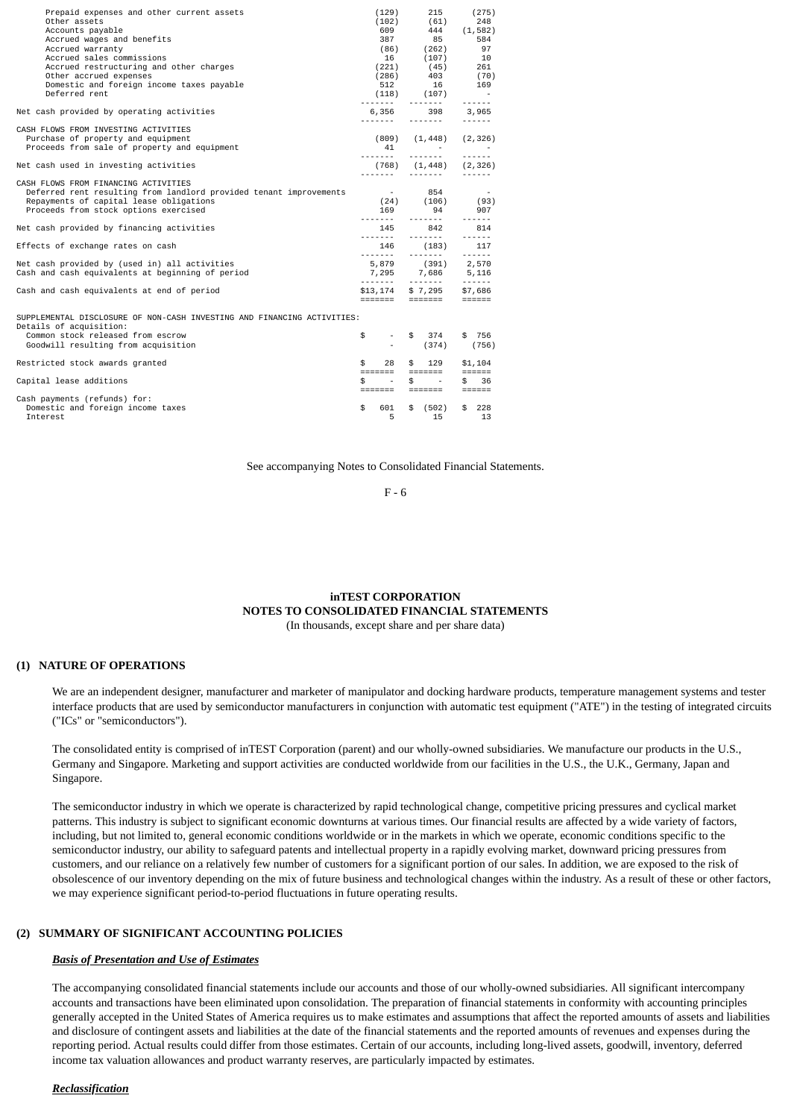| Prepaid expenses and other current assets<br>Other assets<br>Accounts payable<br>Accrued wages and benefits<br>Accrued warranty<br>Accrued sales commissions<br>Accrued restructuring and other charges<br>Other accrued expenses<br>Domestic and foreign income taxes payable<br>Deferred rent | (129)<br>(102)<br>609           | 215<br>(61)<br>444<br>387 85<br>(86) (262)<br>16 (107)<br>$(221)$ $(45)$ 261<br>$(286)$ 403 (70)<br>$\begin{array}{cccc} 512 & 16 & 169 \\ (118) & (107) & - & \end{array}$                                                                                                                                                                                                                                                                                                                                             | (275)<br>248<br>(1, 582)<br>584<br>97<br>10                                                                                                                                                                                                                                                                                                                                                                                                                                                        |
|-------------------------------------------------------------------------------------------------------------------------------------------------------------------------------------------------------------------------------------------------------------------------------------------------|---------------------------------|-------------------------------------------------------------------------------------------------------------------------------------------------------------------------------------------------------------------------------------------------------------------------------------------------------------------------------------------------------------------------------------------------------------------------------------------------------------------------------------------------------------------------|----------------------------------------------------------------------------------------------------------------------------------------------------------------------------------------------------------------------------------------------------------------------------------------------------------------------------------------------------------------------------------------------------------------------------------------------------------------------------------------------------|
| Net cash provided by operating activities                                                                                                                                                                                                                                                       | 6,356<br><u>------- - - - -</u> | $398$ $3,965$                                                                                                                                                                                                                                                                                                                                                                                                                                                                                                           |                                                                                                                                                                                                                                                                                                                                                                                                                                                                                                    |
| CASH FLOWS FROM INVESTING ACTIVITIES<br>Purchase of property and equipment<br>Proceeds from sale of property and equipment                                                                                                                                                                      | <u>.</u>                        | $(809)$ $(1, 448)$<br>41 - 12<br>$\begin{array}{cccccccccccccc} \multicolumn{2}{c}{} & \multicolumn{2}{c}{} & \multicolumn{2}{c}{} & \multicolumn{2}{c}{} & \multicolumn{2}{c}{} & \multicolumn{2}{c}{} & \multicolumn{2}{c}{} & \multicolumn{2}{c}{} & \multicolumn{2}{c}{} & \multicolumn{2}{c}{} & \multicolumn{2}{c}{} & \multicolumn{2}{c}{} & \multicolumn{2}{c}{} & \multicolumn{2}{c}{} & \multicolumn{2}{c}{} & \multicolumn{2}{c}{} & \multicolumn{2}{c}{} & \multicolumn{2}{c}{} & \multicolumn{2}{c}{} & \$ | (2, 326)<br>$\begin{array}{cccccccccc} \multicolumn{2}{c}{} & \multicolumn{2}{c}{} & \multicolumn{2}{c}{} & \multicolumn{2}{c}{} & \multicolumn{2}{c}{} & \multicolumn{2}{c}{} & \multicolumn{2}{c}{} & \multicolumn{2}{c}{} & \multicolumn{2}{c}{} & \multicolumn{2}{c}{} & \multicolumn{2}{c}{} & \multicolumn{2}{c}{} & \multicolumn{2}{c}{} & \multicolumn{2}{c}{} & \multicolumn{2}{c}{} & \multicolumn{2}{c}{} & \multicolumn{2}{c}{} & \multicolumn{2}{c}{} & \multicolumn{2}{c}{} & \mult$ |
| Net cash used in investing activities                                                                                                                                                                                                                                                           | .                               | $(768)$ $(1, 448)$ $(2, 326)$                                                                                                                                                                                                                                                                                                                                                                                                                                                                                           |                                                                                                                                                                                                                                                                                                                                                                                                                                                                                                    |
| CASH FLOWS FROM FINANCING ACTIVITIES<br>Deferred rent resulting from landlord provided tenant improvements<br>Repayments of capital lease obligations<br>Proceeds from stock options exercised                                                                                                  | 169<br><u>.</u>                 | - 854<br>$(24)$ $(106)$ $(93)$<br>94<br><u> 222222   1</u>                                                                                                                                                                                                                                                                                                                                                                                                                                                              | $\sim 100$<br>907<br>$- - - - - - -$                                                                                                                                                                                                                                                                                                                                                                                                                                                               |
| Net cash provided by financing activities                                                                                                                                                                                                                                                       | 145                             | $842$                                                                                                                                                                                                                                                                                                                                                                                                                                                                                                                   | 814                                                                                                                                                                                                                                                                                                                                                                                                                                                                                                |
| Effects of exchange rates on cash                                                                                                                                                                                                                                                               | <u>.</u><br>146                 | (183)                                                                                                                                                                                                                                                                                                                                                                                                                                                                                                                   | $- - - - - - -$<br>117<br>$\omega$ is $\omega$ in $\omega$                                                                                                                                                                                                                                                                                                                                                                                                                                         |
| Net cash provided by (used in) all activities<br>Cash and cash equivalents at beginning of period                                                                                                                                                                                               |                                 | 5,879 (391) 2,570<br>7,295 7,686 5,116                                                                                                                                                                                                                                                                                                                                                                                                                                                                                  | .                                                                                                                                                                                                                                                                                                                                                                                                                                                                                                  |
| Cash and cash equivalents at end of period                                                                                                                                                                                                                                                      | \$13,174<br><b>SEBBBBB</b>      | \$7,295<br>$=$ $=$ $=$ $=$ $=$ $=$                                                                                                                                                                                                                                                                                                                                                                                                                                                                                      | \$7,686<br>$\equiv \equiv \equiv \equiv \equiv \equiv$                                                                                                                                                                                                                                                                                                                                                                                                                                             |
| SUPPLEMENTAL DISCLOSURE OF NON-CASH INVESTING AND FINANCING ACTIVITIES:<br>Details of acquisition:                                                                                                                                                                                              |                                 |                                                                                                                                                                                                                                                                                                                                                                                                                                                                                                                         |                                                                                                                                                                                                                                                                                                                                                                                                                                                                                                    |
| Common stock released from escrow<br>Goodwill resulting from acquisition                                                                                                                                                                                                                        | \$<br><b>All Control</b>        | $-$ \$ 374<br>(374)                                                                                                                                                                                                                                                                                                                                                                                                                                                                                                     | \$ 756<br>(756)                                                                                                                                                                                                                                                                                                                                                                                                                                                                                    |
| Restricted stock awards granted                                                                                                                                                                                                                                                                 | \$<br>28<br>=======             | \$<br>129<br>eeeeee                                                                                                                                                                                                                                                                                                                                                                                                                                                                                                     | \$1,104<br>$=$ $=$ $=$ $=$ $=$ $=$                                                                                                                                                                                                                                                                                                                                                                                                                                                                 |
| Capital lease additions                                                                                                                                                                                                                                                                         | \$<br>$\sim$<br>=======         | \$<br><b>HEBBBBB</b>                                                                                                                                                                                                                                                                                                                                                                                                                                                                                                    | 36<br>\$<br>$=$ $=$ $=$ $=$ $=$ $=$                                                                                                                                                                                                                                                                                                                                                                                                                                                                |
| Cash payments (refunds) for:<br>Domestic and foreign income taxes<br>Interest                                                                                                                                                                                                                   | \$<br>601<br>5                  | \$<br>(502)<br>15                                                                                                                                                                                                                                                                                                                                                                                                                                                                                                       | \$ 228<br>13                                                                                                                                                                                                                                                                                                                                                                                                                                                                                       |

See accompanying Notes to Consolidated Financial Statements.

F - 6

## **inTEST CORPORATION NOTES TO CONSOLIDATED FINANCIAL STATEMENTS**

(In thousands, except share and per share data)

## **(1) NATURE OF OPERATIONS**

We are an independent designer, manufacturer and marketer of manipulator and docking hardware products, temperature management systems and tester interface products that are used by semiconductor manufacturers in conjunction with automatic test equipment ("ATE") in the testing of integrated circuits ("ICs" or "semiconductors").

The consolidated entity is comprised of inTEST Corporation (parent) and our wholly-owned subsidiaries. We manufacture our products in the U.S., Germany and Singapore. Marketing and support activities are conducted worldwide from our facilities in the U.S., the U.K., Germany, Japan and Singapore.

The semiconductor industry in which we operate is characterized by rapid technological change, competitive pricing pressures and cyclical market patterns. This industry is subject to significant economic downturns at various times. Our financial results are affected by a wide variety of factors, including, but not limited to, general economic conditions worldwide or in the markets in which we operate, economic conditions specific to the semiconductor industry, our ability to safeguard patents and intellectual property in a rapidly evolving market, downward pricing pressures from customers, and our reliance on a relatively few number of customers for a significant portion of our sales. In addition, we are exposed to the risk of obsolescence of our inventory depending on the mix of future business and technological changes within the industry. As a result of these or other factors, we may experience significant period-to-period fluctuations in future operating results.

## **(2) SUMMARY OF SIGNIFICANT ACCOUNTING POLICIES**

#### *Basis of Presentation and Use of Estimates*

The accompanying consolidated financial statements include our accounts and those of our wholly-owned subsidiaries. All significant intercompany accounts and transactions have been eliminated upon consolidation. The preparation of financial statements in conformity with accounting principles generally accepted in the United States of America requires us to make estimates and assumptions that affect the reported amounts of assets and liabilities and disclosure of contingent assets and liabilities at the date of the financial statements and the reported amounts of revenues and expenses during the reporting period. Actual results could differ from those estimates. Certain of our accounts, including long-lived assets, goodwill, inventory, deferred income tax valuation allowances and product warranty reserves, are particularly impacted by estimates.

*Reclassification*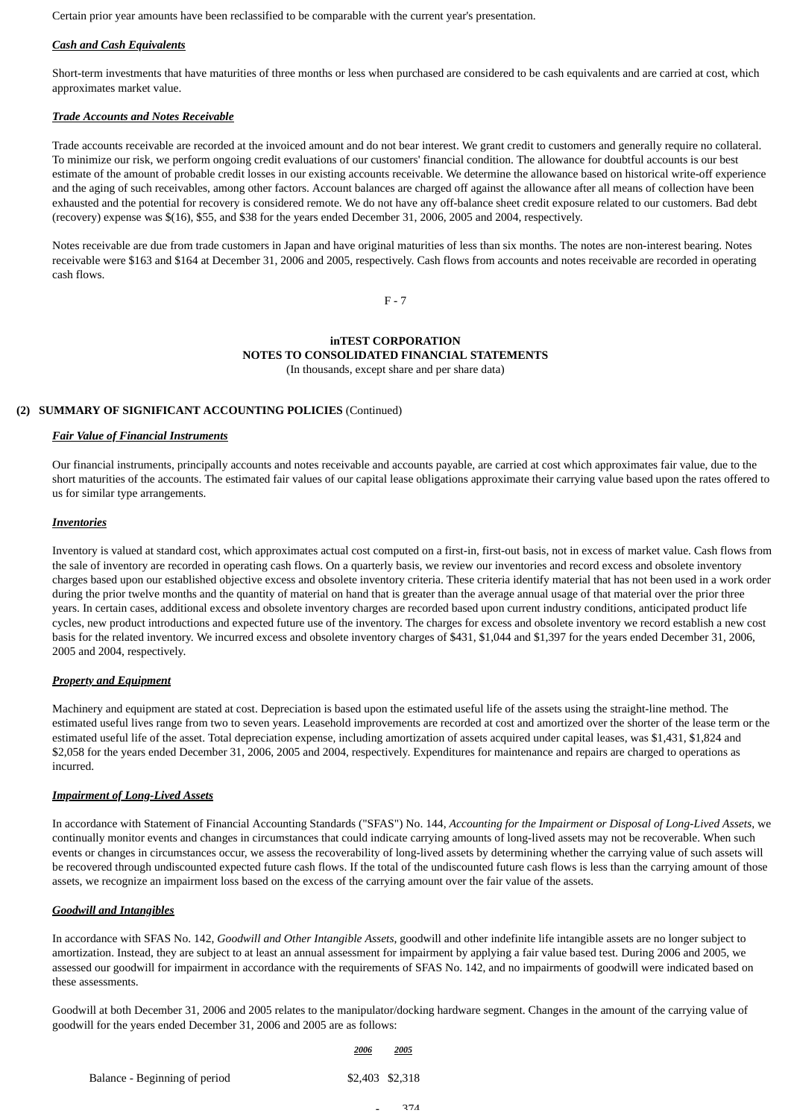Certain prior year amounts have been reclassified to be comparable with the current year's presentation.

## *Cash and Cash Equivalents*

Short-term investments that have maturities of three months or less when purchased are considered to be cash equivalents and are carried at cost, which approximates market value.

## *Trade Accounts and Notes Receivable*

Trade accounts receivable are recorded at the invoiced amount and do not bear interest. We grant credit to customers and generally require no collateral. To minimize our risk, we perform ongoing credit evaluations of our customers' financial condition. The allowance for doubtful accounts is our best estimate of the amount of probable credit losses in our existing accounts receivable. We determine the allowance based on historical write-off experience and the aging of such receivables, among other factors. Account balances are charged off against the allowance after all means of collection have been exhausted and the potential for recovery is considered remote. We do not have any off-balance sheet credit exposure related to our customers. Bad debt (recovery) expense was \$(16), \$55, and \$38 for the years ended December 31, 2006, 2005 and 2004, respectively.

Notes receivable are due from trade customers in Japan and have original maturities of less than six months. The notes are non-interest bearing. Notes receivable were \$163 and \$164 at December 31, 2006 and 2005, respectively. Cash flows from accounts and notes receivable are recorded in operating cash flows.

F - 7

## **inTEST CORPORATION NOTES TO CONSOLIDATED FINANCIAL STATEMENTS** (In thousands, except share and per share data)

### **(2) SUMMARY OF SIGNIFICANT ACCOUNTING POLICIES** (Continued)

#### *Fair Value of Financial Instruments*

Our financial instruments, principally accounts and notes receivable and accounts payable, are carried at cost which approximates fair value, due to the short maturities of the accounts. The estimated fair values of our capital lease obligations approximate their carrying value based upon the rates offered to us for similar type arrangements.

#### *Inventories*

Inventory is valued at standard cost, which approximates actual cost computed on a first-in, first-out basis, not in excess of market value. Cash flows from the sale of inventory are recorded in operating cash flows. On a quarterly basis, we review our inventories and record excess and obsolete inventory charges based upon our established objective excess and obsolete inventory criteria. These criteria identify material that has not been used in a work order during the prior twelve months and the quantity of material on hand that is greater than the average annual usage of that material over the prior three years. In certain cases, additional excess and obsolete inventory charges are recorded based upon current industry conditions, anticipated product life cycles, new product introductions and expected future use of the inventory. The charges for excess and obsolete inventory we record establish a new cost basis for the related inventory. We incurred excess and obsolete inventory charges of \$431, \$1,044 and \$1,397 for the years ended December 31, 2006, 2005 and 2004, respectively.

## *Property and Equipment*

Machinery and equipment are stated at cost. Depreciation is based upon the estimated useful life of the assets using the straight-line method. The estimated useful lives range from two to seven years. Leasehold improvements are recorded at cost and amortized over the shorter of the lease term or the estimated useful life of the asset. Total depreciation expense, including amortization of assets acquired under capital leases, was \$1,431, \$1,824 and \$2,058 for the years ended December 31, 2006, 2005 and 2004, respectively. Expenditures for maintenance and repairs are charged to operations as incurred.

#### *Impairment of Long-Lived Assets*

In accordance with Statement of Financial Accounting Standards ("SFAS") No. 144, *Accounting for the Impairment or Disposal of Long-Lived Assets,* we continually monitor events and changes in circumstances that could indicate carrying amounts of long-lived assets may not be recoverable. When such events or changes in circumstances occur, we assess the recoverability of long-lived assets by determining whether the carrying value of such assets will be recovered through undiscounted expected future cash flows. If the total of the undiscounted future cash flows is less than the carrying amount of those assets, we recognize an impairment loss based on the excess of the carrying amount over the fair value of the assets.

#### *Goodwill and Intangibles*

In accordance with SFAS No. 142, *Goodwill and Other Intangible Assets*, goodwill and other indefinite life intangible assets are no longer subject to amortization. Instead, they are subject to at least an annual assessment for impairment by applying a fair value based test. During 2006 and 2005, we assessed our goodwill for impairment in accordance with the requirements of SFAS No. 142, and no impairments of goodwill were indicated based on these assessments.

Goodwill at both December 31, 2006 and 2005 relates to the manipulator/docking hardware segment. Changes in the amount of the carrying value of goodwill for the years ended December 31, 2006 and 2005 are as follows:

|                               | 2006            | 2005 |
|-------------------------------|-----------------|------|
| Balance - Beginning of period | \$2,403 \$2,318 |      |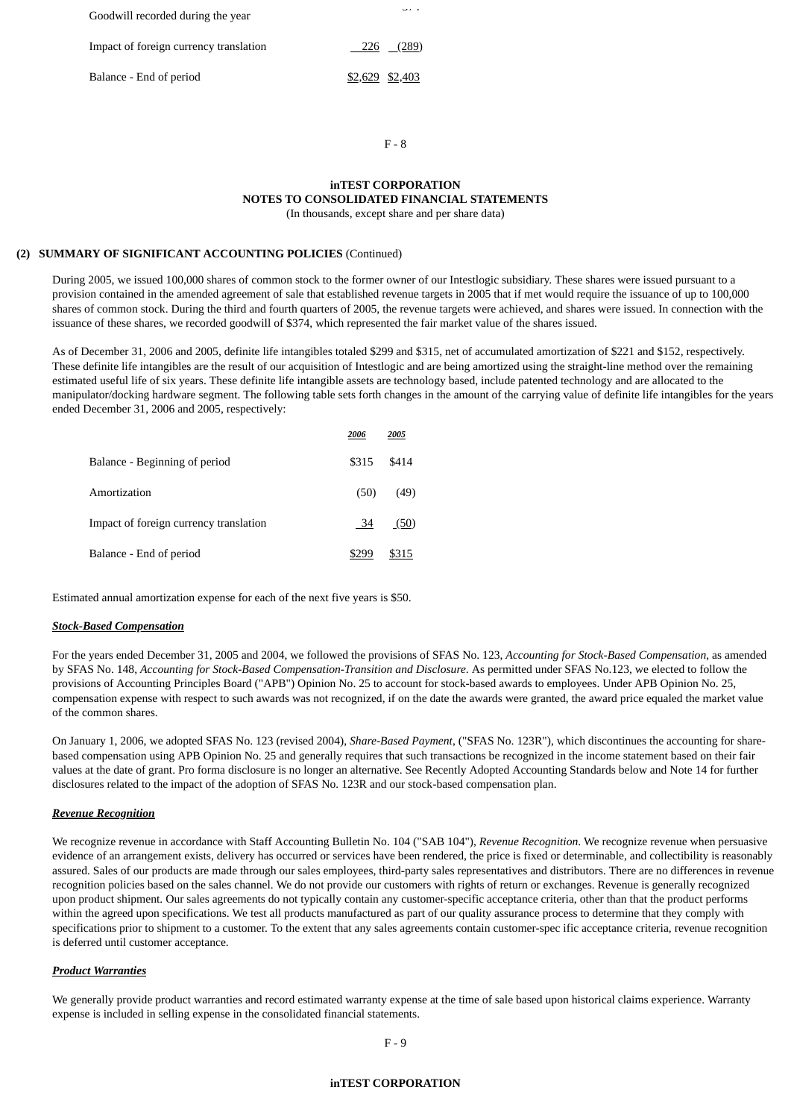| Goodwill recorded during the year      | $\overline{u}$ $\overline{u}$ |
|----------------------------------------|-------------------------------|
| Impact of foreign currency translation | $226$ (289)                   |
| Balance - End of period                | \$2,629 \$2,403               |

F - 8

# **inTEST CORPORATION NOTES TO CONSOLIDATED FINANCIAL STATEMENTS**

(In thousands, except share and per share data)

## **(2) SUMMARY OF SIGNIFICANT ACCOUNTING POLICIES** (Continued)

During 2005, we issued 100,000 shares of common stock to the former owner of our Intestlogic subsidiary. These shares were issued pursuant to a provision contained in the amended agreement of sale that established revenue targets in 2005 that if met would require the issuance of up to 100,000 shares of common stock. During the third and fourth quarters of 2005, the revenue targets were achieved, and shares were issued. In connection with the issuance of these shares, we recorded goodwill of \$374, which represented the fair market value of the shares issued.

As of December 31, 2006 and 2005, definite life intangibles totaled \$299 and \$315, net of accumulated amortization of \$221 and \$152, respectively. These definite life intangibles are the result of our acquisition of Intestlogic and are being amortized using the straight-line method over the remaining estimated useful life of six years. These definite life intangible assets are technology based, include patented technology and are allocated to the manipulator/docking hardware segment. The following table sets forth changes in the amount of the carrying value of definite life intangibles for the years ended December 31, 2006 and 2005, respectively:

|                                        | 2006  | 2005        |
|----------------------------------------|-------|-------------|
| Balance - Beginning of period          |       | \$315 \$414 |
| Amortization                           | (50)  | (49)        |
| Impact of foreign currency translation | - 34  | (50)        |
| Balance - End of period                | \$299 | \$315       |

Estimated annual amortization expense for each of the next five years is \$50.

## *Stock-Based Compensation*

For the years ended December 31, 2005 and 2004, we followed the provisions of SFAS No. 123, *Accounting for Stock-Based Compensation*, as amended by SFAS No. 148, *Accounting for Stock-Based Compensation-Transition and Disclosure*. As permitted under SFAS No.123, we elected to follow the provisions of Accounting Principles Board ("APB") Opinion No. 25 to account for stock-based awards to employees. Under APB Opinion No. 25, compensation expense with respect to such awards was not recognized, if on the date the awards were granted, the award price equaled the market value of the common shares.

On January 1, 2006, we adopted SFAS No. 123 (revised 2004), *Share-Based Payment*, ("SFAS No. 123R"), which discontinues the accounting for sharebased compensation using APB Opinion No. 25 and generally requires that such transactions be recognized in the income statement based on their fair values at the date of grant. Pro forma disclosure is no longer an alternative. See Recently Adopted Accounting Standards below and Note 14 for further disclosures related to the impact of the adoption of SFAS No. 123R and our stock-based compensation plan.

## *Revenue Recognition*

We recognize revenue in accordance with Staff Accounting Bulletin No. 104 ("SAB 104"), *Revenue Recognition*. We recognize revenue when persuasive evidence of an arrangement exists, delivery has occurred or services have been rendered, the price is fixed or determinable, and collectibility is reasonably assured. Sales of our products are made through our sales employees, third-party sales representatives and distributors. There are no differences in revenue recognition policies based on the sales channel. We do not provide our customers with rights of return or exchanges. Revenue is generally recognized upon product shipment. Our sales agreements do not typically contain any customer-specific acceptance criteria, other than that the product performs within the agreed upon specifications. We test all products manufactured as part of our quality assurance process to determine that they comply with specifications prior to shipment to a customer. To the extent that any sales agreements contain customer-spec ific acceptance criteria, revenue recognition is deferred until customer acceptance.

## *Product Warranties*

We generally provide product warranties and record estimated warranty expense at the time of sale based upon historical claims experience. Warranty expense is included in selling expense in the consolidated financial statements.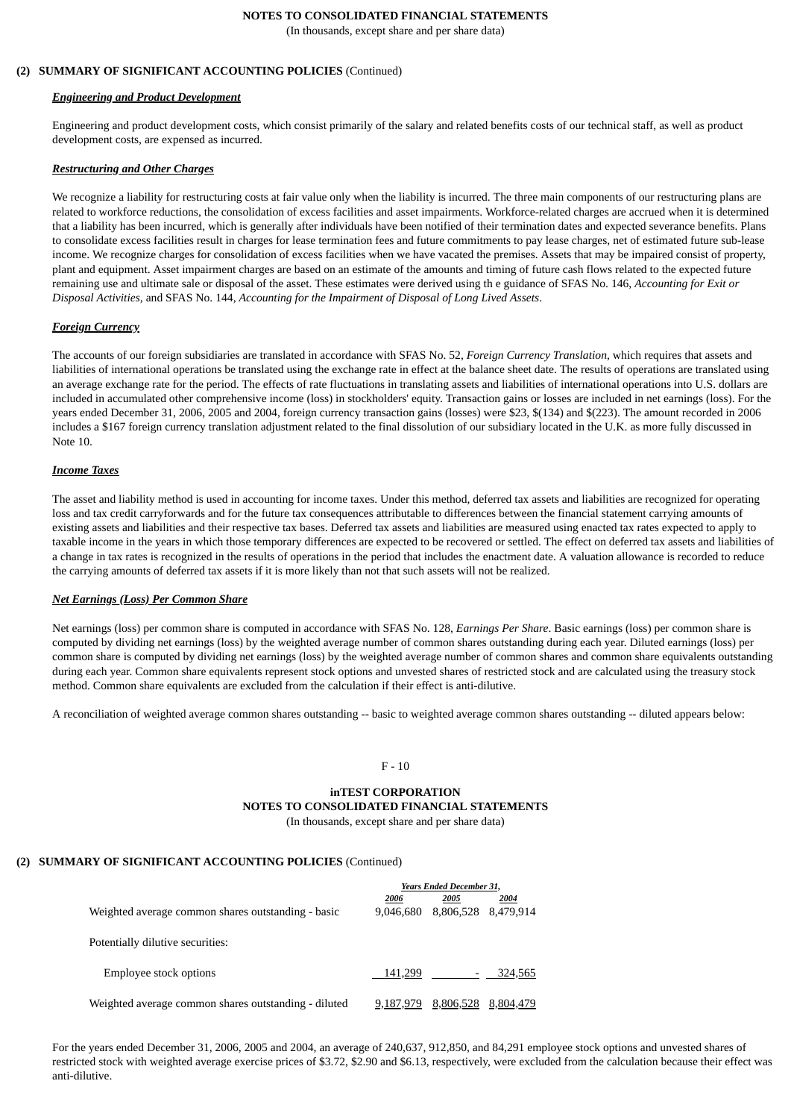## **NOTES TO CONSOLIDATED FINANCIAL STATEMENTS**

(In thousands, except share and per share data)

## **(2) SUMMARY OF SIGNIFICANT ACCOUNTING POLICIES** (Continued)

## *Engineering and Product Development*

Engineering and product development costs, which consist primarily of the salary and related benefits costs of our technical staff, as well as product development costs, are expensed as incurred.

## *Restructuring and Other Charges*

We recognize a liability for restructuring costs at fair value only when the liability is incurred. The three main components of our restructuring plans are related to workforce reductions, the consolidation of excess facilities and asset impairments. Workforce-related charges are accrued when it is determined that a liability has been incurred, which is generally after individuals have been notified of their termination dates and expected severance benefits. Plans to consolidate excess facilities result in charges for lease termination fees and future commitments to pay lease charges, net of estimated future sub-lease income. We recognize charges for consolidation of excess facilities when we have vacated the premises. Assets that may be impaired consist of property, plant and equipment. Asset impairment charges are based on an estimate of the amounts and timing of future cash flows related to the expected future remaining use and ultimate sale or disposal of the asset. These estimates were derived using th e guidance of SFAS No. 146, *Accounting for Exit or Disposal Activities,* and SFAS No. 144, *Accounting for the Impairment of Disposal of Long Lived Assets*.

## *Foreign Currency*

The accounts of our foreign subsidiaries are translated in accordance with SFAS No. 52, *Foreign Currency Translation*, which requires that assets and liabilities of international operations be translated using the exchange rate in effect at the balance sheet date. The results of operations are translated using an average exchange rate for the period. The effects of rate fluctuations in translating assets and liabilities of international operations into U.S. dollars are included in accumulated other comprehensive income (loss) in stockholders' equity. Transaction gains or losses are included in net earnings (loss). For the years ended December 31, 2006, 2005 and 2004, foreign currency transaction gains (losses) were \$23, \$(134) and \$(223). The amount recorded in 2006 includes a \$167 foreign currency translation adjustment related to the final dissolution of our subsidiary located in the U.K. as more fully discussed in Note 10.

## *Income Taxes*

The asset and liability method is used in accounting for income taxes. Under this method, deferred tax assets and liabilities are recognized for operating loss and tax credit carryforwards and for the future tax consequences attributable to differences between the financial statement carrying amounts of existing assets and liabilities and their respective tax bases. Deferred tax assets and liabilities are measured using enacted tax rates expected to apply to taxable income in the years in which those temporary differences are expected to be recovered or settled. The effect on deferred tax assets and liabilities of a change in tax rates is recognized in the results of operations in the period that includes the enactment date. A valuation allowance is recorded to reduce the carrying amounts of deferred tax assets if it is more likely than not that such assets will not be realized.

## *Net Earnings (Loss) Per Common Share*

Net earnings (loss) per common share is computed in accordance with SFAS No. 128, *Earnings Per Share*. Basic earnings (loss) per common share is computed by dividing net earnings (loss) by the weighted average number of common shares outstanding during each year. Diluted earnings (loss) per common share is computed by dividing net earnings (loss) by the weighted average number of common shares and common share equivalents outstanding during each year. Common share equivalents represent stock options and unvested shares of restricted stock and are calculated using the treasury stock method. Common share equivalents are excluded from the calculation if their effect is anti-dilutive.

A reconciliation of weighted average common shares outstanding -- basic to weighted average common shares outstanding -- diluted appears below:

## $F - 10$

## **inTEST CORPORATION NOTES TO CONSOLIDATED FINANCIAL STATEMENTS** (In thousands, except share and per share data)

## **(2) SUMMARY OF SIGNIFICANT ACCOUNTING POLICIES** (Continued)

|                                                      | <b>Years Ended December 31,</b> |                     |           |
|------------------------------------------------------|---------------------------------|---------------------|-----------|
|                                                      | 2006                            | 2005                | 2004      |
| Weighted average common shares outstanding - basic   | 9.046.680                       | 8,806,528 8,479,914 |           |
| Potentially dilutive securities:                     |                                 |                     |           |
| Employee stock options                               | 141,299                         |                     | 324.565   |
| Weighted average common shares outstanding - diluted | 9.187.979                       | 8,806,528           | 8.804.479 |

For the years ended December 31, 2006, 2005 and 2004, an average of 240,637, 912,850, and 84,291 employee stock options and unvested shares of restricted stock with weighted average exercise prices of \$3.72, \$2.90 and \$6.13, respectively, were excluded from the calculation because their effect was anti-dilutive.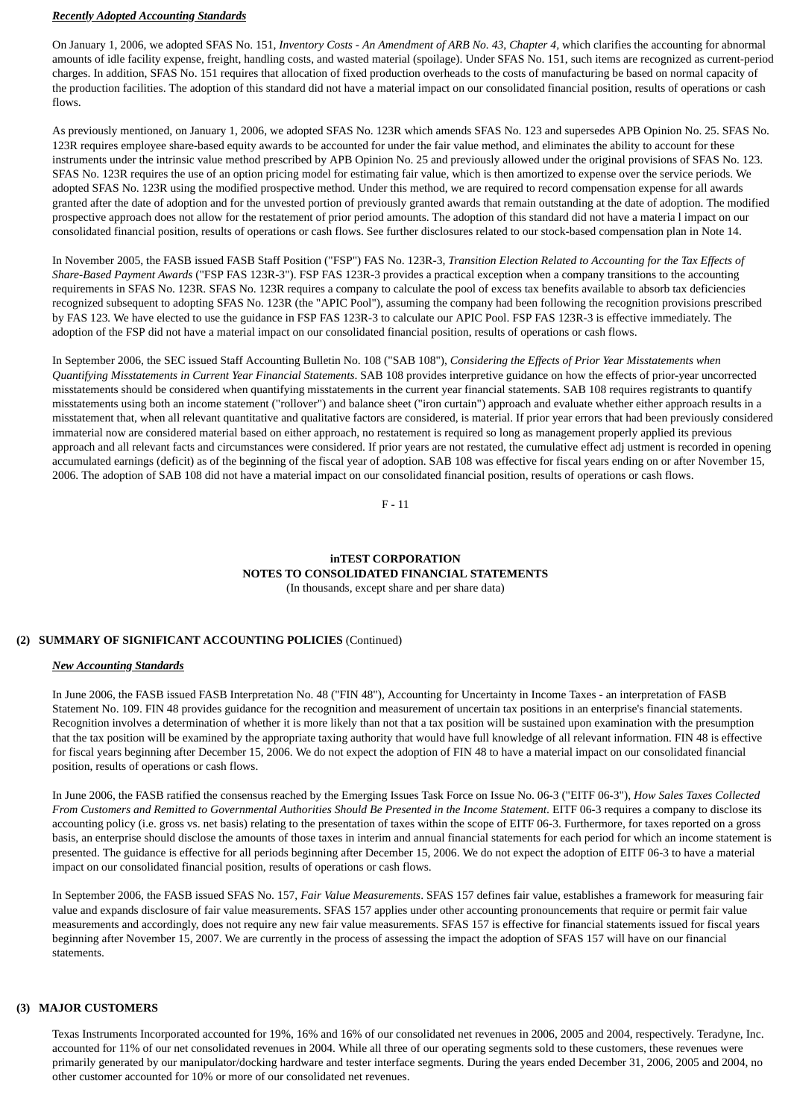#### *Recently Adopted Accounting Standards*

On January 1, 2006, we adopted SFAS No. 151, *Inventory Costs - An Amendment of ARB No. 43*, *Chapter 4,* which clarifies the accounting for abnormal amounts of idle facility expense, freight, handling costs, and wasted material (spoilage). Under SFAS No. 151, such items are recognized as current-period charges. In addition, SFAS No. 151 requires that allocation of fixed production overheads to the costs of manufacturing be based on normal capacity of the production facilities. The adoption of this standard did not have a material impact on our consolidated financial position, results of operations or cash flows.

As previously mentioned, on January 1, 2006, we adopted SFAS No. 123R which amends SFAS No. 123 and supersedes APB Opinion No. 25. SFAS No. 123R requires employee share-based equity awards to be accounted for under the fair value method, and eliminates the ability to account for these instruments under the intrinsic value method prescribed by APB Opinion No. 25 and previously allowed under the original provisions of SFAS No. 123. SFAS No. 123R requires the use of an option pricing model for estimating fair value, which is then amortized to expense over the service periods. We adopted SFAS No. 123R using the modified prospective method. Under this method, we are required to record compensation expense for all awards granted after the date of adoption and for the unvested portion of previously granted awards that remain outstanding at the date of adoption. The modified prospective approach does not allow for the restatement of prior period amounts. The adoption of this standard did not have a materia l impact on our consolidated financial position, results of operations or cash flows. See further disclosures related to our stock-based compensation plan in Note 14.

In November 2005, the FASB issued FASB Staff Position ("FSP") FAS No. 123R-3, *Transition Election Related to Accounting for the Tax Effects of Share-Based Payment Awards* ("FSP FAS 123R-3"). FSP FAS 123R-3 provides a practical exception when a company transitions to the accounting requirements in SFAS No. 123R*.* SFAS No. 123R requires a company to calculate the pool of excess tax benefits available to absorb tax deficiencies recognized subsequent to adopting SFAS No. 123R (the "APIC Pool"), assuming the company had been following the recognition provisions prescribed by FAS 123*.* We have elected to use the guidance in FSP FAS 123R-3 to calculate our APIC Pool. FSP FAS 123R-3 is effective immediately. The adoption of the FSP did not have a material impact on our consolidated financial position, results of operations or cash flows.

In September 2006, the SEC issued Staff Accounting Bulletin No. 108 ("SAB 108"), *Considering the Effects of Prior Year Misstatements when Quantifying Misstatements in Current Year Financial Statements*. SAB 108 provides interpretive guidance on how the effects of prior-year uncorrected misstatements should be considered when quantifying misstatements in the current year financial statements. SAB 108 requires registrants to quantify misstatements using both an income statement ("rollover") and balance sheet ("iron curtain") approach and evaluate whether either approach results in a misstatement that, when all relevant quantitative and qualitative factors are considered, is material. If prior year errors that had been previously considered immaterial now are considered material based on either approach, no restatement is required so long as management properly applied its previous approach and all relevant facts and circumstances were considered. If prior years are not restated, the cumulative effect adj ustment is recorded in opening accumulated earnings (deficit) as of the beginning of the fiscal year of adoption. SAB 108 was effective for fiscal years ending on or after November 15, 2006. The adoption of SAB 108 did not have a material impact on our consolidated financial position, results of operations or cash flows.

F - 11

## **inTEST CORPORATION NOTES TO CONSOLIDATED FINANCIAL STATEMENTS** (In thousands, except share and per share data)

## **(2) SUMMARY OF SIGNIFICANT ACCOUNTING POLICIES** (Continued)

## *New Accounting Standards*

In June 2006, the FASB issued FASB Interpretation No. 48 ("FIN 48"), Accounting for Uncertainty in Income Taxes - an interpretation of FASB Statement No. 109. FIN 48 provides guidance for the recognition and measurement of uncertain tax positions in an enterprise's financial statements. Recognition involves a determination of whether it is more likely than not that a tax position will be sustained upon examination with the presumption that the tax position will be examined by the appropriate taxing authority that would have full knowledge of all relevant information. FIN 48 is effective for fiscal years beginning after December 15, 2006. We do not expect the adoption of FIN 48 to have a material impact on our consolidated financial position, results of operations or cash flows.

In June 2006, the FASB ratified the consensus reached by the Emerging Issues Task Force on Issue No. 06-3 ("EITF 06-3"), *How Sales Taxes Collected From Customers and Remitted to Governmental Authorities Should Be Presented in the Income Statement*. EITF 06-3 requires a company to disclose its accounting policy (i.e. gross vs. net basis) relating to the presentation of taxes within the scope of EITF 06-3. Furthermore, for taxes reported on a gross basis, an enterprise should disclose the amounts of those taxes in interim and annual financial statements for each period for which an income statement is presented. The guidance is effective for all periods beginning after December 15, 2006. We do not expect the adoption of EITF 06-3 to have a material impact on our consolidated financial position, results of operations or cash flows.

In September 2006, the FASB issued SFAS No. 157, *Fair Value Measurements*. SFAS 157 defines fair value, establishes a framework for measuring fair value and expands disclosure of fair value measurements. SFAS 157 applies under other accounting pronouncements that require or permit fair value measurements and accordingly, does not require any new fair value measurements. SFAS 157 is effective for financial statements issued for fiscal years beginning after November 15, 2007. We are currently in the process of assessing the impact the adoption of SFAS 157 will have on our financial statements.

#### **(3) MAJOR CUSTOMERS**

Texas Instruments Incorporated accounted for 19%, 16% and 16% of our consolidated net revenues in 2006, 2005 and 2004, respectively. Teradyne, Inc. accounted for 11% of our net consolidated revenues in 2004. While all three of our operating segments sold to these customers, these revenues were primarily generated by our manipulator/docking hardware and tester interface segments. During the years ended December 31, 2006, 2005 and 2004, no other customer accounted for 10% or more of our consolidated net revenues.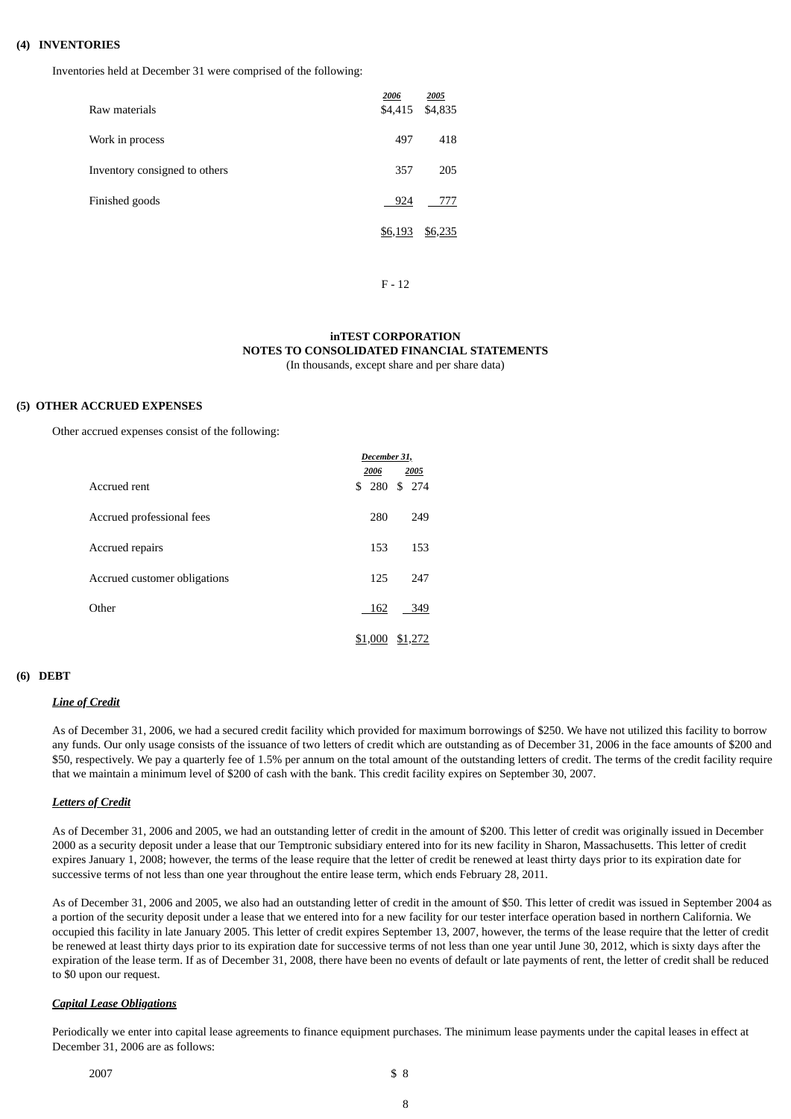## **(4) INVENTORIES**

Inventories held at December 31 were comprised of the following:

| Raw materials                 | 2006    | 2005<br>\$4,415 \$4,835 |
|-------------------------------|---------|-------------------------|
| Work in process               | 497     | 418                     |
| Inventory consigned to others | 357     | 205                     |
| Finished goods                | 924     | 777                     |
|                               | \$6,193 | \$6,235                 |

## F - 12

# **inTEST CORPORATION NOTES TO CONSOLIDATED FINANCIAL STATEMENTS**

(In thousands, except share and per share data)

## **(5) OTHER ACCRUED EXPENSES**

Other accrued expenses consist of the following:

|                              | December 31, |               |  |         |  |
|------------------------------|--------------|---------------|--|---------|--|
|                              |              | 2006          |  | 2005    |  |
| Accrued rent                 |              | \$ 280 \$ 274 |  |         |  |
| Accrued professional fees    |              | 280           |  | 249     |  |
| Accrued repairs              |              | 153           |  | 153     |  |
| Accrued customer obligations |              | 125           |  | 247     |  |
| Other                        |              | 162           |  | 349     |  |
|                              |              | \$1,000       |  | \$1,272 |  |

## **(6) DEBT**

#### *Line of Credit*

As of December 31, 2006, we had a secured credit facility which provided for maximum borrowings of \$250. We have not utilized this facility to borrow any funds. Our only usage consists of the issuance of two letters of credit which are outstanding as of December 31, 2006 in the face amounts of \$200 and \$50, respectively. We pay a quarterly fee of 1.5% per annum on the total amount of the outstanding letters of credit. The terms of the credit facility require that we maintain a minimum level of \$200 of cash with the bank. This credit facility expires on September 30, 2007.

## *Letters of Credit*

As of December 31, 2006 and 2005, we had an outstanding letter of credit in the amount of \$200. This letter of credit was originally issued in December 2000 as a security deposit under a lease that our Temptronic subsidiary entered into for its new facility in Sharon, Massachusetts. This letter of credit expires January 1, 2008; however, the terms of the lease require that the letter of credit be renewed at least thirty days prior to its expiration date for successive terms of not less than one year throughout the entire lease term, which ends February 28, 2011.

As of December 31, 2006 and 2005, we also had an outstanding letter of credit in the amount of \$50. This letter of credit was issued in September 2004 as a portion of the security deposit under a lease that we entered into for a new facility for our tester interface operation based in northern California. We occupied this facility in late January 2005. This letter of credit expires September 13, 2007, however, the terms of the lease require that the letter of credit be renewed at least thirty days prior to its expiration date for successive terms of not less than one year until June 30, 2012, which is sixty days after the expiration of the lease term. If as of December 31, 2008, there have been no events of default or late payments of rent, the letter of credit shall be reduced to \$0 upon our request.

## *Capital Lease Obligations*

Periodically we enter into capital lease agreements to finance equipment purchases. The minimum lease payments under the capital leases in effect at December 31, 2006 are as follows: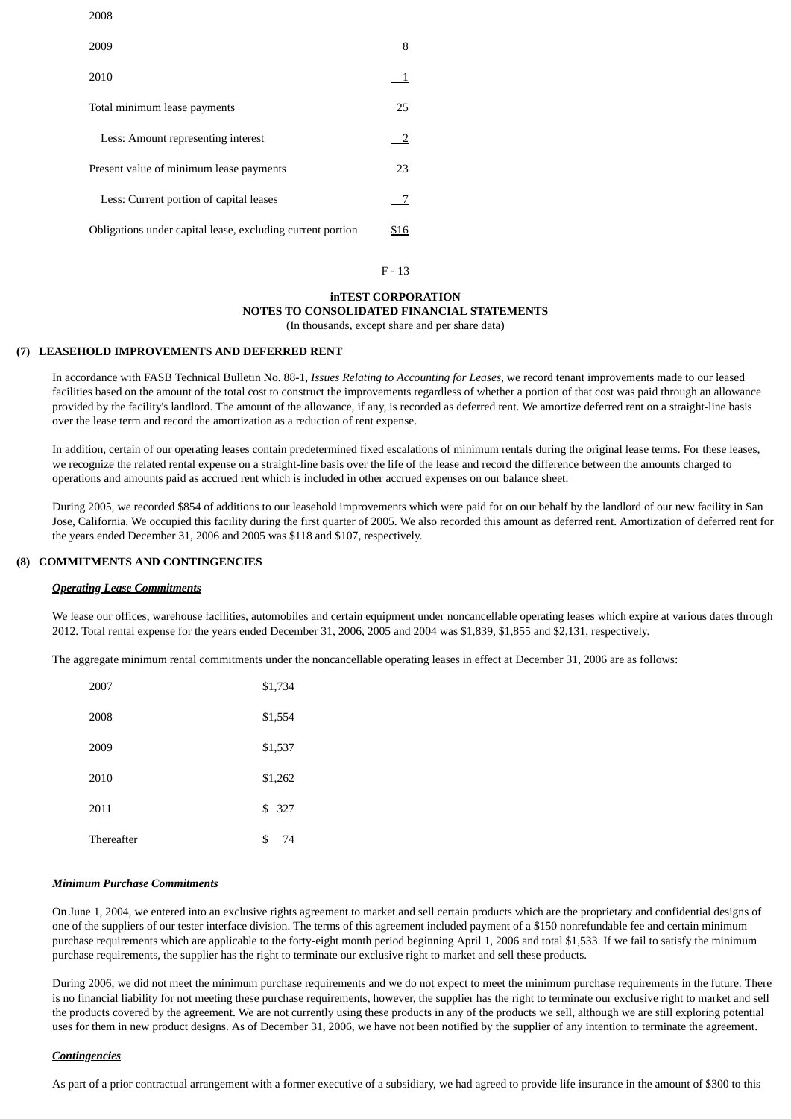| 2009                                                       | 8  |
|------------------------------------------------------------|----|
| 2010                                                       |    |
| Total minimum lease payments                               | 25 |
| Less: Amount representing interest                         |    |
| Present value of minimum lease payments                    | 23 |
| Less: Current portion of capital leases                    |    |
| Obligations under capital lease, excluding current portion | Тb |

F - 13

## **inTEST CORPORATION NOTES TO CONSOLIDATED FINANCIAL STATEMENTS**

(In thousands, except share and per share data)

#### **(7) LEASEHOLD IMPROVEMENTS AND DEFERRED RENT**

In accordance with FASB Technical Bulletin No. 88-1, *Issues Relating to Accounting for Leases*, we record tenant improvements made to our leased facilities based on the amount of the total cost to construct the improvements regardless of whether a portion of that cost was paid through an allowance provided by the facility's landlord. The amount of the allowance, if any, is recorded as deferred rent. We amortize deferred rent on a straight-line basis over the lease term and record the amortization as a reduction of rent expense.

In addition, certain of our operating leases contain predetermined fixed escalations of minimum rentals during the original lease terms. For these leases, we recognize the related rental expense on a straight-line basis over the life of the lease and record the difference between the amounts charged to operations and amounts paid as accrued rent which is included in other accrued expenses on our balance sheet.

During 2005, we recorded \$854 of additions to our leasehold improvements which were paid for on our behalf by the landlord of our new facility in San Jose, California. We occupied this facility during the first quarter of 2005. We also recorded this amount as deferred rent. Amortization of deferred rent for the years ended December 31, 2006 and 2005 was \$118 and \$107, respectively.

## **(8) COMMITMENTS AND CONTINGENCIES**

#### *Operating Lease Commitments*

2008

We lease our offices, warehouse facilities, automobiles and certain equipment under noncancellable operating leases which expire at various dates through 2012. Total rental expense for the years ended December 31, 2006, 2005 and 2004 was \$1,839, \$1,855 and \$2,131, respectively.

The aggregate minimum rental commitments under the noncancellable operating leases in effect at December 31, 2006 are as follows:

| 2007       | \$1,734   |
|------------|-----------|
| 2008       | \$1,554   |
| 2009       | \$1,537   |
| 2010       | \$1,262   |
| 2011       | \$<br>327 |
| Thereafter | \$<br>74  |

## *Minimum Purchase Commitments*

On June 1, 2004, we entered into an exclusive rights agreement to market and sell certain products which are the proprietary and confidential designs of one of the suppliers of our tester interface division. The terms of this agreement included payment of a \$150 nonrefundable fee and certain minimum purchase requirements which are applicable to the forty-eight month period beginning April 1, 2006 and total \$1,533. If we fail to satisfy the minimum purchase requirements, the supplier has the right to terminate our exclusive right to market and sell these products.

During 2006, we did not meet the minimum purchase requirements and we do not expect to meet the minimum purchase requirements in the future. There is no financial liability for not meeting these purchase requirements, however, the supplier has the right to terminate our exclusive right to market and sell the products covered by the agreement. We are not currently using these products in any of the products we sell, although we are still exploring potential uses for them in new product designs. As of December 31, 2006, we have not been notified by the supplier of any intention to terminate the agreement.

#### *Contingencies*

As part of a prior contractual arrangement with a former executive of a subsidiary, we had agreed to provide life insurance in the amount of \$300 to this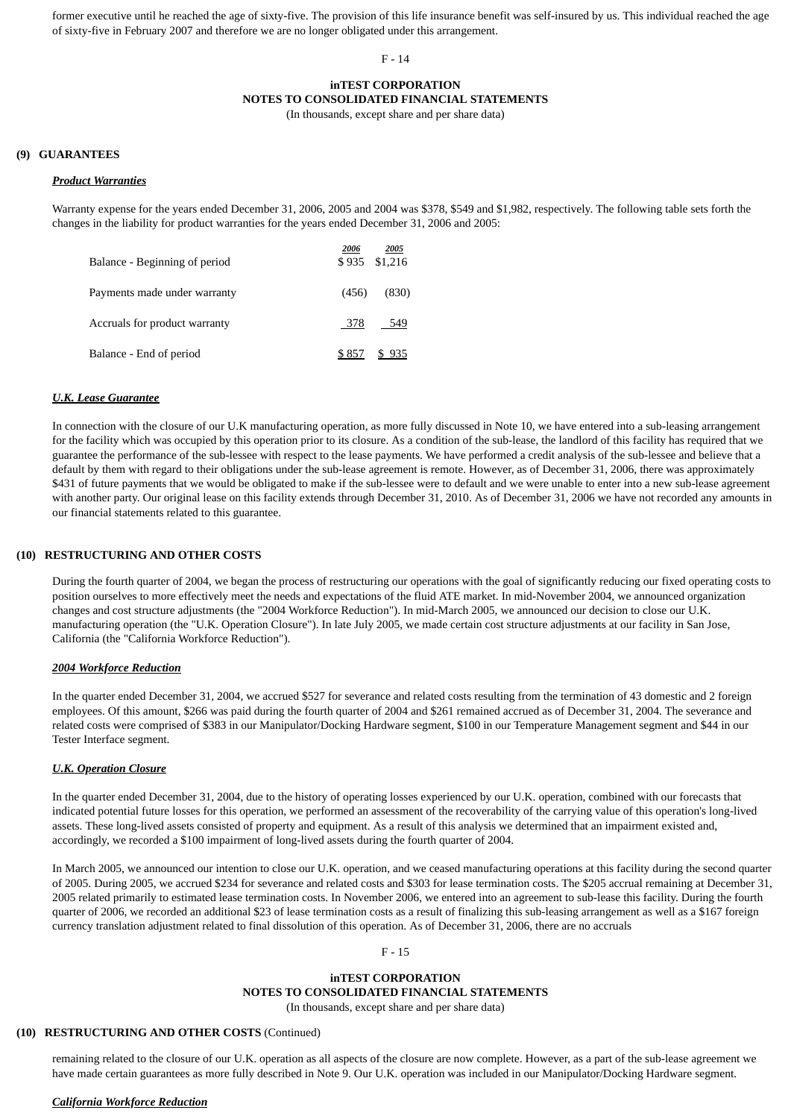former executive until he reached the age of sixty-five. The provision of this life insurance benefit was self-insured by us. This individual reached the age of sixty-five in February 2007 and therefore we are no longer obligated under this arrangement.

F - 14

## **inTEST CORPORATION NOTES TO CONSOLIDATED FINANCIAL STATEMENTS**

(In thousands, except share and per share data)

#### **(9) GUARANTEES**

#### *Product Warranties*

Warranty expense for the years ended December 31, 2006, 2005 and 2004 was \$378, \$549 and \$1,982, respectively. The following table sets forth the changes in the liability for product warranties for the years ended December 31, 2006 and 2005:

| Balance - Beginning of period | 2006  | 2005<br>\$935 \$1,216 |
|-------------------------------|-------|-----------------------|
| Payments made under warranty  |       | $(456)$ $(830)$       |
| Accruals for product warranty | - 378 | - 549                 |
| Balance - End of period       |       | \$857 \$935           |

#### *U.K. Lease Guarantee*

In connection with the closure of our U.K manufacturing operation, as more fully discussed in Note 10, we have entered into a sub-leasing arrangement for the facility which was occupied by this operation prior to its closure. As a condition of the sub-lease, the landlord of this facility has required that we guarantee the performance of the sub-lessee with respect to the lease payments. We have performed a credit analysis of the sub-lessee and believe that a default by them with regard to their obligations under the sub-lease agreement is remote. However, as of December 31, 2006, there was approximately \$431 of future payments that we would be obligated to make if the sub-lessee were to default and we were unable to enter into a new sub-lease agreement with another party. Our original lease on this facility extends through December 31, 2010. As of December 31, 2006 we have not recorded any amounts in our financial statements related to this guarantee.

### **(10) RESTRUCTURING AND OTHER COSTS**

During the fourth quarter of 2004, we began the process of restructuring our operations with the goal of significantly reducing our fixed operating costs to position ourselves to more effectively meet the needs and expectations of the fluid ATE market. In mid-November 2004, we announced organization changes and cost structure adjustments (the "2004 Workforce Reduction"). In mid-March 2005, we announced our decision to close our U.K. manufacturing operation (the "U.K. Operation Closure"). In late July 2005, we made certain cost structure adjustments at our facility in San Jose, California (the "California Workforce Reduction").

#### *2004 Workforce Reduction*

In the quarter ended December 31, 2004, we accrued \$527 for severance and related costs resulting from the termination of 43 domestic and 2 foreign employees. Of this amount, \$266 was paid during the fourth quarter of 2004 and \$261 remained accrued as of December 31, 2004. The severance and related costs were comprised of \$383 in our Manipulator/Docking Hardware segment, \$100 in our Temperature Management segment and \$44 in our Tester Interface segment.

### *U.K. Operation Closure*

In the quarter ended December 31, 2004, due to the history of operating losses experienced by our U.K. operation, combined with our forecasts that indicated potential future losses for this operation, we performed an assessment of the recoverability of the carrying value of this operation's long-lived assets. These long-lived assets consisted of property and equipment. As a result of this analysis we determined that an impairment existed and, accordingly, we recorded a \$100 impairment of long-lived assets during the fourth quarter of 2004.

In March 2005, we announced our intention to close our U.K. operation, and we ceased manufacturing operations at this facility during the second quarter of 2005. During 2005, we accrued \$234 for severance and related costs and \$303 for lease termination costs. The \$205 accrual remaining at December 31, 2005 related primarily to estimated lease termination costs. In November 2006, we entered into an agreement to sub-lease this facility. During the fourth quarter of 2006, we recorded an additional \$23 of lease termination costs as a result of finalizing this sub-leasing arrangement as well as a \$167 foreign currency translation adjustment related to final dissolution of this operation. As of December 31, 2006, there are no accruals

## F - 15

## **inTEST CORPORATION NOTES TO CONSOLIDATED FINANCIAL STATEMENTS**

(In thousands, except share and per share data)

## **(10) RESTRUCTURING AND OTHER COSTS** (Continued)

remaining related to the closure of our U.K. operation as all aspects of the closure are now complete. However, as a part of the sub-lease agreement we have made certain guarantees as more fully described in Note 9. Our U.K. operation was included in our Manipulator/Docking Hardware segment.

#### *California Workforce Reduction*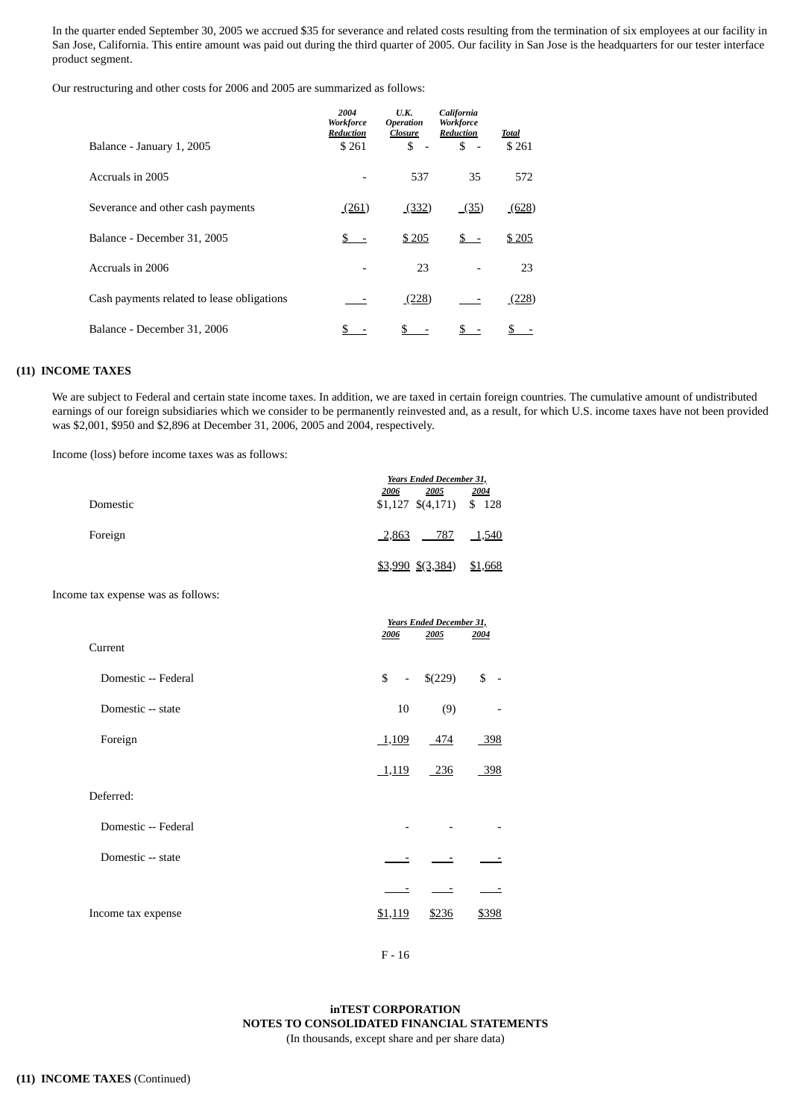In the quarter ended September 30, 2005 we accrued \$35 for severance and related costs resulting from the termination of six employees at our facility in San Jose, California. This entire amount was paid out during the third quarter of 2005. Our facility in San Jose is the headquarters for our tester interface product segment.

Our restructuring and other costs for 2006 and 2005 are summarized as follows:

|                                            | 2004<br><b>Workforce</b><br>Reduction | U.K.<br><b>Operation</b><br><b>Closure</b> | California<br><b>Workforce</b><br>Reduction | <b>Total</b> |
|--------------------------------------------|---------------------------------------|--------------------------------------------|---------------------------------------------|--------------|
| Balance - January 1, 2005                  | \$261                                 | \$                                         | \$                                          | \$261        |
| Accruals in 2005                           |                                       | 537                                        | 35                                          | 572          |
| Severance and other cash payments          | (261)                                 | (332)                                      | (35)                                        | (628)        |
| Balance - December 31, 2005                | \$                                    | \$205                                      | $s -$                                       | \$205        |
| Accruals in 2006                           |                                       | 23                                         |                                             | 23           |
| Cash payments related to lease obligations |                                       | (228)                                      |                                             | (228)        |
| Balance - December 31, 2006                |                                       |                                            |                                             |              |

## **(11) INCOME TAXES**

We are subject to Federal and certain state income taxes. In addition, we are taxed in certain foreign countries. The cumulative amount of undistributed earnings of our foreign subsidiaries which we consider to be permanently reinvested and, as a result, for which U.S. income taxes have not been provided was \$2,001, \$950 and \$2,896 at December 31, 2006, 2005 and 2004, respectively.

Income (loss) before income taxes was as follows:

|          | <b>Years Ended December 31,</b> |                                    |             |  |
|----------|---------------------------------|------------------------------------|-------------|--|
| Domestic | 2006                            | 2005<br>$$1,127$ $$(4,171)$ $$128$ | <u>2004</u> |  |
| Foreign  |                                 | $-2,863$ 787                       | 1,540       |  |
|          |                                 | $$3,990$ $$(3,384)$ $$1,668$       |             |  |

Income tax expense was as follows:

|                     |                        | <b>Years Ended December 31,</b> |       |  |  |  |
|---------------------|------------------------|---------------------------------|-------|--|--|--|
|                     | 2006                   | 2005                            | 2004  |  |  |  |
| Current             |                        |                                 |       |  |  |  |
| Domestic -- Federal | $\mathbb{S}$<br>$\sim$ | \$(229)                         | \$    |  |  |  |
| Domestic -- state   | 10                     | (9)                             |       |  |  |  |
| Foreign             | 1,109                  | 474                             | 398   |  |  |  |
|                     | 1,119                  | 236                             | 398   |  |  |  |
| Deferred:           |                        |                                 |       |  |  |  |
| Domestic -- Federal |                        |                                 |       |  |  |  |
| Domestic -- state   |                        |                                 |       |  |  |  |
|                     |                        |                                 |       |  |  |  |
| Income tax expense  | \$1,119                | \$236                           | \$398 |  |  |  |
|                     | $F - 16$               |                                 |       |  |  |  |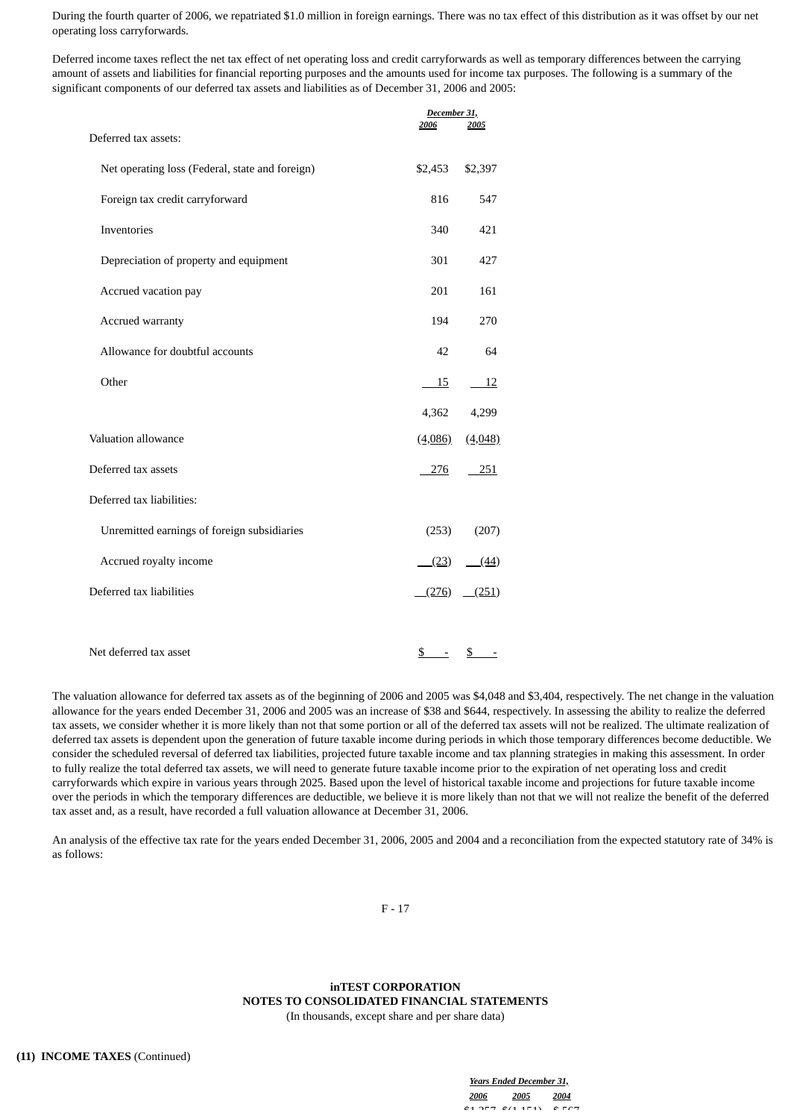During the fourth quarter of 2006, we repatriated \$1.0 million in foreign earnings. There was no tax effect of this distribution as it was offset by our net operating loss carryforwards.

Deferred income taxes reflect the net tax effect of net operating loss and credit carryforwards as well as temporary differences between the carrying amount of assets and liabilities for financial reporting purposes and the amounts used for income tax purposes. The following is a summary of the significant components of our deferred tax assets and liabilities as of December 31, 2006 and 2005:

|                                                 | December 31, |         |  |
|-------------------------------------------------|--------------|---------|--|
| Deferred tax assets:                            | 2006         | 2005    |  |
| Net operating loss (Federal, state and foreign) | \$2,453      | \$2,397 |  |
| Foreign tax credit carryforward                 | 816          | 547     |  |
| Inventories                                     | 340          | 421     |  |
| Depreciation of property and equipment          | 301          | 427     |  |
| Accrued vacation pay                            | 201          | 161     |  |
| Accrued warranty                                | 194          | 270     |  |
| Allowance for doubtful accounts                 | 42           | 64      |  |
| Other                                           | 15           | 12      |  |
|                                                 | 4,362        | 4,299   |  |
| Valuation allowance                             | (4,086)      | (4,048) |  |
| Deferred tax assets                             | 276          | - 251   |  |
| Deferred tax liabilities:                       |              |         |  |
| Unremitted earnings of foreign subsidiaries     | (253)        | (207)   |  |
| Accrued royalty income                          | (23)         | (44)    |  |
| Deferred tax liabilities                        | (276)        | (251)   |  |
|                                                 |              |         |  |
| Net deferred tax asset                          | $s = s$      |         |  |

The valuation allowance for deferred tax assets as of the beginning of 2006 and 2005 was \$4,048 and \$3,404, respectively. The net change in the valuation allowance for the years ended December 31, 2006 and 2005 was an increase of \$38 and \$644, respectively. In assessing the ability to realize the deferred tax assets, we consider whether it is more likely than not that some portion or all of the deferred tax assets will not be realized. The ultimate realization of deferred tax assets is dependent upon the generation of future taxable income during periods in which those temporary differences become deductible. We consider the scheduled reversal of deferred tax liabilities, projected future taxable income and tax planning strategies in making this assessment. In order to fully realize the total deferred tax assets, we will need to generate future taxable income prior to the expiration of net operating loss and credit carryforwards which expire in various years through 2025. Based upon the level of historical taxable income and projections for future taxable income over the periods in which the temporary differences are deductible, we believe it is more likely than not that we will not realize the benefit of the deferred tax asset and, as a result, have recorded a full valuation allowance at December 31, 2006.

An analysis of the effective tax rate for the years ended December 31, 2006, 2005 and 2004 and a reconciliation from the expected statutory rate of 34% is as follows:

F - 17

**inTEST CORPORATION NOTES TO CONSOLIDATED FINANCIAL STATEMENTS**

(In thousands, except share and per share data)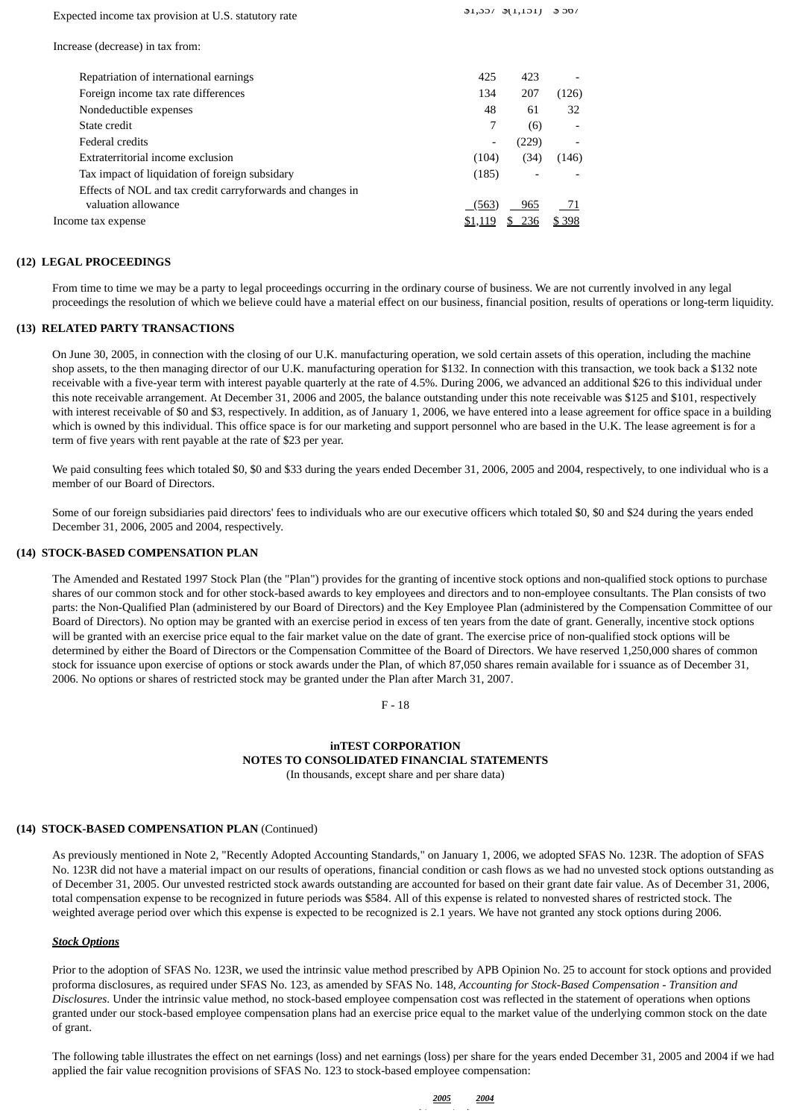| Expected income tax provision at U.S. statutory rate       |         | J1,35/ J(1,151) | $D$ $D$ |
|------------------------------------------------------------|---------|-----------------|---------|
| Increase (decrease) in tax from:                           |         |                 |         |
| Repatriation of international earnings                     | 425     | 423             |         |
| Foreign income tax rate differences                        | 134     | 207             | (126)   |
| Nondeductible expenses                                     | 48      | 61              | 32      |
| State credit                                               | 7       | (6)             |         |
| Federal credits                                            |         | (229)           |         |
| Extraterritorial income exclusion                          | (104)   | (34)            | (146)   |
| Tax impact of liquidation of foreign subsidary             | (185)   |                 |         |
| Effects of NOL and tax credit carryforwards and changes in |         |                 |         |
| valuation allowance                                        | (563)   | 965             | 71      |
| Income tax expense                                         | \$1,119 | \$ 236          | \$398   |

## **(12) LEGAL PROCEEDINGS**

From time to time we may be a party to legal proceedings occurring in the ordinary course of business. We are not currently involved in any legal proceedings the resolution of which we believe could have a material effect on our business, financial position, results of operations or long-term liquidity.

## **(13) RELATED PARTY TRANSACTIONS**

On June 30, 2005, in connection with the closing of our U.K. manufacturing operation, we sold certain assets of this operation, including the machine shop assets, to the then managing director of our U.K. manufacturing operation for \$132. In connection with this transaction, we took back a \$132 note receivable with a five-year term with interest payable quarterly at the rate of 4.5%. During 2006, we advanced an additional \$26 to this individual under this note receivable arrangement. At December 31, 2006 and 2005, the balance outstanding under this note receivable was \$125 and \$101, respectively with interest receivable of \$0 and \$3, respectively. In addition, as of January 1, 2006, we have entered into a lease agreement for office space in a building which is owned by this individual. This office space is for our marketing and support personnel who are based in the U.K. The lease agreement is for a term of five years with rent payable at the rate of \$23 per year.

We paid consulting fees which totaled \$0, \$0 and \$33 during the years ended December 31, 2006, 2005 and 2004, respectively, to one individual who is a member of our Board of Directors.

Some of our foreign subsidiaries paid directors' fees to individuals who are our executive officers which totaled \$0, \$0 and \$24 during the years ended December 31, 2006, 2005 and 2004, respectively.

#### **(14) STOCK-BASED COMPENSATION PLAN**

The Amended and Restated 1997 Stock Plan (the "Plan") provides for the granting of incentive stock options and non-qualified stock options to purchase shares of our common stock and for other stock-based awards to key employees and directors and to non-employee consultants. The Plan consists of two parts: the Non-Qualified Plan (administered by our Board of Directors) and the Key Employee Plan (administered by the Compensation Committee of our Board of Directors). No option may be granted with an exercise period in excess of ten years from the date of grant. Generally, incentive stock options will be granted with an exercise price equal to the fair market value on the date of grant. The exercise price of non-qualified stock options will be determined by either the Board of Directors or the Compensation Committee of the Board of Directors. We have reserved 1,250,000 shares of common stock for issuance upon exercise of options or stock awards under the Plan, of which 87,050 shares remain available for i ssuance as of December 31, 2006. No options or shares of restricted stock may be granted under the Plan after March 31, 2007.

F - 18

## **inTEST CORPORATION NOTES TO CONSOLIDATED FINANCIAL STATEMENTS** (In thousands, except share and per share data)

## **(14) STOCK-BASED COMPENSATION PLAN** (Continued)

As previously mentioned in Note 2, "Recently Adopted Accounting Standards," on January 1, 2006, we adopted SFAS No. 123R. The adoption of SFAS No. 123R did not have a material impact on our results of operations, financial condition or cash flows as we had no unvested stock options outstanding as of December 31, 2005. Our unvested restricted stock awards outstanding are accounted for based on their grant date fair value. As of December 31, 2006, total compensation expense to be recognized in future periods was \$584. All of this expense is related to nonvested shares of restricted stock. The weighted average period over which this expense is expected to be recognized is 2.1 years. We have not granted any stock options during 2006.

#### *Stock Options*

Prior to the adoption of SFAS No. 123R, we used the intrinsic value method prescribed by APB Opinion No. 25 to account for stock options and provided proforma disclosures, as required under SFAS No. 123, as amended by SFAS No. 148, *Accounting for Stock-Based Compensation - Transition and Disclosures*. Under the intrinsic value method, no stock-based employee compensation cost was reflected in the statement of operations when options granted under our stock-based employee compensation plans had an exercise price equal to the market value of the underlying common stock on the date of grant.

The following table illustrates the effect on net earnings (loss) and net earnings (loss) per share for the years ended December 31, 2005 and 2004 if we had applied the fair value recognition provisions of SFAS No. 123 to stock-based employee compensation: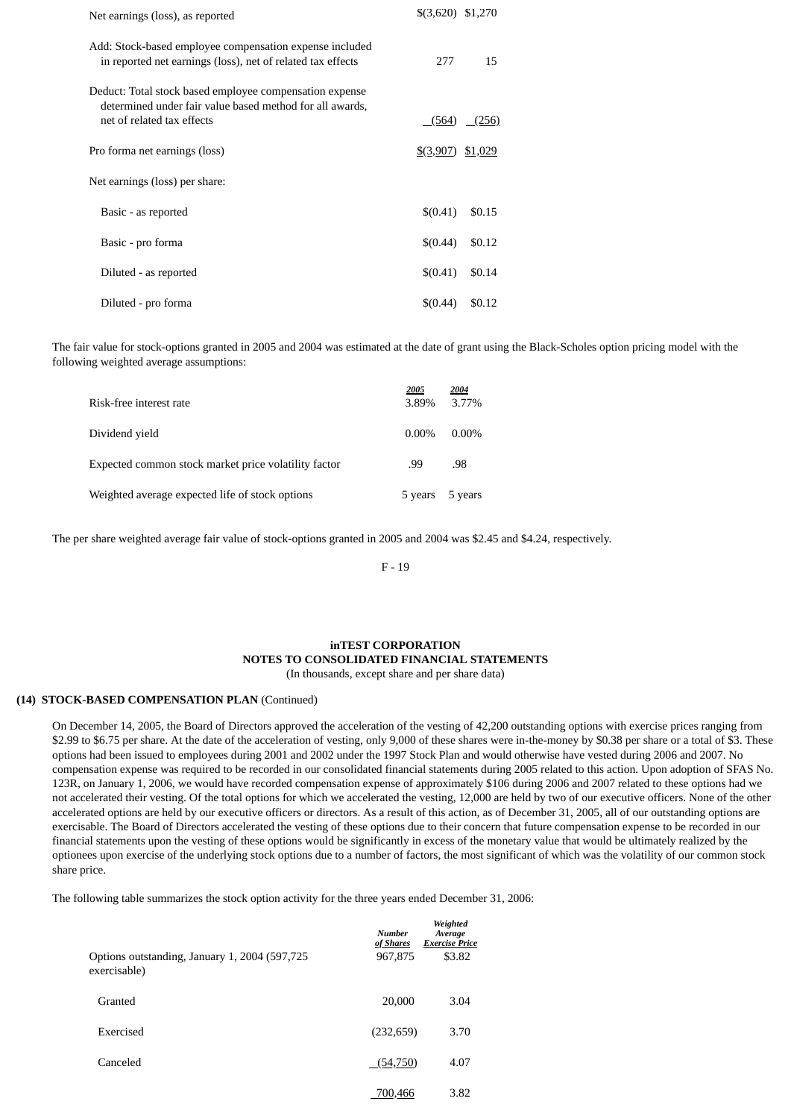| Net earnings (loss), as reported                                                                                                                  | \$(3,620) \$1,270   |        |
|---------------------------------------------------------------------------------------------------------------------------------------------------|---------------------|--------|
| Add: Stock-based employee compensation expense included<br>in reported net earnings (loss), net of related tax effects                            | 277                 | 15     |
| Deduct: Total stock based employee compensation expense<br>determined under fair value based method for all awards,<br>net of related tax effects | $(564)$ $(256)$     |        |
| Pro forma net earnings (loss)                                                                                                                     | $$$ (3,907) \$1,029 |        |
| Net earnings (loss) per share:                                                                                                                    |                     |        |
| Basic - as reported                                                                                                                               | \$(0.41)            | \$0.15 |
| Basic - pro forma                                                                                                                                 | \$(0.44)            | \$0.12 |
| Diluted - as reported                                                                                                                             | \$(0.41)            | \$0.14 |
| Diluted - pro forma                                                                                                                               | \$(0.44)            | \$0.12 |

The fair value for stock-options granted in 2005 and 2004 was estimated at the date of grant using the Black-Scholes option pricing model with the following weighted average assumptions:

| Risk-free interest rate                              | 2005<br>3.89% | 2004<br>3.77% |
|------------------------------------------------------|---------------|---------------|
| Dividend vield                                       | $0.00\%$      | $0.00\%$      |
| Expected common stock market price volatility factor | .99           | .98           |
| Weighted average expected life of stock options      | 5 years       | 5 years       |

The per share weighted average fair value of stock-options granted in 2005 and 2004 was \$2.45 and \$4.24, respectively.

F - 19

## **inTEST CORPORATION NOTES TO CONSOLIDATED FINANCIAL STATEMENTS**

(In thousands, except share and per share data)

## **(14) STOCK-BASED COMPENSATION PLAN** (Continued)

On December 14, 2005, the Board of Directors approved the acceleration of the vesting of 42,200 outstanding options with exercise prices ranging from \$2.99 to \$6.75 per share. At the date of the acceleration of vesting, only 9,000 of these shares were in-the-money by \$0.38 per share or a total of \$3. These options had been issued to employees during 2001 and 2002 under the 1997 Stock Plan and would otherwise have vested during 2006 and 2007. No compensation expense was required to be recorded in our consolidated financial statements during 2005 related to this action. Upon adoption of SFAS No. 123R, on January 1, 2006, we would have recorded compensation expense of approximately \$106 during 2006 and 2007 related to these options had we not accelerated their vesting. Of the total options for which we accelerated the vesting, 12,000 are held by two of our executive officers. None of the other accelerated options are held by our executive officers or directors. As a result of this action, as of December 31, 2005, all of our outstanding options are exercisable. The Board of Directors accelerated the vesting of these options due to their concern that future compensation expense to be recorded in our financial statements upon the vesting of these options would be significantly in excess of the monetary value that would be ultimately realized by the optionees upon exercise of the underlying stock options due to a number of factors, the most significant of which was the volatility of our common stock share price.

The following table summarizes the stock option activity for the three years ended December 31, 2006:

| Options outstanding, January 1, 2004 (597,725)<br>exercisable) | <b>Number</b><br>of Shares<br>967,875 | Weighted<br>Average<br><b>Exercise Price</b><br>\$3.82 |
|----------------------------------------------------------------|---------------------------------------|--------------------------------------------------------|
| Granted                                                        | 20,000                                | 3.04                                                   |
| Exercised                                                      | (232, 659)                            | 3.70                                                   |
| Canceled                                                       | (54, 750)                             | 4.07                                                   |
|                                                                | 700.466                               | 3.82                                                   |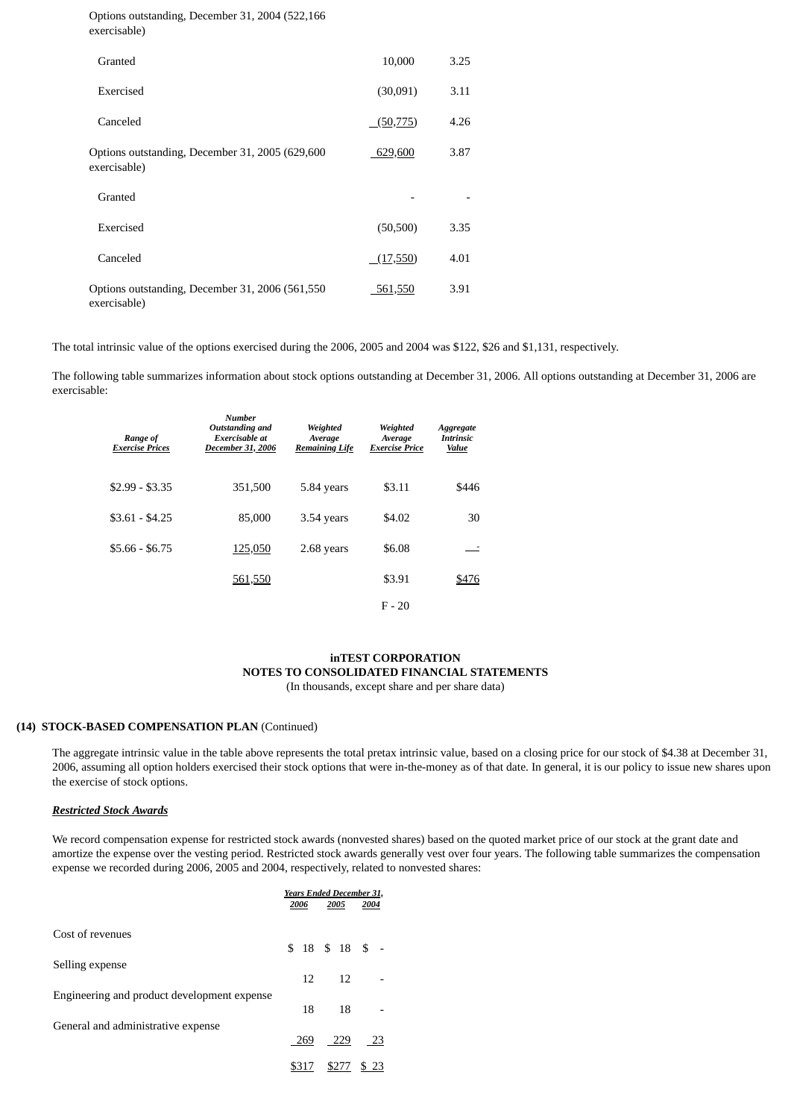### Options outstanding, December 31, 2004 (522,166 exercisable)

| Granted                                                          | 10,000    | 3.25 |
|------------------------------------------------------------------|-----------|------|
| Exercised                                                        | (30,091)  | 3.11 |
| Canceled                                                         | (50, 775) | 4.26 |
| Options outstanding, December 31, 2005 (629,600)<br>exercisable) | 629,600   | 3.87 |
| Granted                                                          |           |      |
| Exercised                                                        | (50, 500) | 3.35 |
| Canceled                                                         | (17,550)  | 4.01 |
| Options outstanding, December 31, 2006 (561,550<br>exercisable)  | 561,550   | 3.91 |

The total intrinsic value of the options exercised during the 2006, 2005 and 2004 was \$122, \$26 and \$1,131, respectively.

The following table summarizes information about stock options outstanding at December 31, 2006. All options outstanding at December 31, 2006 are exercisable:

| Range of<br><b>Exercise Prices</b> | <b>Number</b><br>Outstanding and<br>Exercisable at<br>December 31, 2006 | Weighted<br>Average<br><b>Remaining Life</b> | Weighted<br>Average<br><b>Exercise Price</b> | <b>Aggregate</b><br><b>Intrinsic</b><br>Value |
|------------------------------------|-------------------------------------------------------------------------|----------------------------------------------|----------------------------------------------|-----------------------------------------------|
| $$2.99 - $3.35$                    | 351,500                                                                 | 5.84 years                                   | \$3.11                                       | \$446                                         |
| $$3.61 - $4.25$                    | 85,000                                                                  | 3.54 years                                   | \$4.02                                       | 30                                            |
| $$5.66 - $6.75$                    | 125,050                                                                 | 2.68 years                                   | \$6.08                                       |                                               |
|                                    | 561,550                                                                 |                                              | \$3.91                                       | \$476                                         |
|                                    |                                                                         |                                              | $F - 20$                                     |                                               |

## **inTEST CORPORATION NOTES TO CONSOLIDATED FINANCIAL STATEMENTS** (In thousands, except share and per share data)

#### **(14) STOCK-BASED COMPENSATION PLAN** (Continued)

The aggregate intrinsic value in the table above represents the total pretax intrinsic value, based on a closing price for our stock of \$4.38 at December 31, 2006, assuming all option holders exercised their stock options that were in-the-money as of that date. In general, it is our policy to issue new shares upon the exercise of stock options.

## *Restricted Stock Awards*

We record compensation expense for restricted stock awards (nonvested shares) based on the quoted market price of our stock at the grant date and amortize the expense over the vesting period. Restricted stock awards generally vest over four years. The following table summarizes the compensation expense we recorded during 2006, 2005 and 2004, respectively, related to nonvested shares:

|                                             | <b>Years Ended December 31,</b> |                |      |       |      |      |
|---------------------------------------------|---------------------------------|----------------|------|-------|------|------|
|                                             | 2006                            |                | 2005 |       | 2004 |      |
| Cost of revenues                            |                                 |                |      |       |      |      |
|                                             |                                 | \$ 18 \$ 18 \$ |      |       |      |      |
| Selling expense                             |                                 | 12             |      | 12    |      |      |
| Engineering and product development expense |                                 | 18             |      | 18    |      |      |
| General and administrative expense          |                                 |                |      |       |      |      |
|                                             |                                 | -269           |      | - 229 |      | - 23 |
|                                             |                                 | \$317          |      | \$277 | \$23 |      |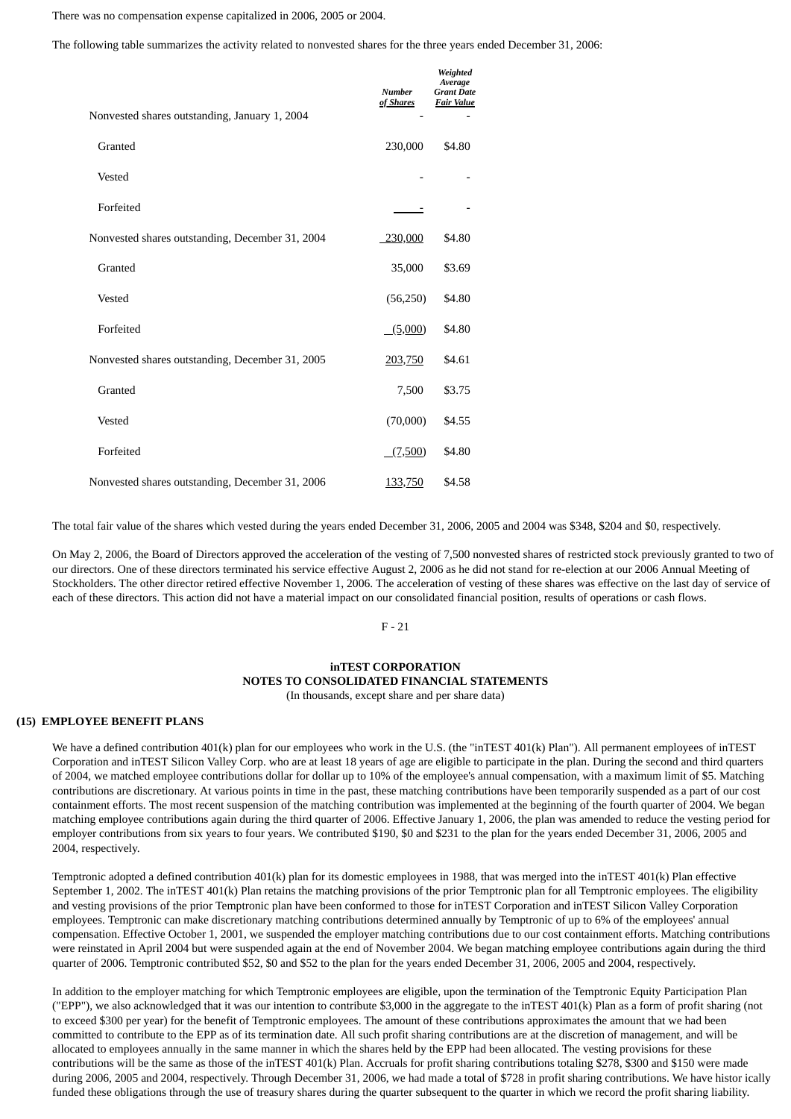There was no compensation expense capitalized in 2006, 2005 or 2004.

The following table summarizes the activity related to nonvested shares for the three years ended December 31, 2006:

| Nonvested shares outstanding, January 1, 2004   | <b>Number</b><br>of Shares | Weighted<br>Average<br><b>Grant Date</b><br><b>Fair Value</b> |
|-------------------------------------------------|----------------------------|---------------------------------------------------------------|
| Granted                                         | 230,000                    | \$4.80                                                        |
| Vested                                          |                            |                                                               |
| Forfeited                                       |                            |                                                               |
| Nonvested shares outstanding, December 31, 2004 | 230,000                    | \$4.80                                                        |
| Granted                                         | 35,000                     | \$3.69                                                        |
| Vested                                          | (56,250)                   | \$4.80                                                        |
| Forfeited                                       | (5,000)                    | \$4.80                                                        |
| Nonvested shares outstanding, December 31, 2005 | 203,750                    | \$4.61                                                        |
| Granted                                         | 7,500                      | \$3.75                                                        |
| Vested                                          | (70,000)                   | \$4.55                                                        |
| Forfeited                                       | (7,500)                    | \$4.80                                                        |
| Nonvested shares outstanding, December 31, 2006 | 133,750                    | \$4.58                                                        |

The total fair value of the shares which vested during the years ended December 31, 2006, 2005 and 2004 was \$348, \$204 and \$0, respectively.

On May 2, 2006, the Board of Directors approved the acceleration of the vesting of 7,500 nonvested shares of restricted stock previously granted to two of our directors. One of these directors terminated his service effective August 2, 2006 as he did not stand for re-election at our 2006 Annual Meeting of Stockholders. The other director retired effective November 1, 2006. The acceleration of vesting of these shares was effective on the last day of service of each of these directors. This action did not have a material impact on our consolidated financial position, results of operations or cash flows.

#### F - 21

## **inTEST CORPORATION**

## **NOTES TO CONSOLIDATED FINANCIAL STATEMENTS**

(In thousands, except share and per share data)

## **(15) EMPLOYEE BENEFIT PLANS**

We have a defined contribution 401(k) plan for our employees who work in the U.S. (the "inTEST 401(k) Plan"). All permanent employees of inTEST Corporation and inTEST Silicon Valley Corp. who are at least 18 years of age are eligible to participate in the plan. During the second and third quarters of 2004, we matched employee contributions dollar for dollar up to 10% of the employee's annual compensation, with a maximum limit of \$5. Matching contributions are discretionary. At various points in time in the past, these matching contributions have been temporarily suspended as a part of our cost containment efforts. The most recent suspension of the matching contribution was implemented at the beginning of the fourth quarter of 2004. We began matching employee contributions again during the third quarter of 2006. Effective January 1, 2006, the plan was amended to reduce the vesting period for employer contributions from six years to four years. We contributed \$190, \$0 and \$231 to the plan for the years ended December 31, 2006, 2005 and 2004, respectively.

Temptronic adopted a defined contribution 401(k) plan for its domestic employees in 1988, that was merged into the inTEST 401(k) Plan effective September 1, 2002. The inTEST 401(k) Plan retains the matching provisions of the prior Temptronic plan for all Temptronic employees. The eligibility and vesting provisions of the prior Temptronic plan have been conformed to those for inTEST Corporation and inTEST Silicon Valley Corporation employees. Temptronic can make discretionary matching contributions determined annually by Temptronic of up to 6% of the employees' annual compensation. Effective October 1, 2001, we suspended the employer matching contributions due to our cost containment efforts. Matching contributions were reinstated in April 2004 but were suspended again at the end of November 2004. We began matching employee contributions again during the third quarter of 2006. Temptronic contributed \$52, \$0 and \$52 to the plan for the years ended December 31, 2006, 2005 and 2004, respectively.

In addition to the employer matching for which Temptronic employees are eligible, upon the termination of the Temptronic Equity Participation Plan ("EPP"), we also acknowledged that it was our intention to contribute \$3,000 in the aggregate to the inTEST 401(k) Plan as a form of profit sharing (not to exceed \$300 per year) for the benefit of Temptronic employees. The amount of these contributions approximates the amount that we had been committed to contribute to the EPP as of its termination date. All such profit sharing contributions are at the discretion of management, and will be allocated to employees annually in the same manner in which the shares held by the EPP had been allocated. The vesting provisions for these contributions will be the same as those of the inTEST 401(k) Plan. Accruals for profit sharing contributions totaling \$278, \$300 and \$150 were made during 2006, 2005 and 2004, respectively. Through December 31, 2006, we had made a total of \$728 in profit sharing contributions. We have histor ically funded these obligations through the use of treasury shares during the quarter subsequent to the quarter in which we record the profit sharing liability.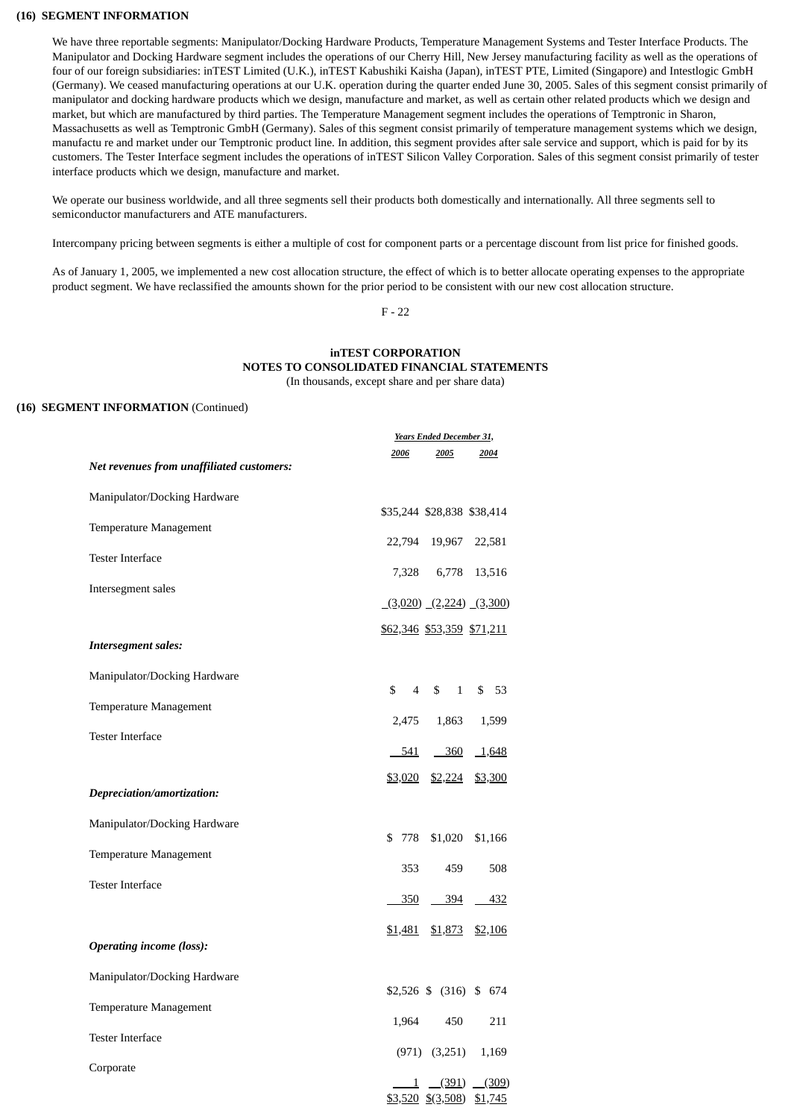## **(16) SEGMENT INFORMATION**

We have three reportable segments: Manipulator/Docking Hardware Products, Temperature Management Systems and Tester Interface Products. The Manipulator and Docking Hardware segment includes the operations of our Cherry Hill, New Jersey manufacturing facility as well as the operations of four of our foreign subsidiaries: inTEST Limited (U.K.), inTEST Kabushiki Kaisha (Japan), inTEST PTE, Limited (Singapore) and Intestlogic GmbH (Germany). We ceased manufacturing operations at our U.K. operation during the quarter ended June 30, 2005. Sales of this segment consist primarily of manipulator and docking hardware products which we design, manufacture and market, as well as certain other related products which we design and market, but which are manufactured by third parties. The Temperature Management segment includes the operations of Temptronic in Sharon, Massachusetts as well as Temptronic GmbH (Germany). Sales of this segment consist primarily of temperature management systems which we design, manufactu re and market under our Temptronic product line. In addition, this segment provides after sale service and support, which is paid for by its customers. The Tester Interface segment includes the operations of inTEST Silicon Valley Corporation. Sales of this segment consist primarily of tester interface products which we design, manufacture and market.

We operate our business worldwide, and all three segments sell their products both domestically and internationally. All three segments sell to semiconductor manufacturers and ATE manufacturers.

Intercompany pricing between segments is either a multiple of cost for component parts or a percentage discount from list price for finished goods.

As of January 1, 2005, we implemented a new cost allocation structure, the effect of which is to better allocate operating expenses to the appropriate product segment. We have reclassified the amounts shown for the prior period to be consistent with our new cost allocation structure.

F - 22

## **inTEST CORPORATION NOTES TO CONSOLIDATED FINANCIAL STATEMENTS** (In thousands, except share and per share data)

### **(16) SEGMENT INFORMATION** (Continued)

|                                           | Years Ended December 31, |                              |                               |
|-------------------------------------------|--------------------------|------------------------------|-------------------------------|
|                                           | 2006                     | 2005                         | 2004                          |
| Net revenues from unaffiliated customers: |                          |                              |                               |
|                                           |                          |                              |                               |
| Manipulator/Docking Hardware              |                          |                              |                               |
|                                           |                          | \$35,244 \$28,838 \$38,414   |                               |
| Temperature Management                    |                          |                              |                               |
|                                           | 22,794                   | 19,967                       | 22,581                        |
| <b>Tester Interface</b>                   |                          |                              |                               |
|                                           | 7,328                    | 6,778                        | 13,516                        |
| Intersegment sales                        |                          |                              |                               |
|                                           |                          |                              | $(3,020)$ $(2,224)$ $(3,300)$ |
|                                           |                          |                              |                               |
|                                           |                          |                              | \$62,346 \$53,359 \$71,211    |
| <b>Intersegment sales:</b>                |                          |                              |                               |
|                                           |                          |                              |                               |
| Manipulator/Docking Hardware              |                          |                              |                               |
|                                           | \$<br>$\overline{4}$     | \$<br>$\mathbf{1}$           | \$<br>53                      |
| Temperature Management                    |                          |                              |                               |
|                                           | 2,475                    | 1,863                        | 1,599                         |
| <b>Tester Interface</b>                   |                          |                              |                               |
|                                           | 541                      | 360                          | <u>_1,648</u>                 |
|                                           | \$3,020                  | \$2,224                      | \$3,300                       |
| Depreciation/amortization:                |                          |                              |                               |
|                                           |                          |                              |                               |
| Manipulator/Docking Hardware              |                          |                              |                               |
|                                           | \$ 778                   | \$1,020                      | \$1,166                       |
| Temperature Management                    |                          |                              |                               |
|                                           | 353                      | 459                          | 508                           |
| <b>Tester Interface</b>                   |                          |                              |                               |
|                                           | 350                      | 394                          | 432                           |
|                                           |                          |                              |                               |
|                                           | <u>\$1,481</u>           | \$1,873                      | \$2,106                       |
| <b>Operating income (loss):</b>           |                          |                              |                               |
|                                           |                          |                              |                               |
| Manipulator/Docking Hardware              |                          |                              |                               |
|                                           |                          | \$2,526 \$ (316) \$ 674      |                               |
| Temperature Management                    |                          |                              |                               |
|                                           | 1,964                    | 450                          | 211                           |
| <b>Tester Interface</b>                   |                          |                              |                               |
|                                           |                          | $(971)$ $(3,251)$            | 1,169                         |
| Corporate                                 |                          |                              |                               |
|                                           |                          |                              | $1$ $(391)$ $(309)$           |
|                                           |                          | $$3,520$ $$(3,508)$ $$1,745$ |                               |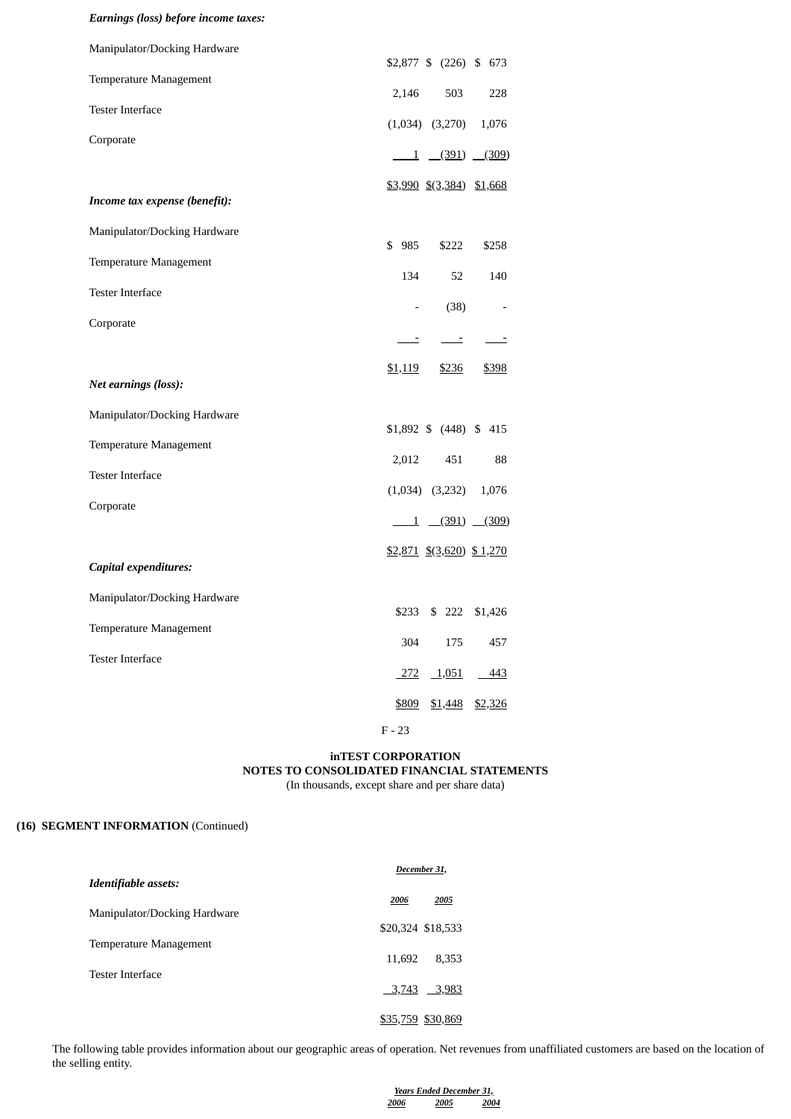## *Earnings (loss) before income taxes:*

| Manipulator/Docking Hardware  |                          | \$2,877 \$ (226) \$ 673                                                                        |                |
|-------------------------------|--------------------------|------------------------------------------------------------------------------------------------|----------------|
| Temperature Management        | 2,146                    | 503                                                                                            | 228            |
| <b>Tester Interface</b>       |                          |                                                                                                |                |
| Corporate                     |                          | $(1,034)$ $(3,270)$                                                                            | 1,076          |
|                               |                          | <u>1 (391) (309)</u>                                                                           |                |
| Income tax expense (benefit): |                          | $$3,990$ $$(3,384)$ $$1,668$                                                                   |                |
| Manipulator/Docking Hardware  | \$985                    | \$222                                                                                          | \$258          |
| Temperature Management        |                          |                                                                                                |                |
| <b>Tester Interface</b>       | 134                      | 52                                                                                             | 140            |
| Corporate                     | $\overline{\phantom{a}}$ | (38)                                                                                           | $\overline{a}$ |
|                               | $\equiv$                 | $\equiv$                                                                                       |                |
| Net earnings (loss):          | \$1,119                  | \$236                                                                                          | \$398          |
| Manipulator/Docking Hardware  |                          |                                                                                                |                |
| Temperature Management        |                          | $$1,892$ \$ (448) \$ 415                                                                       |                |
| <b>Tester Interface</b>       | 2,012                    | 451                                                                                            | 88             |
| Corporate                     |                          | $(1,034)$ $(3,232)$                                                                            | 1,076          |
|                               |                          | $\underline{\hspace{1cm}} 1$ $\underline{\hspace{1cm}} (391)$ $\underline{\hspace{1cm}} (309)$ |                |
| Capital expenditures:         |                          | $$2,871$ $$(3,620)$ $$1,270$                                                                   |                |
| Manipulator/Docking Hardware  | \$233                    | \$222                                                                                          | \$1,426        |
| Temperature Management        |                          |                                                                                                |                |
| <b>Tester Interface</b>       | 304                      | 175                                                                                            | 457            |
|                               | 272                      | 1,051                                                                                          | 443            |
|                               | \$809                    | \$1,448 \$2,326                                                                                |                |

## F - 23

## **inTEST CORPORATION NOTES TO CONSOLIDATED FINANCIAL STATEMENTS** (In thousands, except share and per share data)

## **(16) SEGMENT INFORMATION** (Continued)

|                              | December 31, |                   |
|------------------------------|--------------|-------------------|
| Identifiable assets:         | 2006         | 2005              |
| Manipulator/Docking Hardware |              | \$20,324 \$18,533 |
| Temperature Management       |              |                   |
| <b>Tester Interface</b>      | 11,692       | 8,353             |
|                              | 3,743        | 3,983             |
|                              |              | \$35,759 \$30,869 |

The following table provides information about our geographic areas of operation. Net revenues from unaffiliated customers are based on the location of the selling entity.

|      | <b>Years Ended December 31,</b> |      |
|------|---------------------------------|------|
| 2006 | 2005                            | 2004 |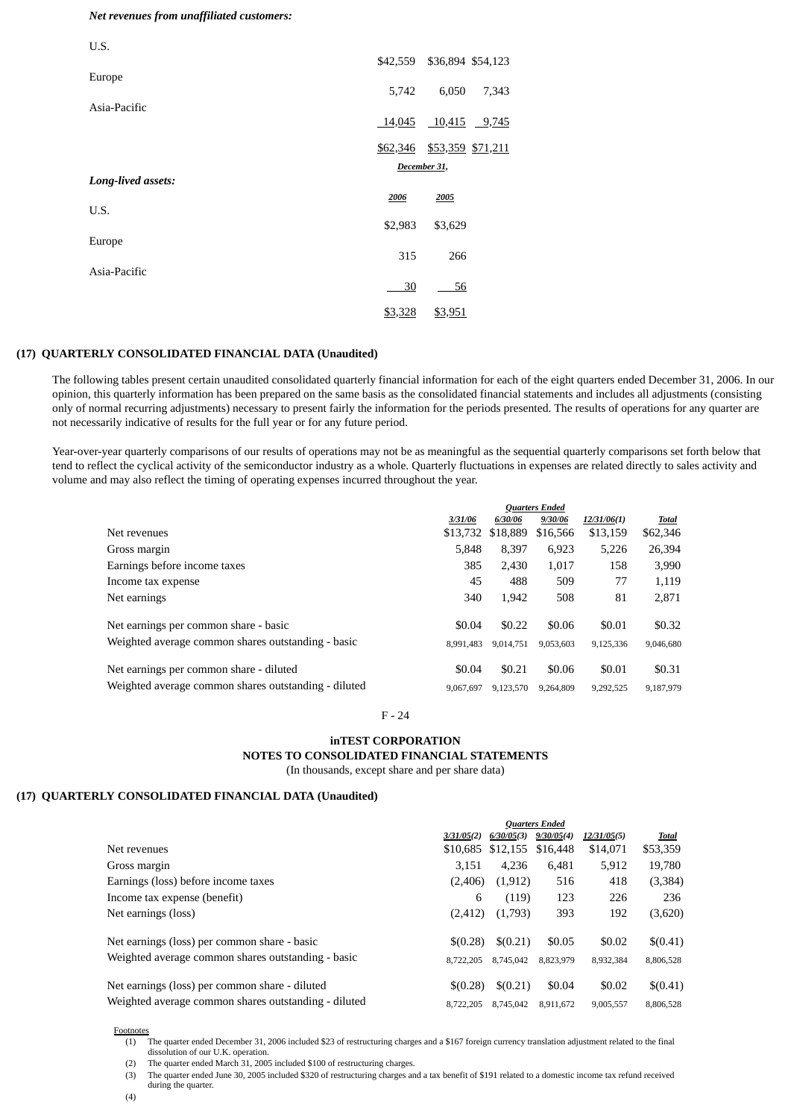## *Net revenues from unaffiliated customers:*

| U.S.               |          |                                                               |                   |
|--------------------|----------|---------------------------------------------------------------|-------------------|
|                    | \$42,559 |                                                               | \$36,894 \$54,123 |
| Europe             |          |                                                               |                   |
|                    | 5,742    | 6,050                                                         | 7,343             |
| Asia-Pacific       |          | $\underline{14,045}$ $\underline{10,415}$ $\underline{9,745}$ |                   |
|                    |          | \$62,346 \$53,359 \$71,211                                    |                   |
|                    |          | December 31,                                                  |                   |
| Long-lived assets: |          |                                                               |                   |
|                    | 2006     | 2005                                                          |                   |
| U.S.               | \$2,983  | \$3,629                                                       |                   |
| Europe             | 315      | 266                                                           |                   |
| Asia-Pacific       |          |                                                               |                   |
|                    | 30       | 56                                                            |                   |
|                    | \$3,328  | \$3,951                                                       |                   |

## **(17) QUARTERLY CONSOLIDATED FINANCIAL DATA (Unaudited)**

The following tables present certain unaudited consolidated quarterly financial information for each of the eight quarters ended December 31, 2006. In our opinion, this quarterly information has been prepared on the same basis as the consolidated financial statements and includes all adjustments (consisting only of normal recurring adjustments) necessary to present fairly the information for the periods presented. The results of operations for any quarter are not necessarily indicative of results for the full year or for any future period.

Year-over-year quarterly comparisons of our results of operations may not be as meaningful as the sequential quarterly comparisons set forth below that tend to reflect the cyclical activity of the semiconductor industry as a whole. Quarterly fluctuations in expenses are related directly to sales activity and volume and may also reflect the timing of operating expenses incurred throughout the year.

|                                                      |           |           | <b>Ouarters Ended</b> |             |           |
|------------------------------------------------------|-----------|-----------|-----------------------|-------------|-----------|
|                                                      | 3/31/06   | 6/30/06   | 9/30/06               | 12/31/06(1) | Total     |
| Net revenues                                         | \$13,732  | \$18,889  | \$16,566              | \$13,159    | \$62,346  |
| Gross margin                                         | 5.848     | 8.397     | 6.923                 | 5.226       | 26,394    |
| Earnings before income taxes                         | 385       | 2.430     | 1,017                 | 158         | 3,990     |
| Income tax expense                                   | 45        | 488       | 509                   | 77          | 1,119     |
| Net earnings                                         | 340       | 1.942     | 508                   | 81          | 2,871     |
| Net earnings per common share - basic                | \$0.04    | \$0.22    | \$0.06                | \$0.01      | \$0.32    |
| Weighted average common shares outstanding - basic   | 8,991,483 | 9,014,751 | 9,053,603             | 9,125,336   | 9,046,680 |
| Net earnings per common share - diluted              | \$0.04    | \$0.21    | \$0.06                | \$0.01      | \$0.31    |
| Weighted average common shares outstanding - diluted | 9,067,697 | 9.123.570 | 9.264,809             | 9,292,525   | 9,187,979 |

#### F - 24

## **inTEST CORPORATION NOTES TO CONSOLIDATED FINANCIAL STATEMENTS**

(In thousands, except share and per share data)

## **(17) QUARTERLY CONSOLIDATED FINANCIAL DATA (Unaudited)**

|                                                      |            |            | <b>Quarters Ended</b> |             |              |
|------------------------------------------------------|------------|------------|-----------------------|-------------|--------------|
|                                                      | 3/31/05(2) | 6/30/05(3) | 9/30/05(4)            | 12/31/05(5) | <b>Total</b> |
| Net revenues                                         | \$10,685   | \$12,155   | \$16,448              | \$14,071    | \$53,359     |
| Gross margin                                         | 3.151      | 4.236      | 6.481                 | 5,912       | 19,780       |
| Earnings (loss) before income taxes                  | (2,406)    | (1, 912)   | 516                   | 418         | (3,384)      |
| Income tax expense (benefit)                         | 6          | (119)      | 123                   | 226         | 236          |
| Net earnings (loss)                                  | (2, 412)   | (1,793)    | 393                   | 192         | (3,620)      |
| Net earnings (loss) per common share - basic         | \$(0.28)   | \$(0.21)   | \$0.05                | \$0.02      | \$(0.41)     |
| Weighted average common shares outstanding - basic   | 8,722,205  | 8,745,042  | 8,823,979             | 8,932,384   | 8,806,528    |
| Net earnings (loss) per common share - diluted       | \$(0.28)   | \$(0.21)   | \$0.04                | \$0.02      | \$(0.41)     |
| Weighted average common shares outstanding - diluted | 8,722,205  | 8,745,042  | 8.911.672             | 9,005,557   | 8,806,528    |

Footnotes

<sup>(1)</sup> The quarter ended December 31, 2006 included \$23 of restructuring charges and a \$167 foreign currency translation adjustment related to the final dissolution of our U.K. operation.

<sup>(2)</sup> The quarter ended March 31, 2005 included \$100 of restructuring charges.

<sup>(3)</sup> The quarter ended June 30, 2005 included \$320 of restructuring charges and a tax benefit of \$191 related to a domestic income tax refund received during the quarter.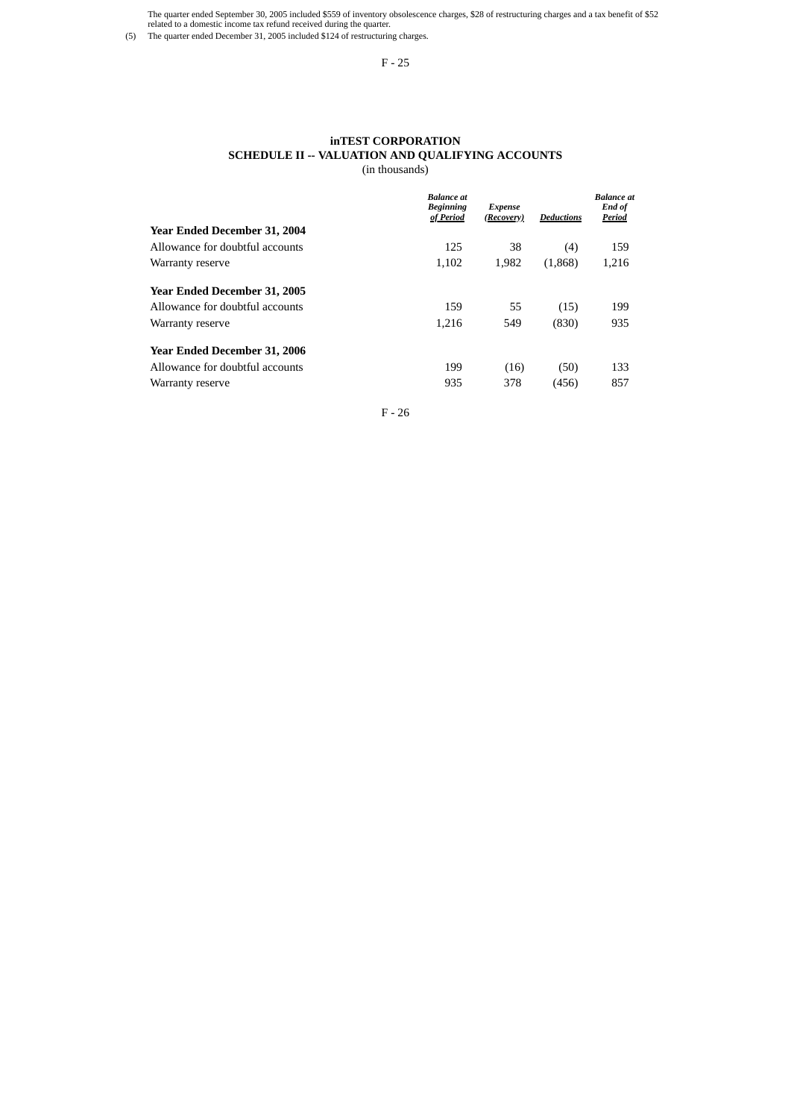The quarter ended September 30, 2005 included \$559 of inventory obsolescence charges, \$28 of restructuring charges and a tax benefit of \$52 related to a domestic income tax refund received during the quarter.

(5) The quarter ended December 31, 2005 included \$124 of restructuring charges.

F - 25

## **inTEST CORPORATION SCHEDULE II -- VALUATION AND QUALIFYING ACCOUNTS** (in thousands)

|                                     | <b>Balance</b> at<br><b>Beginning</b><br>of Period | <b>Expense</b><br>(Recovery) | <b>Deductions</b> | <b>Balance</b> at<br>End of<br>Period |
|-------------------------------------|----------------------------------------------------|------------------------------|-------------------|---------------------------------------|
| Year Ended December 31, 2004        |                                                    |                              |                   |                                       |
| Allowance for doubtful accounts     | 125                                                | 38                           | (4)               | 159                                   |
| Warranty reserve                    | 1,102                                              | 1,982                        | (1,868)           | 1,216                                 |
| Year Ended December 31, 2005        |                                                    |                              |                   |                                       |
| Allowance for doubtful accounts     | 159                                                | 55                           | (15)              | 199                                   |
| Warranty reserve                    | 1,216                                              | 549                          | (830)             | 935                                   |
| <b>Year Ended December 31, 2006</b> |                                                    |                              |                   |                                       |
| Allowance for doubtful accounts     | 199                                                | (16)                         | (50)              | 133                                   |
| Warranty reserve                    | 935                                                | 378                          | (456)             | 857                                   |
|                                     |                                                    |                              |                   |                                       |

F - 26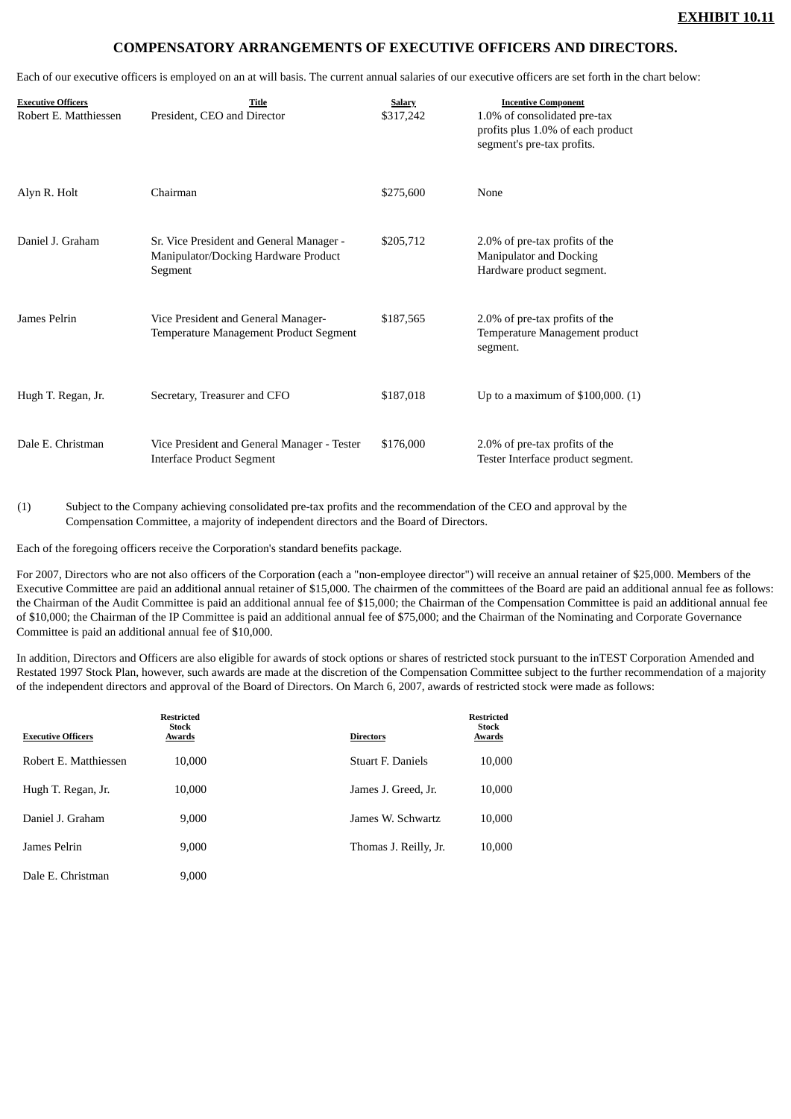## **COMPENSATORY ARRANGEMENTS OF EXECUTIVE OFFICERS AND DIRECTORS.**

Each of our executive officers is employed on an at will basis. The current annual salaries of our executive officers are set forth in the chart below:

| <b>Executive Officers</b><br>Robert E. Matthiessen | <b>Title</b><br>President, CEO and Director                                                 | <b>Salary</b><br>\$317,242 | <b>Incentive Component</b><br>1.0% of consolidated pre-tax<br>profits plus 1.0% of each product<br>segment's pre-tax profits. |
|----------------------------------------------------|---------------------------------------------------------------------------------------------|----------------------------|-------------------------------------------------------------------------------------------------------------------------------|
| Alyn R. Holt                                       | Chairman                                                                                    | \$275,600                  | None                                                                                                                          |
| Daniel J. Graham                                   | Sr. Vice President and General Manager -<br>Manipulator/Docking Hardware Product<br>Segment | \$205,712                  | 2.0% of pre-tax profits of the<br><b>Manipulator and Docking</b><br>Hardware product segment.                                 |
| James Pelrin                                       | Vice President and General Manager-<br>Temperature Management Product Segment               | \$187,565                  | 2.0% of pre-tax profits of the<br>Temperature Management product<br>segment.                                                  |
| Hugh T. Regan, Jr.                                 | Secretary, Treasurer and CFO                                                                | \$187,018                  | Up to a maximum of $$100,000$ . (1)                                                                                           |
| Dale E. Christman                                  | Vice President and General Manager - Tester<br><b>Interface Product Segment</b>             | \$176,000                  | 2.0% of pre-tax profits of the<br>Tester Interface product segment.                                                           |

(1) Subject to the Company achieving consolidated pre-tax profits and the recommendation of the CEO and approval by the Compensation Committee, a majority of independent directors and the Board of Directors.

Each of the foregoing officers receive the Corporation's standard benefits package.

For 2007, Directors who are not also officers of the Corporation (each a "non-employee director") will receive an annual retainer of \$25,000. Members of the Executive Committee are paid an additional annual retainer of \$15,000. The chairmen of the committees of the Board are paid an additional annual fee as follows: the Chairman of the Audit Committee is paid an additional annual fee of \$15,000; the Chairman of the Compensation Committee is paid an additional annual fee of \$10,000; the Chairman of the IP Committee is paid an additional annual fee of \$75,000; and the Chairman of the Nominating and Corporate Governance Committee is paid an additional annual fee of \$10,000.

In addition, Directors and Officers are also eligible for awards of stock options or shares of restricted stock pursuant to the inTEST Corporation Amended and Restated 1997 Stock Plan, however, such awards are made at the discretion of the Compensation Committee subject to the further recommendation of a majority of the independent directors and approval of the Board of Directors. On March 6, 2007, awards of restricted stock were made as follows:

| <b>Executive Officers</b> | <b>Restricted</b><br>Stock<br>Awards | <b>Directors</b>         | <b>Restricted</b><br><b>Stock</b><br>Awards |
|---------------------------|--------------------------------------|--------------------------|---------------------------------------------|
| Robert E. Matthiessen     | 10,000                               | <b>Stuart F. Daniels</b> | 10,000                                      |
| Hugh T. Regan, Jr.        | 10,000                               | James J. Greed, Jr.      | 10,000                                      |
| Daniel J. Graham          | 9,000                                | James W. Schwartz        | 10,000                                      |
| James Pelrin              | 9,000                                | Thomas J. Reilly, Jr.    | 10,000                                      |
| Dale E. Christman         | 9.000                                |                          |                                             |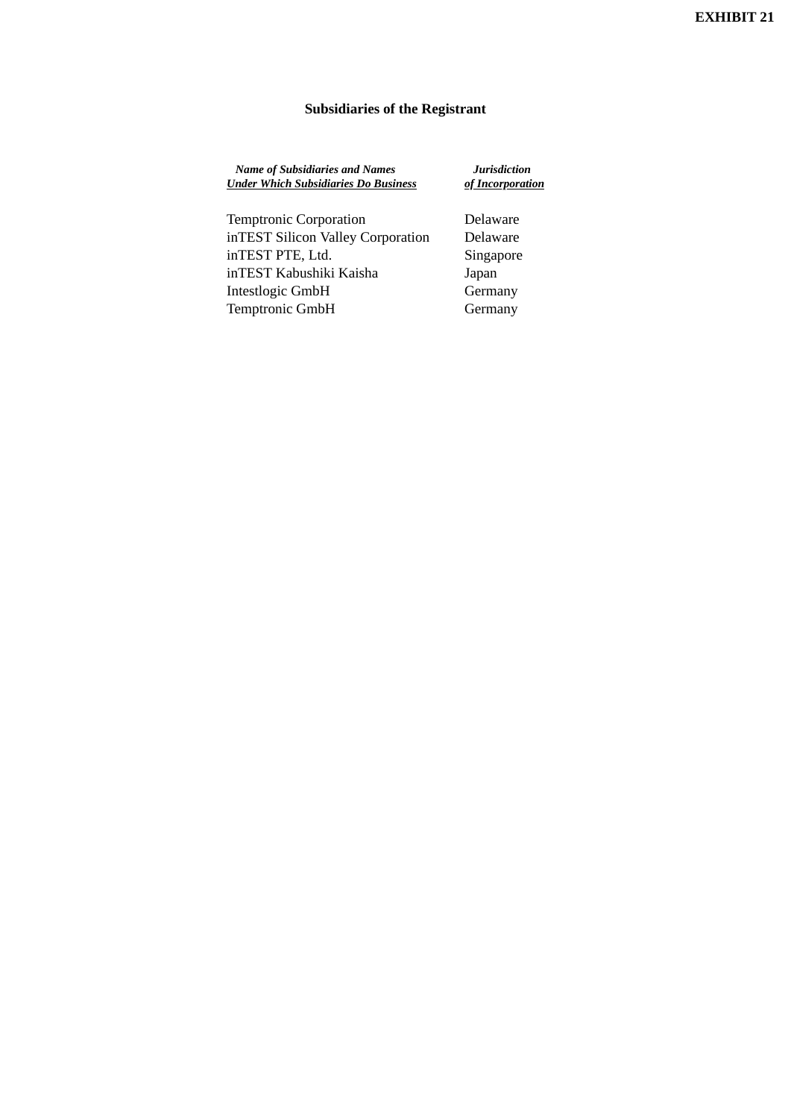## **Subsidiaries of the Registrant**

| <b>Name of Subsidiaries and Names</b>       |
|---------------------------------------------|
| <b>Under Which Subsidiaries Do Business</b> |

## *Jurisdiction of Incorporation*

Temptronic Corporation **Delaware** inTEST Silicon Valley Corporation Delaware inTEST PTE, Ltd. Singapore inTEST Kabushiki Kaisha Japan Intestlogic GmbH Germany<br>
Temptronic GmbH Germany Temptronic GmbH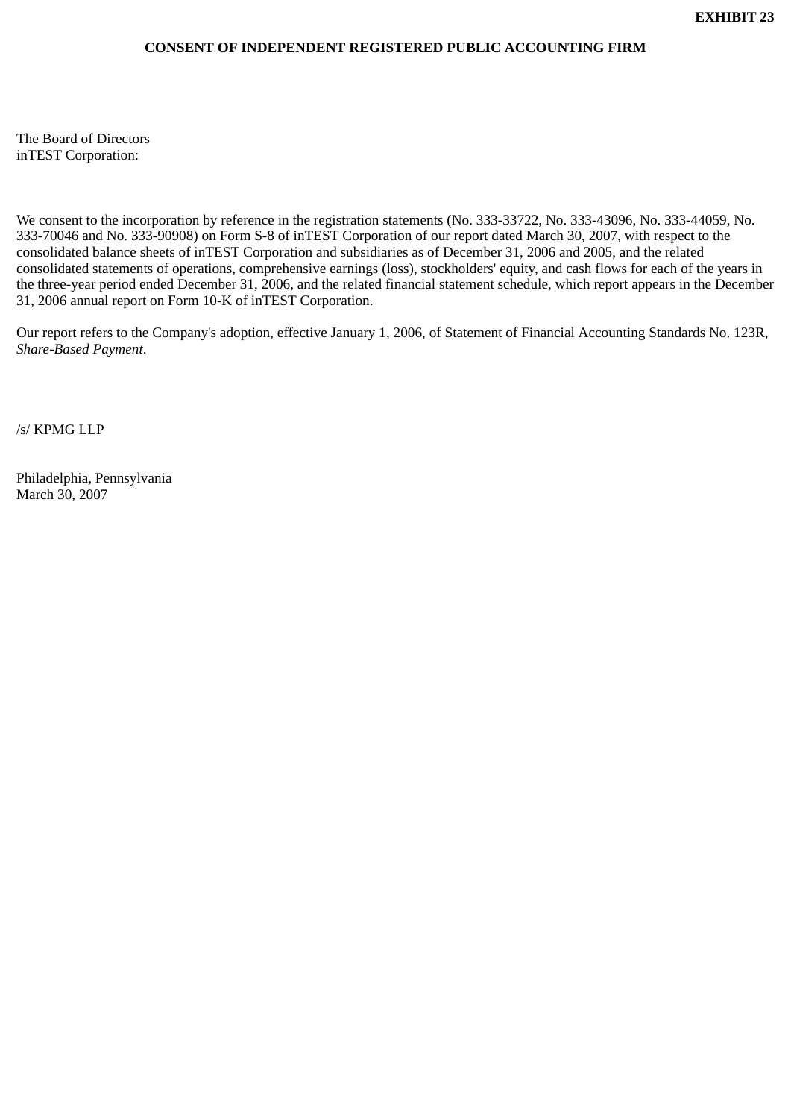## **CONSENT OF INDEPENDENT REGISTERED PUBLIC ACCOUNTING FIRM**

The Board of Directors inTEST Corporation:

We consent to the incorporation by reference in the registration statements (No. 333-33722, No. 333-43096, No. 333-44059, No. 333-70046 and No. 333-90908) on Form S-8 of inTEST Corporation of our report dated March 30, 2007, with respect to the consolidated balance sheets of inTEST Corporation and subsidiaries as of December 31, 2006 and 2005, and the related consolidated statements of operations, comprehensive earnings (loss), stockholders' equity, and cash flows for each of the years in the three-year period ended December 31, 2006, and the related financial statement schedule, which report appears in the December 31, 2006 annual report on Form 10-K of inTEST Corporation.

Our report refers to the Company's adoption, effective January 1, 2006, of Statement of Financial Accounting Standards No. 123R, *Share-Based Payment*.

/s/ KPMG LLP

Philadelphia, Pennsylvania March 30, 2007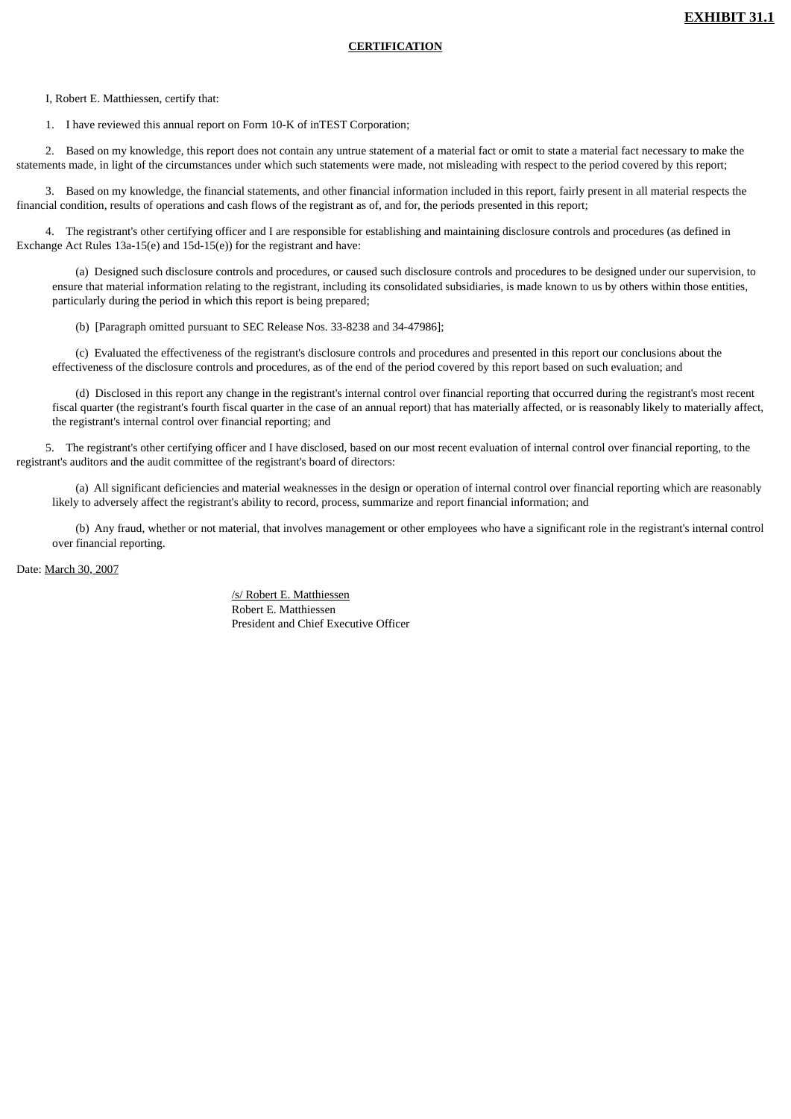## **CERTIFICATION**

I, Robert E. Matthiessen, certify that:

1. I have reviewed this annual report on Form 10-K of inTEST Corporation;

 2. Based on my knowledge, this report does not contain any untrue statement of a material fact or omit to state a material fact necessary to make the statements made, in light of the circumstances under which such statements were made, not misleading with respect to the period covered by this report;

 3. Based on my knowledge, the financial statements, and other financial information included in this report, fairly present in all material respects the financial condition, results of operations and cash flows of the registrant as of, and for, the periods presented in this report;

 4. The registrant's other certifying officer and I are responsible for establishing and maintaining disclosure controls and procedures (as defined in Exchange Act Rules 13a-15(e) and 15d-15(e)) for the registrant and have:

 (a) Designed such disclosure controls and procedures, or caused such disclosure controls and procedures to be designed under our supervision, to ensure that material information relating to the registrant, including its consolidated subsidiaries, is made known to us by others within those entities, particularly during the period in which this report is being prepared;

(b) [Paragraph omitted pursuant to SEC Release Nos. 33-8238 and 34-47986];

 (c) Evaluated the effectiveness of the registrant's disclosure controls and procedures and presented in this report our conclusions about the effectiveness of the disclosure controls and procedures, as of the end of the period covered by this report based on such evaluation; and

 (d) Disclosed in this report any change in the registrant's internal control over financial reporting that occurred during the registrant's most recent fiscal quarter (the registrant's fourth fiscal quarter in the case of an annual report) that has materially affected, or is reasonably likely to materially affect, the registrant's internal control over financial reporting; and

 5. The registrant's other certifying officer and I have disclosed, based on our most recent evaluation of internal control over financial reporting, to the registrant's auditors and the audit committee of the registrant's board of directors:

 (a) All significant deficiencies and material weaknesses in the design or operation of internal control over financial reporting which are reasonably likely to adversely affect the registrant's ability to record, process, summarize and report financial information; and

 (b) Any fraud, whether or not material, that involves management or other employees who have a significant role in the registrant's internal control over financial reporting.

Date: March 30, 2007

/s/ Robert E. Matthiessen Robert E. Matthiessen President and Chief Executive Officer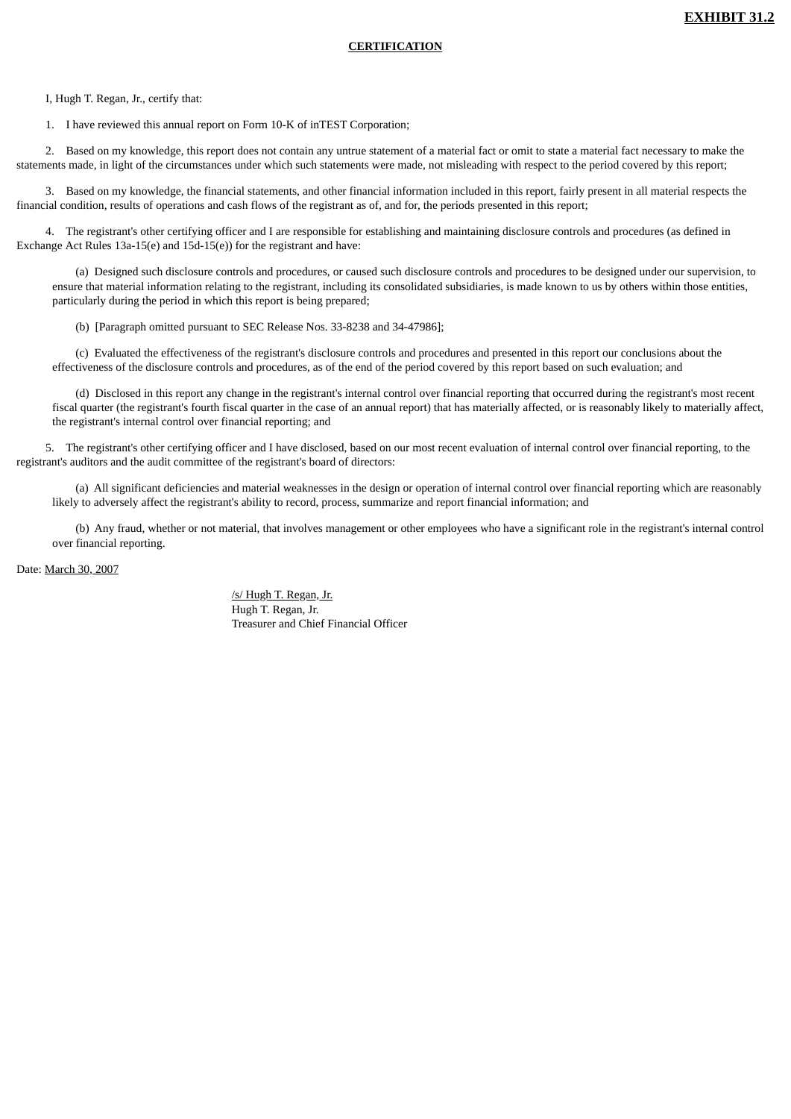I, Hugh T. Regan, Jr., certify that:

1. I have reviewed this annual report on Form 10-K of inTEST Corporation;

 2. Based on my knowledge, this report does not contain any untrue statement of a material fact or omit to state a material fact necessary to make the statements made, in light of the circumstances under which such statements were made, not misleading with respect to the period covered by this report;

 3. Based on my knowledge, the financial statements, and other financial information included in this report, fairly present in all material respects the financial condition, results of operations and cash flows of the registrant as of, and for, the periods presented in this report;

 4. The registrant's other certifying officer and I are responsible for establishing and maintaining disclosure controls and procedures (as defined in Exchange Act Rules 13a-15(e) and 15d-15(e)) for the registrant and have:

 (a) Designed such disclosure controls and procedures, or caused such disclosure controls and procedures to be designed under our supervision, to ensure that material information relating to the registrant, including its consolidated subsidiaries, is made known to us by others within those entities, particularly during the period in which this report is being prepared;

(b) [Paragraph omitted pursuant to SEC Release Nos. 33-8238 and 34-47986];

 (c) Evaluated the effectiveness of the registrant's disclosure controls and procedures and presented in this report our conclusions about the effectiveness of the disclosure controls and procedures, as of the end of the period covered by this report based on such evaluation; and

 (d) Disclosed in this report any change in the registrant's internal control over financial reporting that occurred during the registrant's most recent fiscal quarter (the registrant's fourth fiscal quarter in the case of an annual report) that has materially affected, or is reasonably likely to materially affect, the registrant's internal control over financial reporting; and

 5. The registrant's other certifying officer and I have disclosed, based on our most recent evaluation of internal control over financial reporting, to the registrant's auditors and the audit committee of the registrant's board of directors:

 (a) All significant deficiencies and material weaknesses in the design or operation of internal control over financial reporting which are reasonably likely to adversely affect the registrant's ability to record, process, summarize and report financial information; and

 (b) Any fraud, whether or not material, that involves management or other employees who have a significant role in the registrant's internal control over financial reporting.

Date: March 30, 2007

/s/ Hugh T. Regan, Jr. Hugh T. Regan, Jr. Treasurer and Chief Financial Officer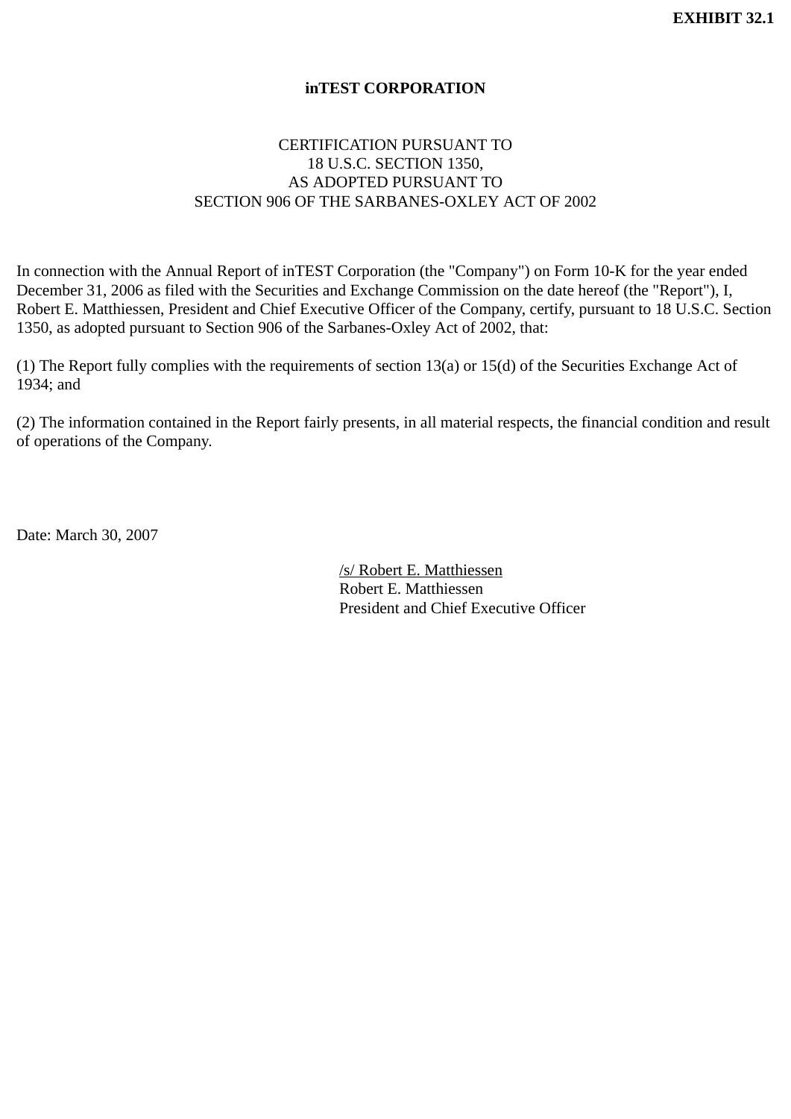# **inTEST CORPORATION**

# CERTIFICATION PURSUANT TO 18 U.S.C. SECTION 1350, AS ADOPTED PURSUANT TO SECTION 906 OF THE SARBANES-OXLEY ACT OF 2002

In connection with the Annual Report of inTEST Corporation (the "Company") on Form 10-K for the year ended December 31, 2006 as filed with the Securities and Exchange Commission on the date hereof (the "Report"), I, Robert E. Matthiessen, President and Chief Executive Officer of the Company, certify, pursuant to 18 U.S.C. Section 1350, as adopted pursuant to Section 906 of the Sarbanes-Oxley Act of 2002, that:

(1) The Report fully complies with the requirements of section 13(a) or 15(d) of the Securities Exchange Act of 1934; and

(2) The information contained in the Report fairly presents, in all material respects, the financial condition and result of operations of the Company.

Date: March 30, 2007

/s/ Robert E. Matthiessen Robert E. Matthiessen President and Chief Executive Officer